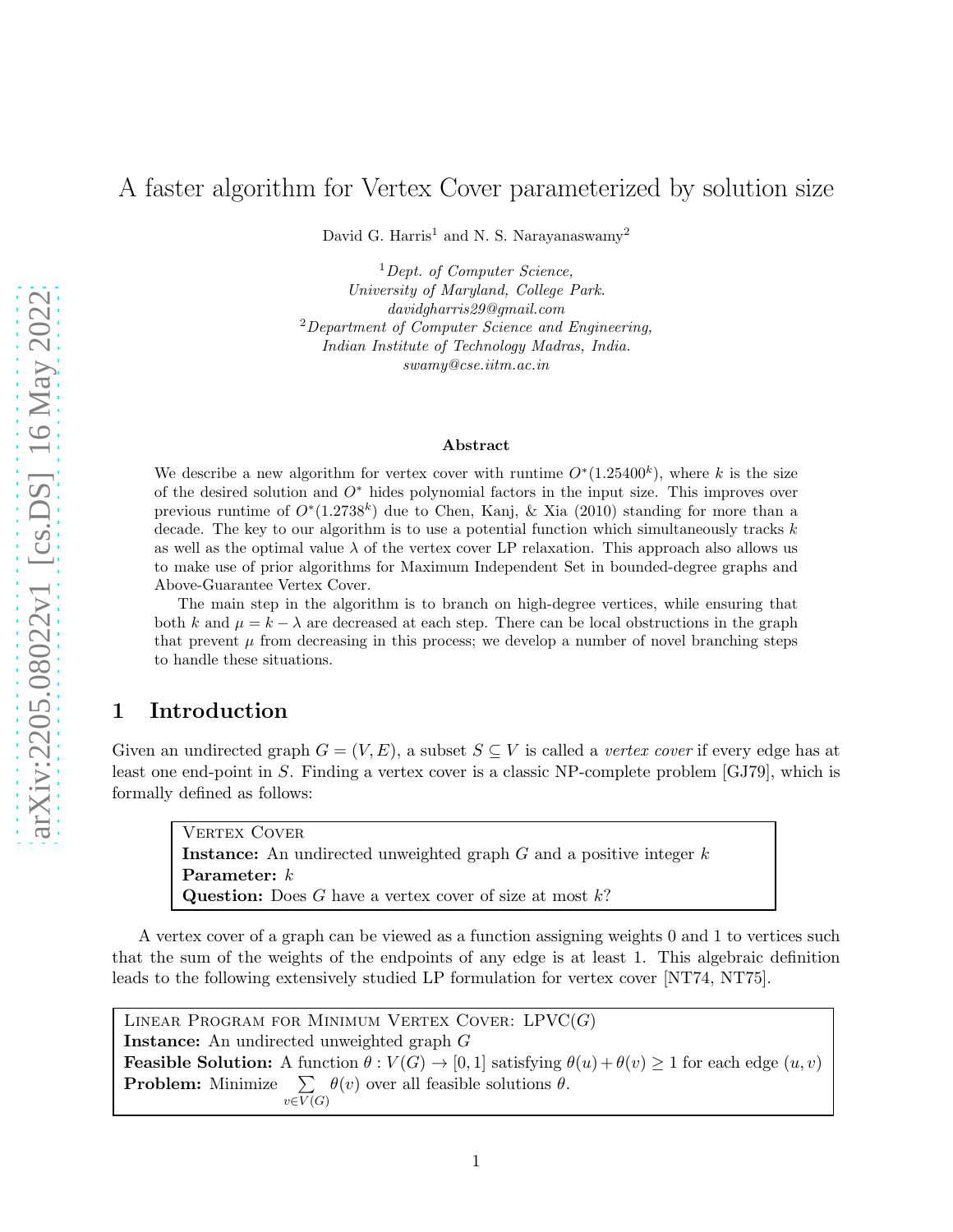# A faster algorithm for Vertex Cover parameterized by solution size

David G. Harris<sup>1</sup> and N. S. Narayanaswamy<sup>2</sup>

<sup>1</sup>Dept. of Computer Science. University of Maryland, College Park. davidgharris29@gmail.com  $2$ Department of Computer Science and Engineering, Indian Institute of Technology Madras, India. swamy@cse.iitm.ac.in

#### Abstract

We describe a new algorithm for vertex cover with runtime  $O^*(1.25400^k)$ , where k is the size of the desired solution and  $O<sup>*</sup>$  hides polynomial factors in the input size. This improves over previous runtime of  $O^*(1.2738^k)$  due to Chen, Kanj, & Xia (2010) standing for more than a decade. The key to our algorithm is to use a potential function which simultaneously tracks  $k$ as well as the optimal value  $\lambda$  of the vertex cover LP relaxation. This approach also allows us to make use of prior algorithms for Maximum Independent Set in bounded-degree graphs and Above-Guarantee Vertex Cover.

The main step in the algorithm is to branch on high-degree vertices, while ensuring that both k and  $\mu = k - \lambda$  are decreased at each step. There can be local obstructions in the graph that prevent  $\mu$  from decreasing in this process; we develop a number of novel branching steps to handle these situations.

## 1 Introduction

Given an undirected graph  $G = (V, E)$ , a subset  $S \subseteq V$  is called a *vertex cover* if every edge has at least one end-point in S. Finding a vertex cover is a classic NP-complete problem [\[GJ79\]](#page-41-0), which is formally defined as follows:

VERTEX COVER **Instance:** An undirected unweighted graph  $G$  and a positive integer  $k$ Parameter: k **Question:** Does  $G$  have a vertex cover of size at most  $k$ ?

A vertex cover of a graph can be viewed as a function assigning weights 0 and 1 to vertices such that the sum of the weights of the endpoints of any edge is at least 1. This algebraic definition leads to the following extensively studied LP formulation for vertex cover [\[NT74,](#page-42-0) [NT75\]](#page-42-1).

LINEAR PROGRAM FOR MINIMUM VERTEX COVER:  $LPVC(G)$ Instance: An undirected unweighted graph G **Feasible Solution:** A function  $\theta : V(G) \to [0, 1]$  satisfying  $\theta(u) + \theta(v) \ge 1$  for each edge  $(u, v)$ **Problem:** Minimize  $\sum \theta(v)$  over all feasible solutions  $\theta$ .  $v\in V(G)$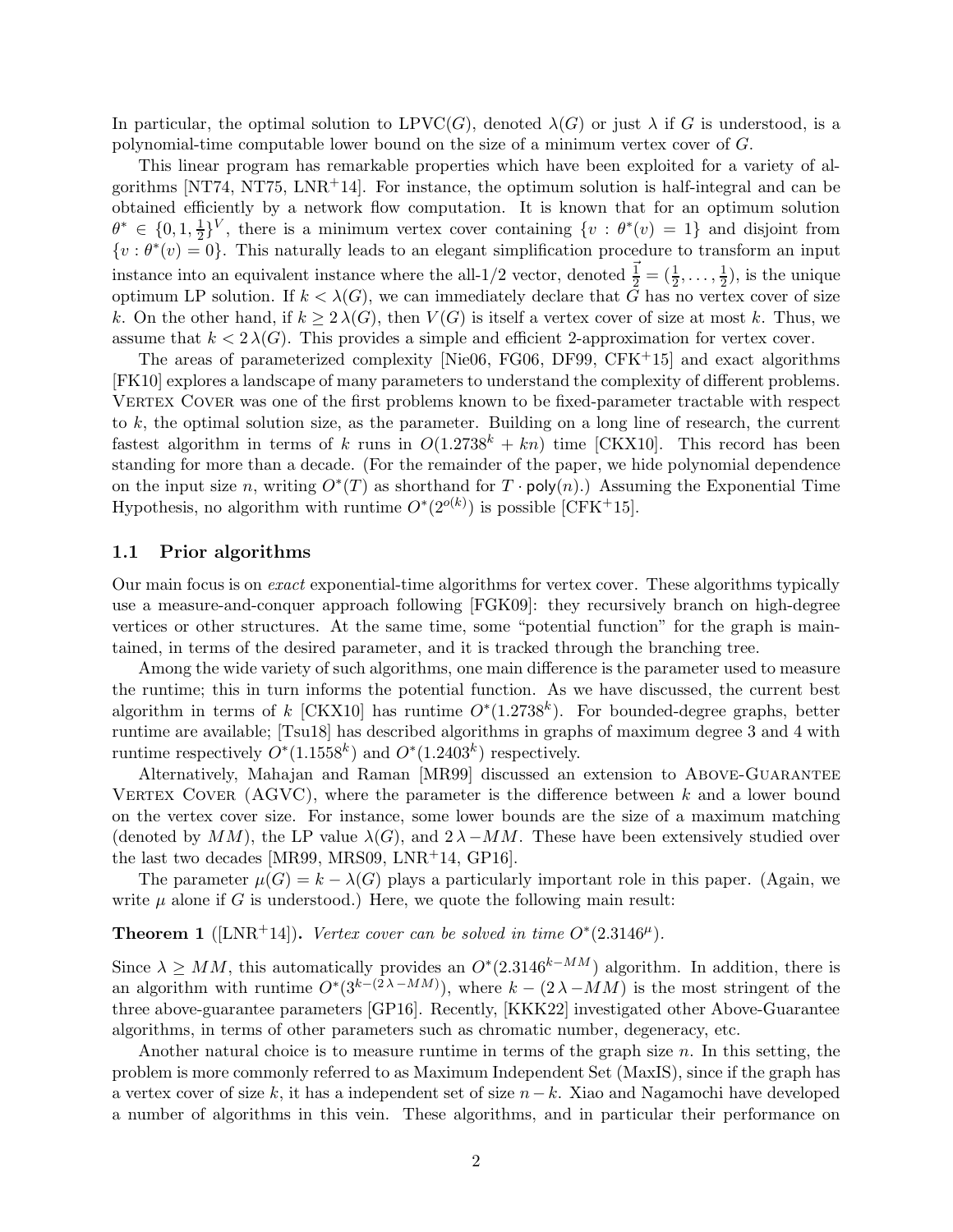In particular, the optimal solution to  $LPVC(G)$ , denoted  $\lambda(G)$  or just  $\lambda$  if G is understood, is a polynomial-time computable lower bound on the size of a minimum vertex cover of G.

This linear program has remarkable properties which have been exploited for a variety of al-gorithms [\[NT74,](#page-42-0) [NT75,](#page-42-1)  $LNR+14$ ]. For instance, the optimum solution is half-integral and can be obtained efficiently by a network flow computation. It is known that for an optimum solution  $\theta^* \in \{0, 1, \frac{1}{2}$  $\frac{1}{2}$ <sup>V</sup>, there is a minimum vertex cover containing  $\{v : \theta^*(v) = 1\}$  and disjoint from  $\{v : \theta^*(v) = 0\}.$  This naturally leads to an elegant simplification procedure to transform an input instance into an equivalent instance where the all-1/2 vector, denoted  $\vec{\frac{1}{2}} = (\frac{1}{2}, \ldots, \frac{1}{2})$  $(\frac{1}{2})$ , is the unique optimum LP solution. If  $k < \lambda(G)$ , we can immediately declare that G has no vertex cover of size k. On the other hand, if  $k > 2 \lambda(G)$ , then  $V(G)$  is itself a vertex cover of size at most k. Thus, we assume that  $k < 2 \lambda(G)$ . This provides a simple and efficient 2-approximation for vertex cover.

The areas of parameterized complexity [\[Nie06,](#page-42-2) [FG06,](#page-41-2) [DF99,](#page-41-3) CFK+15] and exact algorithms [\[FK10\]](#page-41-4) explores a landscape of many parameters to understand the complexity of different problems. VERTEX COVER was one of the first problems known to be fixed-parameter tractable with respect to k, the optimal solution size, as the parameter. Building on a long line of research, the current fastest algorithm in terms of k runs in  $O(1.2738^k + kn)$  time [\[CKX10\]](#page-41-5). This record has been standing for more than a decade. (For the remainder of the paper, we hide polynomial dependence on the input size n, writing  $O^*(T)$  as shorthand for  $T \cdot \text{poly}(n)$ .) Assuming the Exponential Time Hypothesis, no algorithm with runtime  $O^*(2^{o(k)})$  is possible [CFK<sup>+</sup>15].

### 1.1 Prior algorithms

Our main focus is on exact exponential-time algorithms for vertex cover. These algorithms typically use a measure-and-conquer approach following [\[FGK09\]](#page-41-6): they recursively branch on high-degree vertices or other structures. At the same time, some "potential function" for the graph is maintained, in terms of the desired parameter, and it is tracked through the branching tree.

Among the wide variety of such algorithms, one main difference is the parameter used to measure the runtime; this in turn informs the potential function. As we have discussed, the current best algorithm in terms of k [\[CKX10\]](#page-41-5) has runtime  $O^*(1.2738^k)$ . For bounded-degree graphs, better runtime are available; [\[Tsu18\]](#page-42-3) has described algorithms in graphs of maximum degree 3 and 4 with runtime respectively  $O^*(1.1558^k)$  and  $O^*(1.2403^k)$  respectively.

Alternatively, Mahajan and Raman [\[MR99\]](#page-41-7) discussed an extension to Above-Guarantee VERTEX COVER (AGVC), where the parameter is the difference between  $k$  and a lower bound on the vertex cover size. For instance, some lower bounds are the size of a maximum matching (denoted by MM), the LP value  $\lambda(G)$ , and  $2\lambda - MM$ . These have been extensively studied over the last two decades [\[MR99,](#page-41-7) [MRS09,](#page-41-8) [LNR](#page-41-1)<sup>+</sup>14, [GP16\]](#page-41-9).

<span id="page-1-0"></span>The parameter  $\mu(G) = k - \lambda(G)$  plays a particularly important role in this paper. (Again, we write  $\mu$  alone if G is understood.) Here, we quote the following main result:

### **Theorem 1** ([\[LNR](#page-41-1)<sup>+</sup>14]). Vertex cover can be solved in time  $O^*(2.3146^{\mu})$ .

Since  $\lambda \ge MM$ , this automatically provides an  $O^*(2.3146^{k-M_M})$  algorithm. In addition, there is an algorithm with runtime  $O<sup>*</sup>(3<sup>k-(2\lambda-MM)</sup>)$ , where  $k-(2\lambda-MM)$  is the most stringent of the three above-guarantee parameters [\[GP16\]](#page-41-9). Recently, [\[KKK22\]](#page-41-10) investigated other Above-Guarantee algorithms, in terms of other parameters such as chromatic number, degeneracy, etc.

Another natural choice is to measure runtime in terms of the graph size  $n$ . In this setting, the problem is more commonly referred to as Maximum Independent Set (MaxIS), since if the graph has a vertex cover of size k, it has a independent set of size  $n-k$ . Xiao and Nagamochi have developed a number of algorithms in this vein. These algorithms, and in particular their performance on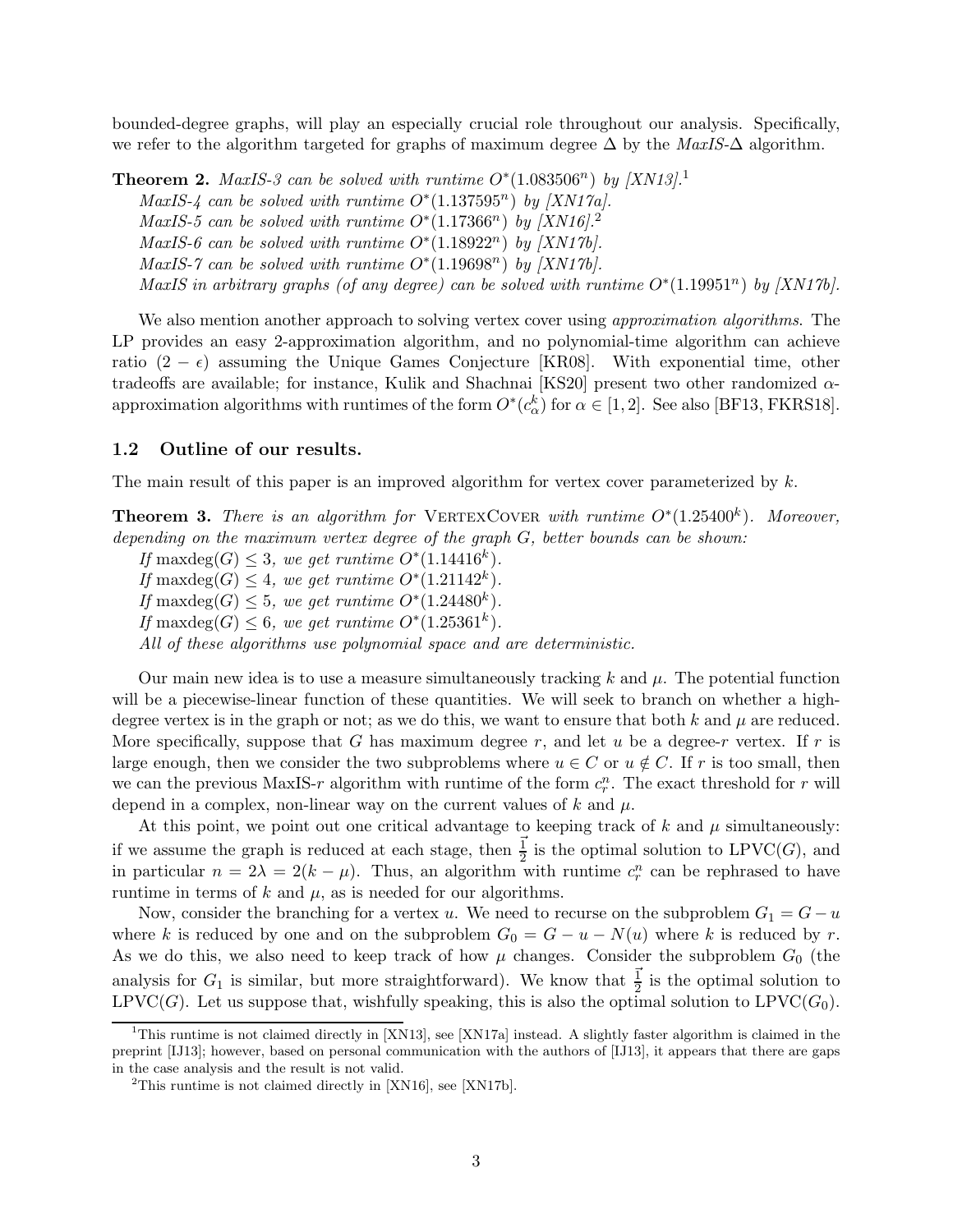bounded-degree graphs, will play an especially crucial role throughout our analysis. Specifically, we refer to the algorithm targeted for graphs of maximum degree  $\Delta$  by the MaxIS- $\Delta$  algorithm.

**Theorem 2.** MaxIS-3 can be solved with runtime  $O^*(1.083506^n)$  $O^*(1.083506^n)$  $O^*(1.083506^n)$  by [\[XN13\]](#page-42-4).<sup>1</sup>

MaxIS-4 can be solved with runtime  $O^*(1.137595^n)$  by  $|XNI7a|$ .

MaxIS-5 can be solved with runtime  $O^*(1.17366^n)$  by  $[XN16]<sup>2</sup>$  $[XN16]<sup>2</sup>$  $[XN16]<sup>2</sup>$ 

MaxIS-6 can be solved with runtime  $O^*(1.18922^n)$  by [\[XN17b\]](#page-42-7).

MaxIS-7 can be solved with runtime  $O^*(1.19698^n)$  by [\[XN17b\]](#page-42-7).

MaxIS in arbitrary graphs (of any degree) can be solved with runtime  $O^*(1.19951^n)$  by [\[XN17b\]](#page-42-7).

We also mention another approach to solving vertex cover using *approximation algorithms*. The LP provides an easy 2-approximation algorithm, and no polynomial-time algorithm can achieve ratio  $(2 - \epsilon)$  assuming the Unique Games Conjecture [\[KR08\]](#page-41-11). With exponential time, other tradeoffs are available; for instance, Kulik and Shachnai [\[KS20\]](#page-41-12) present two other randomized  $\alpha$ approximation algorithms with runtimes of the form  $O^*(c_\alpha^k)$  for  $\alpha \in [1,2]$ . See also [\[BF13,](#page-40-0) [FKRS18\]](#page-41-13).

#### 1.2 Outline of our results.

<span id="page-2-2"></span>The main result of this paper is an improved algorithm for vertex cover parameterized by  $k$ .

**Theorem 3.** There is an algorithm for VERTEXCOVER with runtime  $O^*(1.25400^k)$ . Moreover, depending on the maximum vertex degree of the graph G, better bounds can be shown:

If max $deg(G) \leq 3$ , we get runtime  $O^*(1.14416^k)$ . If max $\deg(G) \leq 4$ , we get runtime  $O^*(1.21142^k)$ . If max $\deg(G) \leq 5$ , we get runtime  $O^*(1.24480^k)$ . If max $\deg(G) \leq 6$ , we get runtime  $O^*(1.25361^k)$ . All of these algorithms use polynomial space and are deterministic.

Our main new idea is to use a measure simultaneously tracking  $k$  and  $\mu$ . The potential function will be a piecewise-linear function of these quantities. We will seek to branch on whether a highdegree vertex is in the graph or not; as we do this, we want to ensure that both k and  $\mu$  are reduced. More specifically, suppose that G has maximum degree r, and let u be a degree-r vertex. If r is large enough, then we consider the two subproblems where  $u \in C$  or  $u \notin C$ . If r is too small, then we can the previous MaxIS-r algorithm with runtime of the form  $c_r^n$ . The exact threshold for r will depend in a complex, non-linear way on the current values of k and  $\mu$ .

At this point, we point out one critical advantage to keeping track of  $k$  and  $\mu$  simultaneously: if we assume the graph is reduced at each stage, then  $\frac{1}{2}$  is the optimal solution to LPVC(G), and in particular  $n = 2\lambda = 2(k - \mu)$ . Thus, an algorithm with runtime  $c_r^n$  can be rephrased to have runtime in terms of  $k$  and  $\mu$ , as is needed for our algorithms.

Now, consider the branching for a vertex u. We need to recurse on the subproblem  $G_1 = G - u$ where k is reduced by one and on the subproblem  $G_0 = G - u - N(u)$  where k is reduced by r. As we do this, we also need to keep track of how  $\mu$  changes. Consider the subproblem  $G_0$  (the analysis for  $G_1$  is similar, but more straightforward). We know that  $\frac{1}{2}$  is the optimal solution to LPVC(G). Let us suppose that, wishfully speaking, this is also the optimal solution to LPVC( $G_0$ ).

<span id="page-2-0"></span><sup>&</sup>lt;sup>1</sup>This runtime is not claimed directly in [\[XN13\]](#page-42-4), see [\[XN17a\]](#page-42-5) instead. A slightly faster algorithm is claimed in the preprint [\[IJ13\]](#page-41-14); however, based on personal communication with the authors of [\[IJ13\]](#page-41-14), it appears that there are gaps in the case analysis and the result is not valid.

<span id="page-2-1"></span><sup>&</sup>lt;sup>2</sup>This runtime is not claimed directly in  $[XN16]$ , see  $[XN17b]$ .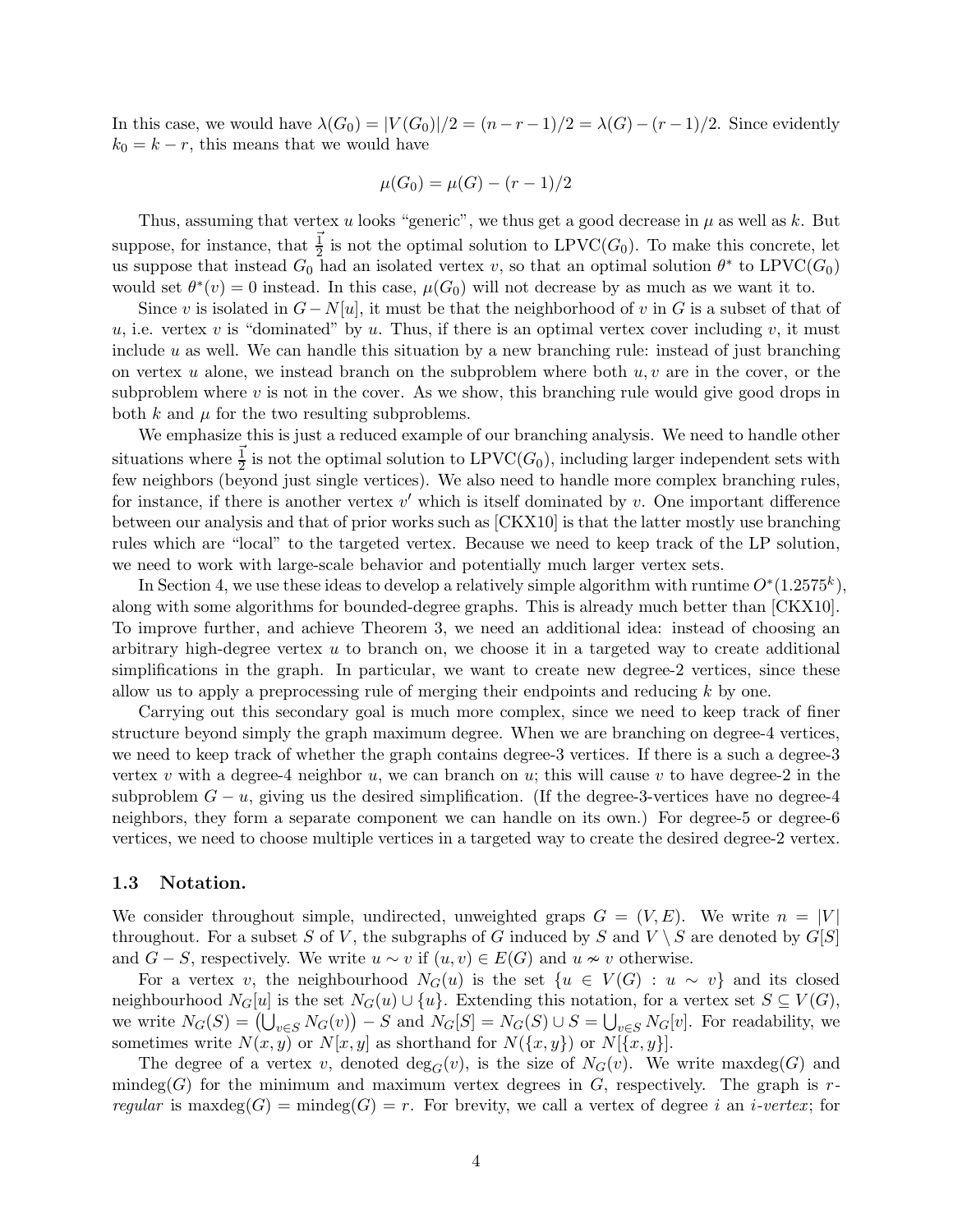In this case, we would have  $\lambda(G_0) = |V(G_0)|/2 = (n-r-1)/2 = \lambda(G)-(r-1)/2$ . Since evidently  $k_0 = k - r$ , this means that we would have

$$
\mu(G_0) = \mu(G) - (r-1)/2
$$

Thus, assuming that vertex u looks "generic", we thus get a good decrease in  $\mu$  as well as k. But suppose, for instance, that  $\frac{1}{2}$  is not the optimal solution to LPVC( $G_0$ ). To make this concrete, let us suppose that instead  $G_0$  had an isolated vertex v, so that an optimal solution  $\theta^*$  to LPVC( $G_0$ ) would set  $\theta^*(v) = 0$  instead. In this case,  $\mu(G_0)$  will not decrease by as much as we want it to.

Since v is isolated in  $G - N[u]$ , it must be that the neighborhood of v in G is a subset of that of u, i.e. vertex v is "dominated" by u. Thus, if there is an optimal vertex cover including v, it must include  $u$  as well. We can handle this situation by a new branching rule: instead of just branching on vertex u alone, we instead branch on the subproblem where both  $u, v$  are in the cover, or the subproblem where  $v$  is not in the cover. As we show, this branching rule would give good drops in both k and  $\mu$  for the two resulting subproblems.

We emphasize this is just a reduced example of our branching analysis. We need to handle other situations where  $\frac{1}{2}$  is not the optimal solution to LPVC( $G_0$ ), including larger independent sets with few neighbors (beyond just single vertices). We also need to handle more complex branching rules, for instance, if there is another vertex  $v'$  which is itself dominated by  $v$ . One important difference between our analysis and that of prior works such as [\[CKX10\]](#page-41-5) is that the latter mostly use branching rules which are "local" to the targeted vertex. Because we need to keep track of the LP solution, we need to work with large-scale behavior and potentially much larger vertex sets.

In Section [4,](#page-11-0) we use these ideas to develop a relatively simple algorithm with runtime  $O^*(1.2575^k)$ , along with some algorithms for bounded-degree graphs. This is already much better than [\[CKX10\]](#page-41-5). To improve further, and achieve Theorem [3,](#page-2-2) we need an additional idea: instead of choosing an arbitrary high-degree vertex  $u$  to branch on, we choose it in a targeted way to create additional simplifications in the graph. In particular, we want to create new degree-2 vertices, since these allow us to apply a preprocessing rule of merging their endpoints and reducing  $k$  by one.

Carrying out this secondary goal is much more complex, since we need to keep track of finer structure beyond simply the graph maximum degree. When we are branching on degree-4 vertices, we need to keep track of whether the graph contains degree-3 vertices. If there is a such a degree-3 vertex v with a degree-4 neighbor u, we can branch on u; this will cause v to have degree-2 in the subproblem  $G - u$ , giving us the desired simplification. (If the degree-3-vertices have no degree-4 neighbors, they form a separate component we can handle on its own.) For degree-5 or degree-6 vertices, we need to choose multiple vertices in a targeted way to create the desired degree-2 vertex.

#### 1.3 Notation.

We consider throughout simple, undirected, unweighted graps  $G = (V, E)$ . We write  $n = |V|$ throughout. For a subset S of V, the subgraphs of G induced by S and  $V \setminus S$  are denoted by  $G[S]$ and  $G - S$ , respectively. We write  $u \sim v$  if  $(u, v) \in E(G)$  and  $u \nsim v$  otherwise.

For a vertex v, the neighbourhood  $N_G(u)$  is the set  $\{u \in V(G) : u \sim v\}$  and its closed neighbourhood  $N_G[u]$  is the set  $N_G(u) \cup \{u\}$ . Extending this notation, for a vertex set  $S \subseteq V(G)$ , we write  $N_G(S) = (\bigcup_{v \in S} N_G(v)) - S$  and  $N_G[S] = N_G(S) \cup S = \bigcup_{v \in S} N_G[v]$ . For readability, we sometimes write  $N(x, y)$  or  $N[x, y]$  as shorthand for  $N({x, y})$  or  $N[{x, y}]$ .

The degree of a vertex v, denoted  $deg_G(v)$ , is the size of  $N_G(v)$ . We write maxdeg(G) and mindeg(G) for the minimum and maximum vertex degrees in  $G$ , respectively. The graph is rregular is maxdeg $(G)$  = mindeg $(G)$  = r. For brevity, we call a vertex of degree i an i-vertex; for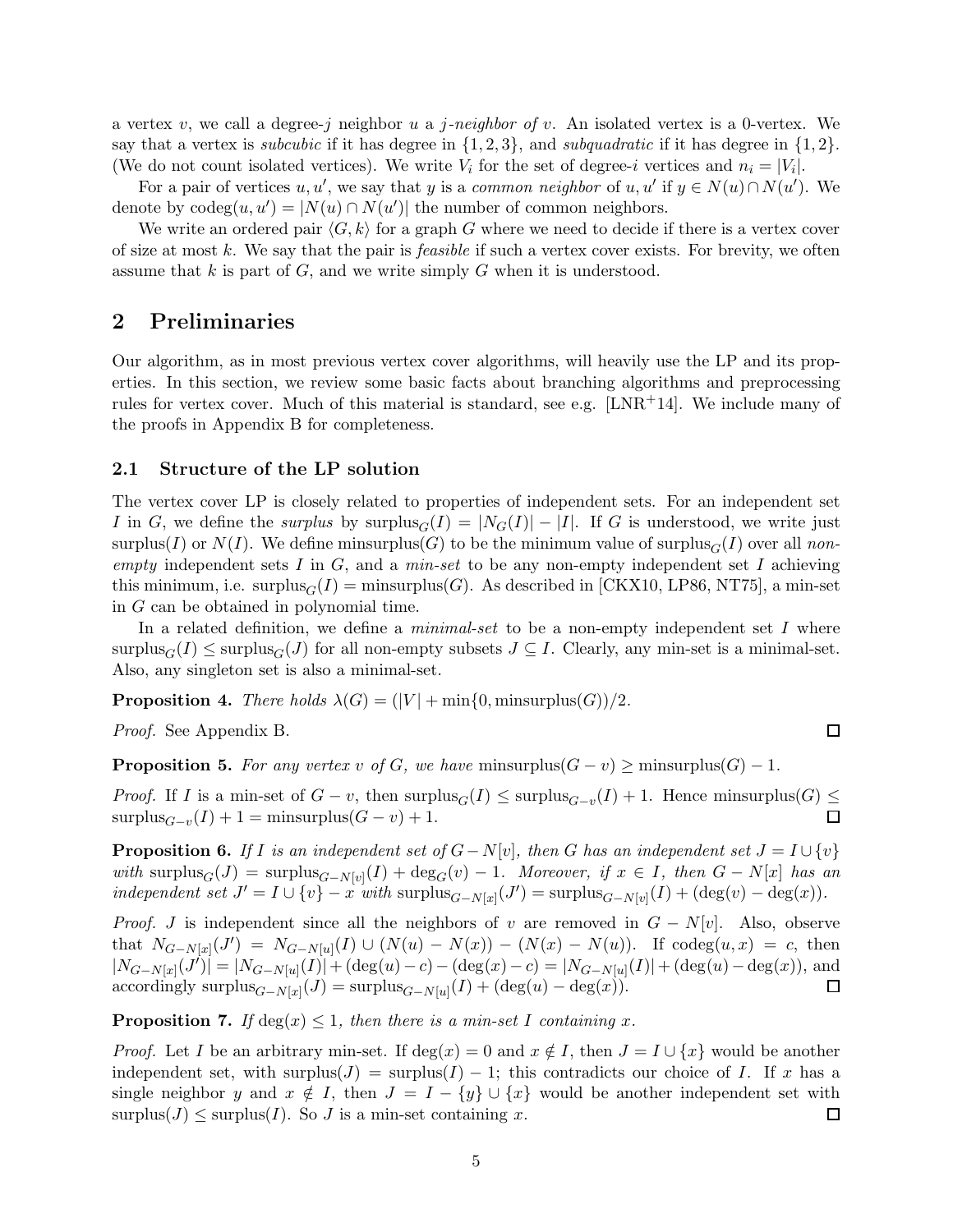a vertex v, we call a degree-j neighbor u a j-neighbor of v. An isolated vertex is a 0-vertex. We say that a vertex is *subcubic* if it has degree in  $\{1,2,3\}$ , and *subquadratic* if it has degree in  $\{1,2\}$ . (We do not count isolated vertices). We write  $V_i$  for the set of degree-i vertices and  $n_i = |V_i|$ .

For a pair of vertices  $u, u'$ , we say that y is a common neighbor of  $u, u'$  if  $y \in N(u) \cap N(u')$ . We denote by  $\text{codeg}(u, u') = |N(u) \cap N(u')|$  the number of common neighbors.

We write an ordered pair  $\langle G, k \rangle$  for a graph G where we need to decide if there is a vertex cover of size at most k. We say that the pair is *feasible* if such a vertex cover exists. For brevity, we often assume that  $k$  is part of  $G$ , and we write simply  $G$  when it is understood.

## 2 Preliminaries

Our algorithm, as in most previous vertex cover algorithms, will heavily use the LP and its properties. In this section, we review some basic facts about branching algorithms and preprocessing rules for vertex cover. Much of this material is standard, see e.g. [ $LNR+14$ ]. We include many of the proofs in Appendix [B](#page-39-0) for completeness.

#### 2.1 Structure of the LP solution

The vertex cover LP is closely related to properties of independent sets. For an independent set I in G, we define the surplus by surplus $G(I) = |N_G(I)| - |I|$ . If G is understood, we write just surplus(I) or  $N(I)$ . We define minsurplus(G) to be the minimum value of surplus<sub>G</sub>(I) over all nonempty independent sets  $I$  in  $G$ , and a  $min-set$  to be any non-empty independent set  $I$  achieving this minimum, i.e. surplus $_G(I) = \text{minsurplus}(G)$ . As described in [\[CKX10,](#page-41-5) [LP86,](#page-41-15) [NT75\]](#page-42-1), a min-set in G can be obtained in polynomial time.

In a related definition, we define a *minimal-set* to be a non-empty independent set I where surplus<sub>G</sub>(I) ≤ surplus<sub>G</sub>(J) for all non-empty subsets  $J \subseteq I$ . Clearly, any min-set is a minimal-set. Also, any singleton set is also a minimal-set.

<span id="page-4-4"></span>**Proposition 4.** There holds  $\lambda(G) = (|V| + \min\{0, \text{minsurplus}(G)\})/2$ .

<span id="page-4-2"></span>Proof. See Appendix [B.](#page-39-0)

**Proposition 5.** For any vertex v of G, we have minsurplus $(G - v) \ge$  minsurplus $(G) - 1$ .

*Proof.* If I is a min-set of  $G - v$ , then  $\text{surplus}_G(I) \leq \text{surplus}_{G-v}(I) + 1$ . Hence minsurplus $(G) \leq$  $\text{surplus}_{G-v}(I) + 1 = \text{minsurplus}(G - v) + 1.$ П

<span id="page-4-3"></span>**Proposition 6.** If I is an independent set of  $G - N[v]$ , then G has an independent set  $J = I \cup \{v\}$ with surplus<sub>G</sub>(J) = surplus<sub>G−N[v]</sub>(I) + deg<sub>G</sub>(v) - 1. Moreover, if  $x \in I$ , then  $G - N[x]$  has an independent set  $J' = I \cup \{v\} - x$  with  $\text{surplus}_{G-N[x]}(J') = \text{surplus}_{G-N[v]}(I) + (\text{deg}(v) - \text{deg}(x)).$ 

*Proof.* J is independent since all the neighbors of v are removed in  $G - N[v]$ . Also, observe that  $N_{G-N[x]}(J') = N_{G-N[u]}(I) \cup (N(u) - N(x)) - (N(x) - N(u))$ . If codeg $(u, x) = c$ , then  $|N_{G-N[x]}(J')| = |N_{G-N[u]}(I)| + (\deg(u) - c) - (\deg(x) - c) = |N_{G-N[u]}(I)| + (\deg(u) - \deg(x)),$  and accordingly surplus $_{G-N[x]}(J) = \text{surplus}_{G-N[u]}(I) + (\text{deg}(u) - \text{deg}(x)).$ □

<span id="page-4-1"></span>**Proposition 7.** If  $deg(x) \leq 1$ , then there is a min-set I containing x.

<span id="page-4-0"></span>*Proof.* Let I be an arbitrary min-set. If  $deg(x) = 0$  and  $x \notin I$ , then  $J = I \cup \{x\}$  would be another independent set, with surplus(J) = surplus(I) – 1; this contradicts our choice of I. If x has a single neighbor y and  $x \notin I$ , then  $J = I - \{y\} \cup \{x\}$  would be another independent set with surplus(J)  $\leq$  surplus(I). So J is a min-set containing x. 囗

 $\Box$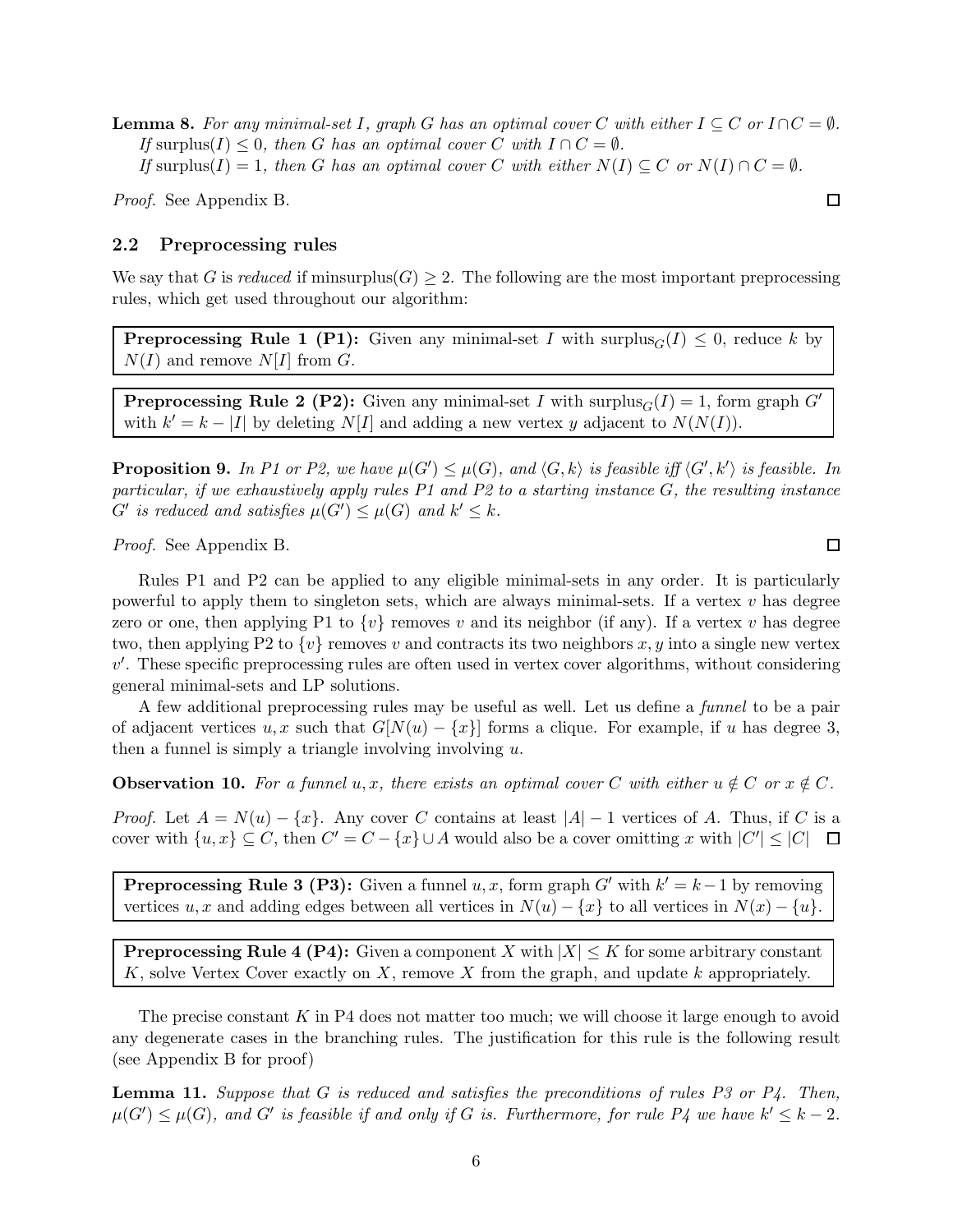**Lemma 8.** For any minimal-set I, graph G has an optimal cover C with either  $I \subseteq C$  or  $I \cap C = \emptyset$ . If surplus(I)  $\leq 0$ , then G has an optimal cover C with  $I \cap C = \emptyset$ . If surplus(I) = 1, then G has an optimal cover C with either  $N(I) \subseteq C$  or  $N(I) \cap C = \emptyset$ .

Proof. See Appendix [B.](#page-39-0)

#### 2.2 Preprocessing rules

We say that G is reduced if minsurplus( $G \geq 2$ . The following are the most important preprocessing rules, which get used throughout our algorithm:

**Preprocessing Rule 1 (P1):** Given any minimal-set I with surplus<sub>G</sub>(I)  $\leq$  0, reduce k by  $N(I)$  and remove  $N[I]$  from G.

**Preprocessing Rule 2 (P2):** Given any minimal-set I with surplus<sub> $G$ </sub> $(I) = 1$ , form graph  $G'$ with  $k' = k - |I|$  by deleting  $N[I]$  and adding a new vertex y adjacent to  $N(N(I))$ .

<span id="page-5-0"></span>**Proposition 9.** In P1 or P2, we have  $\mu(G') \leq \mu(G)$ , and  $\langle G, k \rangle$  is feasible iff  $\langle G', k' \rangle$  is feasible. In particular, if we exhaustively apply rules P1 and P2 to a starting instance G, the resulting instance  $G'$  is reduced and satisfies  $\mu(G') \leq \mu(G)$  and  $k' \leq k$ .

Proof. See Appendix [B.](#page-39-0)

Rules P1 and P2 can be applied to any eligible minimal-sets in any order. It is particularly powerful to apply them to singleton sets, which are always minimal-sets. If a vertex  $v$  has degree zero or one, then applying P1 to  $\{v\}$  removes v and its neighbor (if any). If a vertex v has degree two, then applying P2 to  $\{v\}$  removes v and contracts its two neighbors x, y into a single new vertex  $v'$ . These specific preprocessing rules are often used in vertex cover algorithms, without considering general minimal-sets and LP solutions.

A few additional preprocessing rules may be useful as well. Let us define a *funnel* to be a pair of adjacent vertices u, x such that  $G[N(u) - \{x\}]$  forms a clique. For example, if u has degree 3, then a funnel is simply a triangle involving involving  $u$ .

<span id="page-5-2"></span>**Observation 10.** For a funnel u, x, there exists an optimal cover C with either  $u \notin C$  or  $x \notin C$ .

*Proof.* Let  $A = N(u) - \{x\}$ . Any cover C contains at least  $|A| - 1$  vertices of A. Thus, if C is a cover with  $\{u, x\} \subseteq C$ , then  $C' = C - \{x\} \cup A$  would also be a cover omitting x with  $|C'| \leq |C|$ 

**Preprocessing Rule 3 (P3):** Given a funnel  $u, x$ , form graph  $G'$  with  $k' = k - 1$  by removing vertices u, x and adding edges between all vertices in  $N(u) - \{x\}$  to all vertices in  $N(x) - \{u\}$ .

**Preprocessing Rule 4 (P4):** Given a component X with  $|X| \le K$  for some arbitrary constant  $K$ , solve Vertex Cover exactly on  $X$ , remove  $X$  from the graph, and update  $k$  appropriately.

The precise constant  $K$  in P4 does not matter too much; we will choose it large enough to avoid any degenerate cases in the branching rules. The justification for this rule is the following result (see Appendix [B](#page-39-0) for proof)

<span id="page-5-1"></span>**Lemma 11.** Suppose that G is reduced and satisfies the preconditions of rules P3 or P4. Then,  $\mu(G') \leq \mu(G)$ , and G' is feasible if and only if G is. Furthermore, for rule P4 we have  $k' \leq k-2$ .

 $\Box$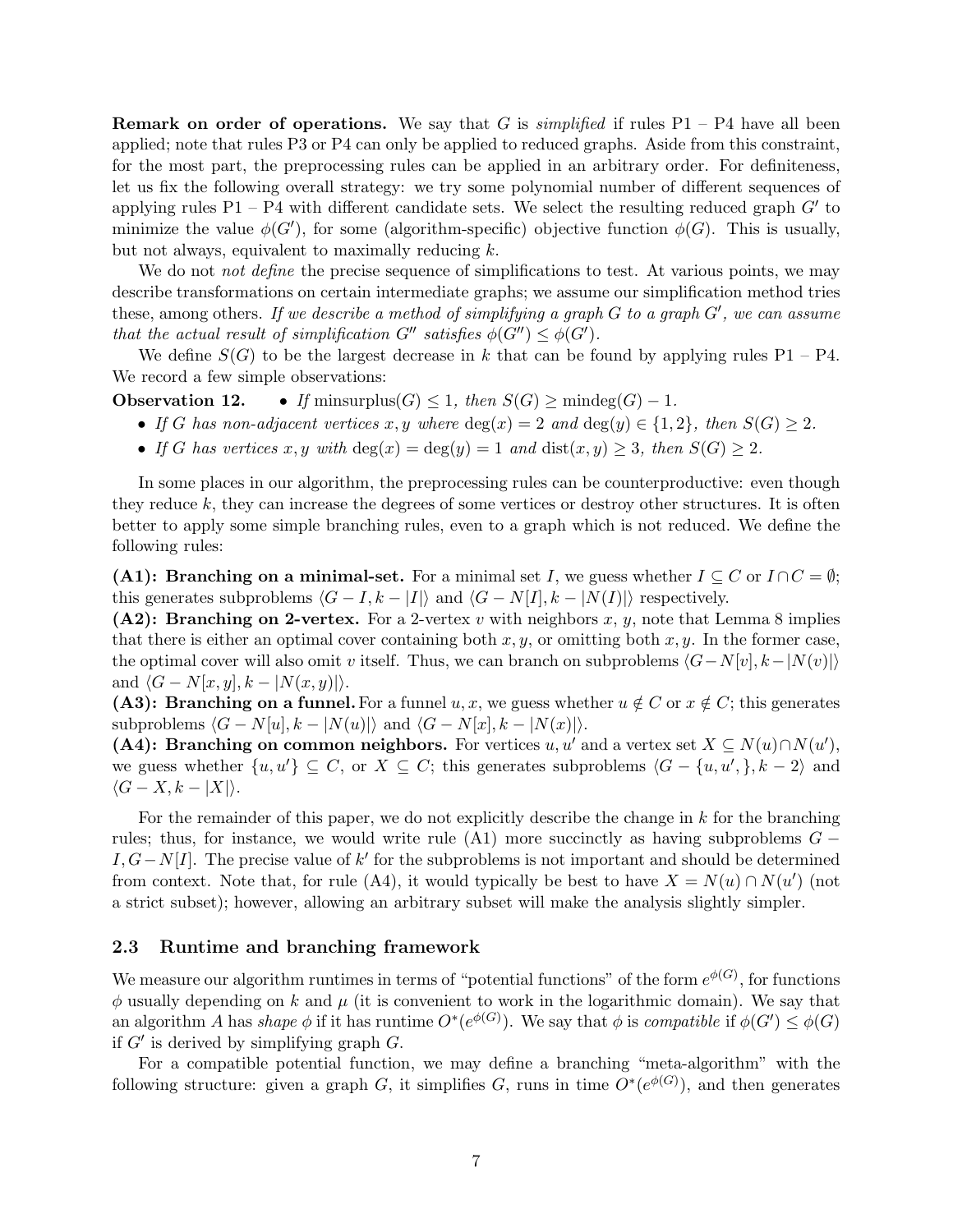**Remark on order of operations.** We say that G is *simplified* if rules  $P1 - P4$  have all been applied; note that rules P3 or P4 can only be applied to reduced graphs. Aside from this constraint, for the most part, the preprocessing rules can be applied in an arbitrary order. For definiteness, let us fix the following overall strategy: we try some polynomial number of different sequences of applying rules  $P1 - P4$  with different candidate sets. We select the resulting reduced graph  $G'$  to minimize the value  $\phi(G')$ , for some (algorithm-specific) objective function  $\phi(G)$ . This is usually, but not always, equivalent to maximally reducing  $k$ .

We do not *not define* the precise sequence of simplifications to test. At various points, we may describe transformations on certain intermediate graphs; we assume our simplification method tries these, among others. If we describe a method of simplifying a graph  $G$  to a graph  $G'$ , we can assume that the actual result of simplification  $G''$  satisfies  $\phi(G'') \leq \phi(G')$ .

<span id="page-6-0"></span>We define  $S(G)$  to be the largest decrease in k that can be found by applying rules P1 – P4. We record a few simple observations:

**Observation 12.** • If minsurplus $(G) \leq 1$ , then  $S(G) \geq \text{mindeg}(G) - 1$ .

- If G has non-adjacent vertices x, y where  $deg(x) = 2$  and  $deg(y) \in \{1,2\}$ , then  $S(G) \geq 2$ .
- If G has vertices x, y with  $deg(x) = deg(y) = 1$  and  $dist(x, y) \geq 3$ , then  $S(G) \geq 2$ .

In some places in our algorithm, the preprocessing rules can be counterproductive: even though they reduce k, they can increase the degrees of some vertices or destroy other structures. It is often better to apply some simple branching rules, even to a graph which is not reduced. We define the following rules:

(A1): Branching on a minimal-set. For a minimal set I, we guess whether  $I \subseteq C$  or  $I \cap C = \emptyset$ ; this generates subproblems  $\langle G - I, k - |I| \rangle$  and  $\langle G - N|I|, k - |N(I)| \rangle$  respectively.

(A2): Branching on 2-vertex. For a 2-vertex v with neighbors x, y, note that Lemma [8](#page-4-0) implies that there is either an optimal cover containing both  $x, y$ , or omitting both  $x, y$ . In the former case, the optimal cover will also omit v itself. Thus, we can branch on subproblems  $\langle G-N[v], k-|N(v)| \rangle$ and  $\langle G - N[x, y], k - |N(x, y)| \rangle$ .

(A3): Branching on a funnel. For a funnel u, x, we guess whether  $u \notin C$  or  $x \notin C$ ; this generates subproblems  $\langle G - N[u], k - |N(u)| \rangle$  and  $\langle G - N[x], k - |N(x)| \rangle$ .

(A4): Branching on common neighbors. For vertices u, u' and a vertex set  $X \subseteq N(u) \cap N(u')$ , we guess whether  $\{u, u'\} \subseteq C$ , or  $X \subseteq C$ ; this generates subproblems  $\langle G - \{u, u', \}, k - 2 \rangle$  and  $\langle G - X, k - |X| \rangle$ .

For the remainder of this paper, we do not explicitly describe the change in  $k$  for the branching rules; thus, for instance, we would write rule  $(A1)$  more succinctly as having subproblems  $G -$ I,  $G-N[I]$ . The precise value of k' for the subproblems is not important and should be determined from context. Note that, for rule (A4), it would typically be best to have  $X = N(u) \cap N(u')$  (not a strict subset); however, allowing an arbitrary subset will make the analysis slightly simpler.

#### 2.3 Runtime and branching framework

We measure our algorithm runtimes in terms of "potential functions" of the form  $e^{\phi(G)}$ , for functions  $\phi$  usually depending on k and  $\mu$  (it is convenient to work in the logarithmic domain). We say that an algorithm A has shape  $\phi$  if it has runtime  $O^*(e^{\phi(G)})$ . We say that  $\phi$  is compatible if  $\phi(G') \leq \phi(G)$ if  $G'$  is derived by simplifying graph  $G$ .

For a compatible potential function, we may define a branching "meta-algorithm" with the following structure: given a graph G, it simplifies G, runs in time  $O^*(e^{\phi(G)})$ , and then generates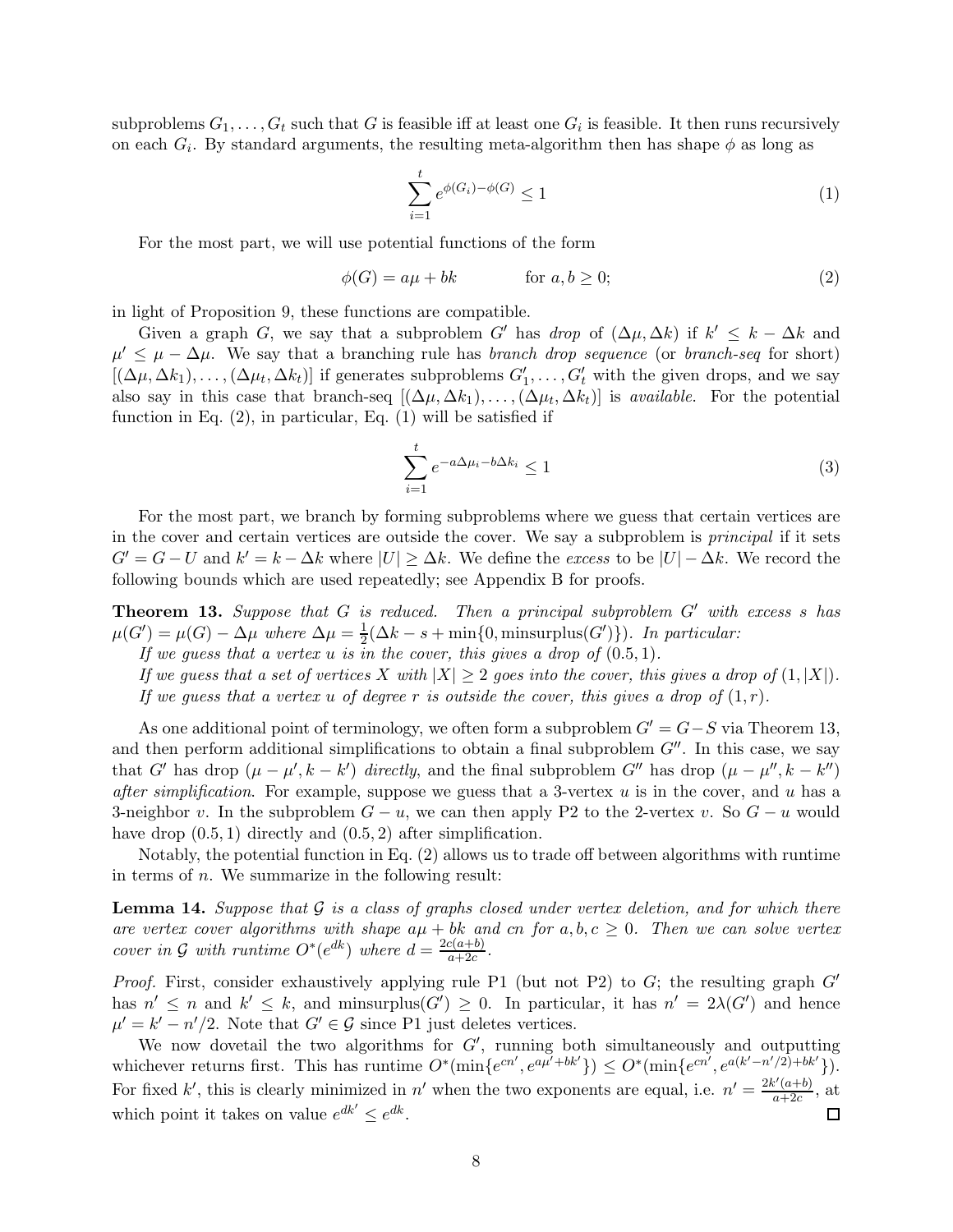subproblems  $G_1, \ldots, G_t$  such that  $G$  is feasible iff at least one  $G_i$  is feasible. It then runs recursively on each  $G_i$ . By standard arguments, the resulting meta-algorithm then has shape  $\phi$  as long as

<span id="page-7-1"></span>
$$
\sum_{i=1}^{t} e^{\phi(G_i) - \phi(G)} \le 1
$$
\n<sup>(1)</sup>

For the most part, we will use potential functions of the form

<span id="page-7-0"></span>
$$
\phi(G) = a\mu + bk \qquad \text{for } a, b \ge 0; \tag{2}
$$

in light of Proposition [9,](#page-5-0) these functions are compatible.

Given a graph G, we say that a subproblem G' has drop of  $(\Delta \mu, \Delta k)$  if  $k' \leq k - \Delta k$  and  $\mu' \leq \mu - \Delta \mu$ . We say that a branching rule has *branch drop sequence* (or *branch-seq* for short)  $[(\Delta\mu, \Delta k_1), \ldots, (\Delta\mu_t, \Delta k_t)]$  if generates subproblems  $G'_1, \ldots, G'_t$  with the given drops, and we say also say in this case that branch-seq  $[(\Delta\mu, \Delta k_1), \ldots, (\Delta\mu_t, \Delta k_t)]$  is *available*. For the potential function in Eq.  $(2)$ , in particular, Eq.  $(1)$  will be satisfied if

<span id="page-7-4"></span>
$$
\sum_{i=1}^{t} e^{-a\Delta\mu_i - b\Delta k_i} \le 1
$$
\n(3)

For the most part, we branch by forming subproblems where we guess that certain vertices are in the cover and certain vertices are outside the cover. We say a subproblem is principal if it sets  $G' = G - U$  and  $k' = k - \Delta k$  where  $|U| \ge \Delta k$ . We define the excess to be  $|U| - \Delta k$ . We record the following bounds which are used repeatedly; see Appendix [B](#page-39-0) for proofs.

<span id="page-7-2"></span>Theorem 13. Suppose that G is reduced. Then a principal subproblem G' with excess s has  $\mu(G') = \mu(G) - \Delta \mu$  where  $\Delta \mu = \frac{1}{2}$  $\frac{1}{2}(\Delta k - s + \min\{0, \text{minsurplus}(G')\})$ . In particular:

If we guess that a vertex u is in the cover, this gives a drop of  $(0.5, 1)$ .

If we guess that a set of vertices X with  $|X| \geq 2$  goes into the cover, this gives a drop of  $(1, |X|)$ . If we quess that a vertex u of degree r is outside the cover, this gives a drop of  $(1,r)$ .

As one additional point of terminology, we often form a subproblem  $G' = G - S$  via Theorem [13,](#page-7-2) and then perform additional simplifications to obtain a final subproblem  $G''$ . In this case, we say that G' has drop  $(\mu - \mu', k - k')$  directly, and the final subproblem G'' has drop  $(\mu - \mu'', k - k'')$ after simplification. For example, suppose we guess that a 3-vertex  $u$  is in the cover, and  $u$  has a 3-neighbor v. In the subproblem  $G - u$ , we can then apply P2 to the 2-vertex v. So  $G - u$  would have drop  $(0.5, 1)$  directly and  $(0.5, 2)$  after simplification.

<span id="page-7-3"></span>Notably, the potential function in Eq. [\(2\)](#page-7-0) allows us to trade off between algorithms with runtime in terms of  $n$ . We summarize in the following result:

**Lemma 14.** Suppose that  $G$  is a class of graphs closed under vertex deletion, and for which there are vertex cover algorithms with shape  $a\mu + bk$  and cn for  $a, b, c \ge 0$ . Then we can solve vertex cover in G with runtime  $O^*(e^{dk})$  where  $d = \frac{2c(a+b)}{a+2c}$  $a+2c$ .

*Proof.* First, consider exhaustively applying rule P1 (but not P2) to  $G$ ; the resulting graph  $G'$ has  $n' \leq n$  and  $k' \leq k$ , and minsurplus( $G'$ )  $\geq 0$ . In particular, it has  $n' = 2\lambda(G')$  and hence  $\mu' = k' - n'/2$ . Note that  $G' \in \mathcal{G}$  since P1 just deletes vertices.

We now dovetail the two algorithms for  $G'$ , running both simultaneously and outputting whichever returns first. This has runtime  $O^*(\min\{e^{cn'}, e^{a\mu' + bk'}\}) \leq O^*(\min\{e^{cn'}, e^{a(k'-n'/2) + bk'}\}).$ For fixed k', this is clearly minimized in n' when the two exponents are equal, i.e.  $n' = \frac{2k'(a+b)}{a+2c}$  $\frac{a+ab}{a+2c}$ , at which point it takes on value  $e^{dk'} \leq e^{dk}$ .  $\Box$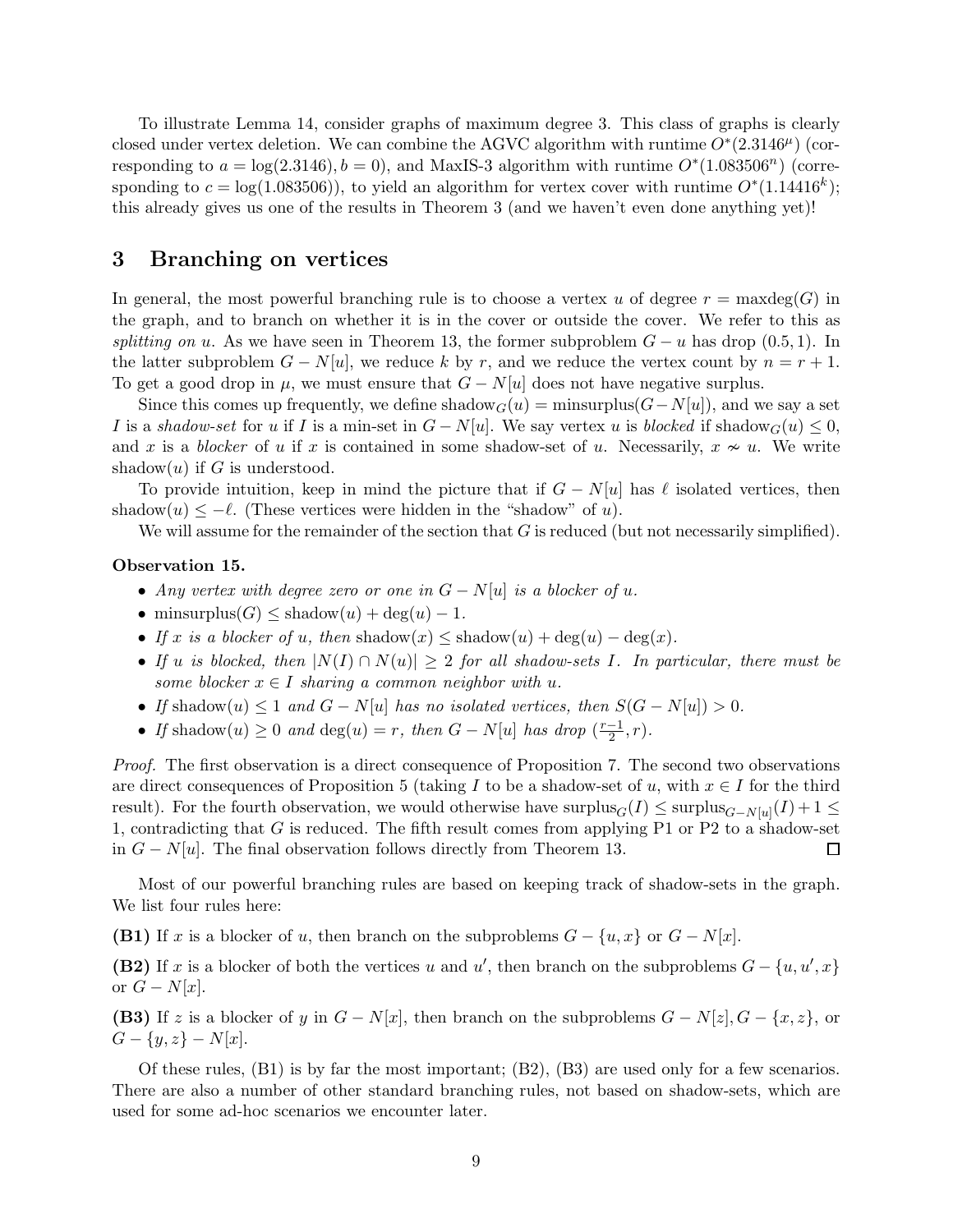To illustrate Lemma [14,](#page-7-3) consider graphs of maximum degree 3. This class of graphs is clearly closed under vertex deletion. We can combine the AGVC algorithm with runtime  $O^*(2.3146^{\mu})$  (corresponding to  $a = \log(2.3146)$ ,  $b = 0$ ), and MaxIS-3 algorithm with runtime  $O<sup>*</sup>(1.083506<sup>n</sup>)$  (corresponding to  $c = \log(1.083506)$ , to yield an algorithm for vertex cover with runtime  $O^*(1.14416^k)$ ; this already gives us one of the results in Theorem [3](#page-2-2) (and we haven't even done anything yet)!

## 3 Branching on vertices

In general, the most powerful branching rule is to choose a vertex u of degree  $r = \max \deg(G)$  in the graph, and to branch on whether it is in the cover or outside the cover. We refer to this as splitting on u. As we have seen in Theorem [13,](#page-7-2) the former subproblem  $G - u$  has drop (0.5, 1). In the latter subproblem  $G - N[u]$ , we reduce k by r, and we reduce the vertex count by  $n = r + 1$ . To get a good drop in  $\mu$ , we must ensure that  $G - N[u]$  does not have negative surplus.

Since this comes up frequently, we define shadow $G(u) = \min \text{surplus}(G-N[u])$ , and we say a set I is a shadow-set for u if I is a min-set in  $G - N[u]$ . We say vertex u is blocked if shadow $G(u) \leq 0$ , and x is a blocker of u if x is contained in some shadow-set of u. Necessarily,  $x \nsim u$ . We write shadow $(u)$  if G is understood.

To provide intuition, keep in mind the picture that if  $G - N[u]$  has  $\ell$  isolated vertices, then shadow $(u) \leq -\ell$ . (These vertices were hidden in the "shadow" of u).

<span id="page-8-0"></span>We will assume for the remainder of the section that  $G$  is reduced (but not necessarily simplified).

#### Observation 15.

- Any vertex with degree zero or one in  $G N[u]$  is a blocker of u.
- minsurplus( $G$ )  $\leq$  shadow $(u)$  + deg $(u)$  1.
- If x is a blocker of u, then shadow $(x) \leq$  shadow $(u) + deg(u) deg(x)$ .
- If u is blocked, then  $|N(I) \cap N(u)| \geq 2$  for all shadow-sets I. In particular, there must be some blocker  $x \in I$  sharing a common neighbor with u.
- If shadow $(u) \leq 1$  and  $G N[u]$  has no isolated vertices, then  $S(G N[u]) > 0$ .
- If shadow $(u) \geq 0$  and  $deg(u) = r$ , then  $G N[u]$  has drop  $\left(\frac{r-1}{2}\right)$  $\frac{-1}{2}, r$ .

Proof. The first observation is a direct consequence of Proposition [7.](#page-4-1) The second two observations are direct consequences of Proposition [5](#page-4-2) (taking I to be a shadow-set of u, with  $x \in I$  for the third result). For the fourth observation, we would otherwise have surplus $_G(I) \le$  surplus $_{G-N[u]}(I) + 1 \le$ 1, contradicting that G is reduced. The fifth result comes from applying P1 or P2 to a shadow-set in  $G - N[u]$ . The final observation follows directly from Theorem [13.](#page-7-2)  $\Box$ 

Most of our powerful branching rules are based on keeping track of shadow-sets in the graph. We list four rules here:

(B1) If x is a blocker of u, then branch on the subproblems  $G - \{u, x\}$  or  $G - N[x]$ .

(B2) If x is a blocker of both the vertices u and u', then branch on the subproblems  $G - \{u, u', x\}$ or  $G - N[x]$ .

(B3) If z is a blocker of y in  $G - N[x]$ , then branch on the subproblems  $G - N[z]$ ,  $G - \{x, z\}$ , or  $G - \{y, z\} - N[x].$ 

Of these rules, (B1) is by far the most important; (B2), (B3) are used only for a few scenarios. There are also a number of other standard branching rules, not based on shadow-sets, which are used for some ad-hoc scenarios we encounter later.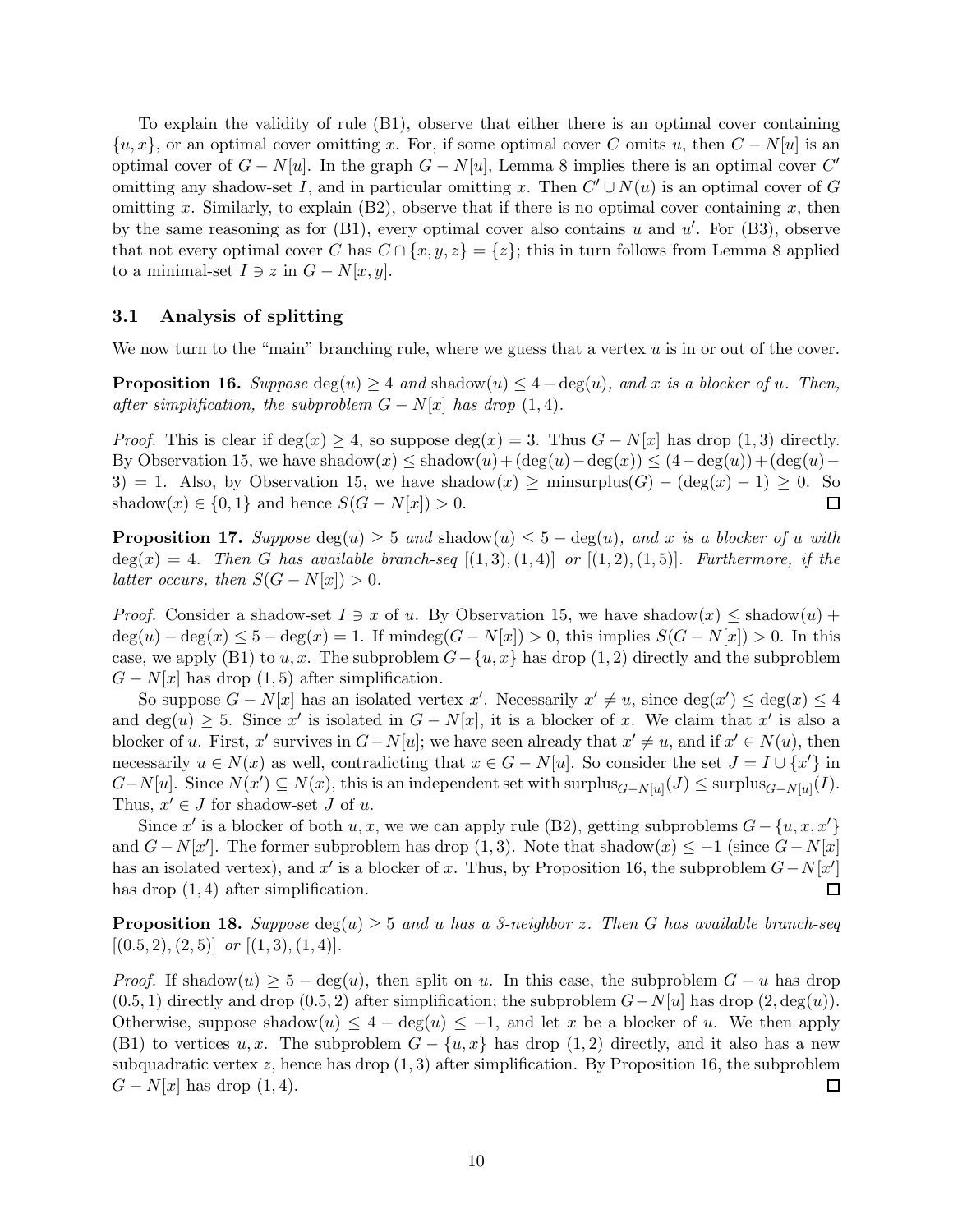To explain the validity of rule (B1), observe that either there is an optimal cover containing  $\{u, x\}$ , or an optimal cover omitting x. For, if some optimal cover C omits u, then  $C - N[u]$  is an optimal cover of  $G - N[u]$ . In the graph  $G - N[u]$ , Lemma [8](#page-4-0) implies there is an optimal cover  $C'$ omitting any shadow-set I, and in particular omitting x. Then  $C' \cup N(u)$  is an optimal cover of G omitting x. Similarly, to explain  $(B2)$ , observe that if there is no optimal cover containing x, then by the same reasoning as for  $(B1)$ , every optimal cover also contains u and u'. For  $(B3)$ , observe that not every optimal cover C has  $C \cap \{x, y, z\} = \{z\}$ ; this in turn follows from Lemma [8](#page-4-0) applied to a minimal-set  $I \ni z$  in  $G - N[x, y]$ .

### 3.1 Analysis of splitting

<span id="page-9-0"></span>We now turn to the "main" branching rule, where we guess that a vertex  $u$  is in or out of the cover.

**Proposition 16.** Suppose  $deg(u) \geq 4$  and shadow $(u) \leq 4 - deg(u)$ , and x is a blocker of u. Then, after simplification, the subproblem  $G - N[x]$  has drop (1,4).

*Proof.* This is clear if deg(x)  $\geq 4$ , so suppose deg(x) = 3. Thus  $G - N[x]$  has drop (1,3) directly. By Observation [15,](#page-8-0) we have shadow $(x) \leq$  shadow $(u) + (\deg(u) - \deg(x)) \leq (4 - \deg(u)) + (\deg(u) - \deg(u))$ 3) = 1. Also, by Observation [15,](#page-8-0) we have shadow $(x) \ge \text{minsurplus}(G) - (\text{deg}(x) - 1) \ge 0$ . So shadow $(x) \in \{0, 1\}$  and hence  $S(G - N[x]) > 0$ .  $\Box$ 

<span id="page-9-1"></span>**Proposition 17.** Suppose  $deg(u) \geq 5$  and shadow $(u) \leq 5 - deg(u)$ , and x is a blocker of u with  $deg(x) = 4$ . Then G has available branch-seq  $[(1,3), (1,4)]$  or  $[(1,2), (1,5)]$ . Furthermore, if the latter occurs, then  $S(G - N[x]) > 0$ .

*Proof.* Consider a shadow-set  $I \ni x$  of u. By Observation [15,](#page-8-0) we have shadow $(x) \leq$  shadow $(u)$  +  $deg(u) - deg(x) \leq 5 - deg(x) = 1$ . If mindeg $(G - N[x]) > 0$ , this implies  $S(G - N[x]) > 0$ . In this case, we apply (B1) to u, x. The subproblem  $G - \{u, x\}$  has drop (1, 2) directly and the subproblem  $G - N[x]$  has drop  $(1, 5)$  after simplification.

So suppose  $G - N[x]$  has an isolated vertex x'. Necessarily  $x' \neq u$ , since  $deg(x') \leq deg(x) \leq 4$ and  $deg(u) \geq 5$ . Since x' is isolated in  $G - N[x]$ , it is a blocker of x. We claim that x' is also a blocker of u. First, x' survives in  $G-N[u]$ ; we have seen already that  $x' \neq u$ , and if  $x' \in N(u)$ , then necessarily  $u \in N(x)$  as well, contradicting that  $x \in G - N[u]$ . So consider the set  $J = I \cup \{x'\}$  in  $G-N[u]$ . Since  $N(x') \subseteq N(x)$ , this is an independent set with surplus $_{G-N[u]}(J) \leq$  surplus $_{G-N[u]}(I)$ . Thus,  $x' \in J$  for shadow-set  $J$  of  $u$ .

Since x' is a blocker of both  $u, x$ , we we can apply rule (B2), getting subproblems  $G - \{u, x, x'\}$ and  $G - N[x']$ . The former subproblem has drop (1,3). Note that shadow(x)  $\leq -1$  (since  $G - N[x]$ has an isolated vertex), and x' is a blocker of x. Thus, by Proposition [16,](#page-9-0) the subproblem  $G - N[x']$  $\Box$ has drop  $(1, 4)$  after simplification.

<span id="page-9-2"></span>**Proposition 18.** Suppose  $\deg(u) \geq 5$  and u has a 3-neighbor z. Then G has available branch-seq  $[(0.5, 2), (2, 5)]$  or  $[(1, 3), (1, 4)].$ 

<span id="page-9-3"></span>*Proof.* If shadow $(u) \geq 5 - \deg(u)$ , then split on u. In this case, the subproblem  $G - u$  has drop  $(0.5, 1)$  directly and drop  $(0.5, 2)$  after simplification; the subproblem  $G-N[u]$  has drop  $(2, \deg(u))$ . Otherwise, suppose shadow $(u) \leq 4 - \deg(u) \leq -1$ , and let x be a blocker of u. We then apply (B1) to vertices u, x. The subproblem  $G - \{u, x\}$  has drop (1,2) directly, and it also has a new subquadratic vertex  $z$ , hence has drop  $(1, 3)$  after simplification. By Proposition [16,](#page-9-0) the subproblem  $G - N[x]$  has drop  $(1, 4)$ .  $\Box$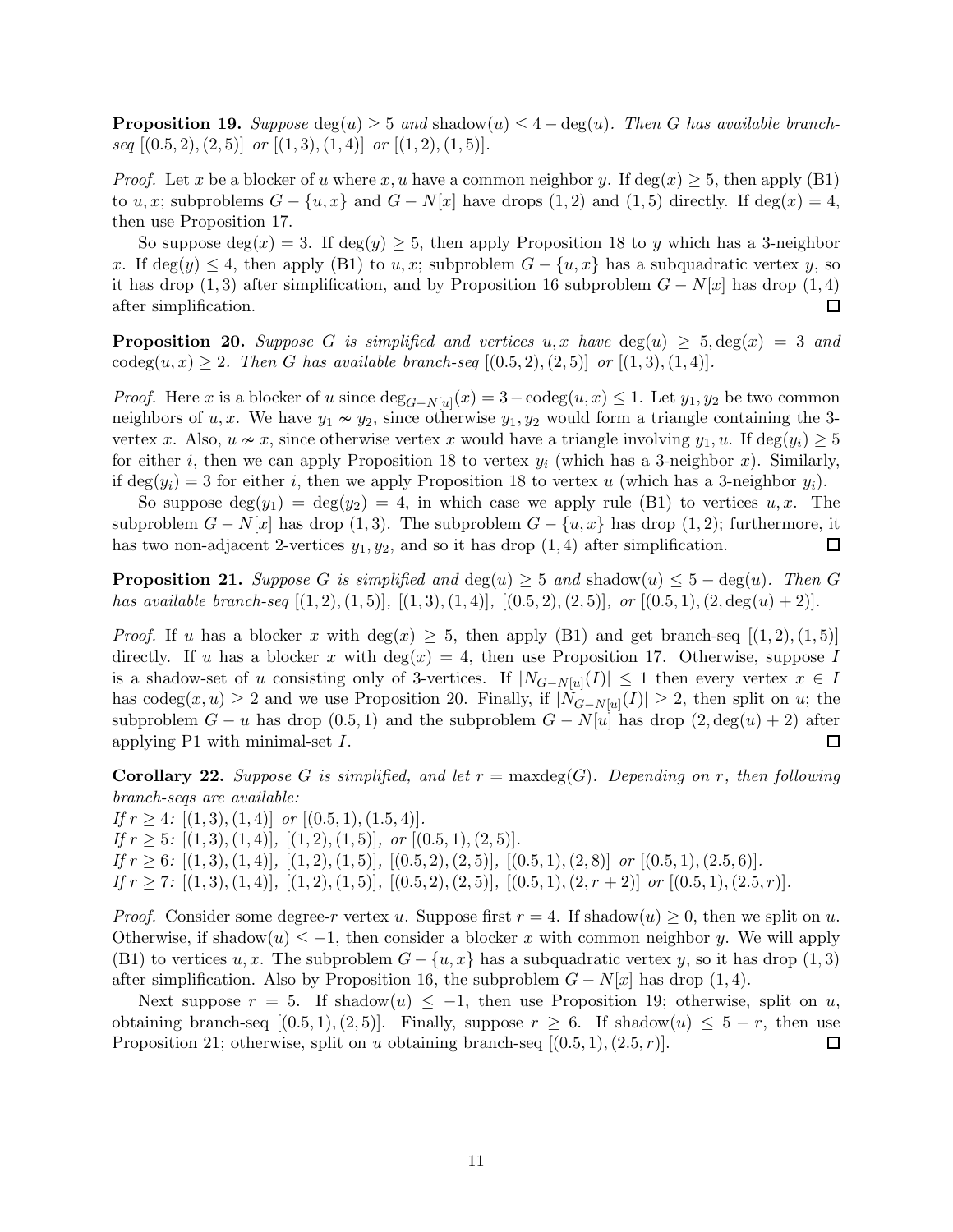**Proposition 19.** Suppose  $\deg(u) \geq 5$  and shadow $(u) \leq 4 - \deg(u)$ . Then G has available branchseq  $[(0.5, 2), (2, 5)]$  or  $[(1, 3), (1, 4)]$  or  $[(1, 2), (1, 5)].$ 

*Proof.* Let x be a blocker of u where x, u have a common neighbor y. If  $deg(x) \geq 5$ , then apply (B1) to u, x; subproblems  $G - \{u, x\}$  and  $G - N[x]$  have drops (1, 2) and (1, 5) directly. If deg(x) = 4, then use Proposition [17.](#page-9-1)

So suppose  $\deg(x) = 3$ . If  $\deg(y) \geq 5$ , then apply Proposition [18](#page-9-2) to y which has a 3-neighbor x. If deg(y)  $\leq 4$ , then apply (B1) to u, x; subproblem  $G - \{u, x\}$  has a subquadratic vertex y, so it has drop (1,3) after simplification, and by Proposition [16](#page-9-0) subproblem  $G - N[x]$  has drop (1,4) after simplification. 口

<span id="page-10-0"></span>**Proposition 20.** Suppose G is simplified and vertices u, x have deg(u)  $\geq$  5, deg(x) = 3 and codeg $(u, x) \geq 2$ . Then G has available branch-seq  $[(0.5, 2), (2, 5)]$  or  $[(1, 3), (1, 4)]$ .

*Proof.* Here x is a blocker of u since  $\deg_{G-N[u]}(x) = 3 - \mathrm{codeg}(u, x) \leq 1$ . Let  $y_1, y_2$  be two common neighbors of u, x. We have  $y_1 \nsim y_2$ , since otherwise  $y_1, y_2$  would form a triangle containing the 3vertex x. Also,  $u \nsim x$ , since otherwise vertex x would have a triangle involving  $y_1, u$ . If deg $(y_i) \geq 5$ for either i, then we can apply Proposition [18](#page-9-2) to vertex  $y_i$  (which has a 3-neighbor x). Similarly, if  $\deg(y_i) = 3$  for either i, then we apply Proposition [18](#page-9-2) to vertex u (which has a 3-neighbor  $y_i$ ).

So suppose  $\deg(y_1) = \deg(y_2) = 4$ , in which case we apply rule (B1) to vertices  $u, x$ . The subproblem  $G - N[x]$  has drop (1, 3). The subproblem  $G - \{u, x\}$  has drop (1, 2); furthermore, it has two non-adjacent 2-vertices  $y_1, y_2$ , and so it has drop  $(1, 4)$  after simplification. □

<span id="page-10-1"></span>**Proposition 21.** Suppose G is simplified and  $deg(u) \geq 5$  and shadow $(u) \leq 5 - deg(u)$ . Then G has available branch-seq  $[(1, 2), (1, 5)], [(1, 3), (1, 4)], [(0.5, 2), (2, 5)], or [(0.5, 1), (2, deg(u) + 2)].$ 

*Proof.* If u has a blocker x with deg(x)  $\geq$  5, then apply (B1) and get branch-seq  $[(1, 2), (1, 5)]$ directly. If u has a blocker x with  $deg(x) = 4$ , then use Proposition [17.](#page-9-1) Otherwise, suppose I is a shadow-set of u consisting only of 3-vertices. If  $|N_{G-N[u]}(I)| \leq 1$  then every vertex  $x \in I$ has codeg $(x, u) \geq 2$  and we use Proposition [20.](#page-10-0) Finally, if  $|N_{G-N[u]}(I)| \geq 2$ , then split on u; the subproblem  $G - u$  has drop (0.5, 1) and the subproblem  $G - N[u]$  has drop  $(2, deg(u) + 2)$  after applying P1 with minimal-set I. □

<span id="page-10-2"></span>**Corollary 22.** Suppose G is simplified, and let  $r = \text{maxdeg}(G)$ . Depending on r, then following branch-seqs are available:

If  $r \geq 4$ :  $[(1,3), (1,4)]$  or  $[(0.5,1), (1.5,4)].$ If  $r \geq 5$ :  $[(1,3), (1,4)]$ ,  $[(1,2), (1,5)]$ , or  $[(0.5,1), (2,5)]$ . If  $r \geq 6$ :  $[(1,3), (1,4)]$ ,  $[(1,2), (1,5)]$ ,  $[(0.5,2), (2,5)]$ ,  $[(0.5,1), (2,8)]$  or  $[(0.5,1), (2.5,6)]$ . If  $r \geq 7$ :  $[(1,3), (1,4)]$ ,  $[(1,2), (1,5)]$ ,  $[(0.5,2), (2,5)]$ ,  $[(0.5,1), (2,r+2)]$  or  $[(0.5,1), (2.5,r)]$ .

*Proof.* Consider some degree-r vertex u. Suppose first  $r = 4$ . If shadow $(u) \ge 0$ , then we split on u. Otherwise, if shadow $(u) \leq -1$ , then consider a blocker x with common neighbor y. We will apply (B1) to vertices  $u, x$ . The subproblem  $G - \{u, x\}$  has a subquadratic vertex y, so it has drop (1,3) after simplification. Also by Proposition [16,](#page-9-0) the subproblem  $G - N[x]$  has drop (1,4).

Next suppose  $r = 5$ . If shadow $(u) \leq -1$ , then use Proposition [19;](#page-9-3) otherwise, split on u, obtaining branch-seq  $[(0.5, 1), (2, 5)]$ . Finally, suppose  $r \geq 6$ . If shadow $(u) \leq 5 - r$ , then use Proposition [21;](#page-10-1) otherwise, split on u obtaining branch-seq  $[(0.5, 1), (2.5, r)].$  $\Box$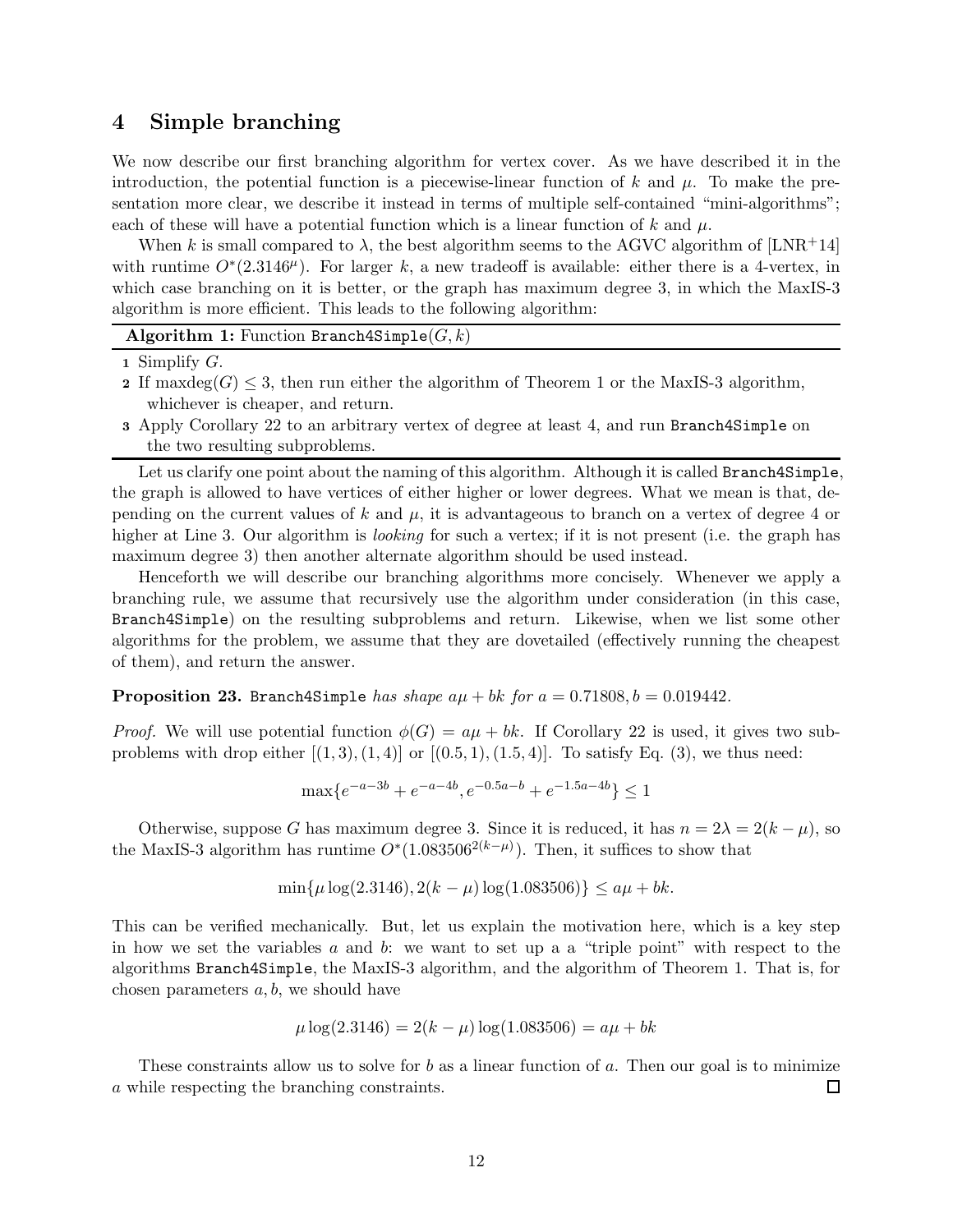## <span id="page-11-0"></span>4 Simple branching

We now describe our first branching algorithm for vertex cover. As we have described it in the introduction, the potential function is a piecewise-linear function of k and  $\mu$ . To make the presentation more clear, we describe it instead in terms of multiple self-contained "mini-algorithms"; each of these will have a potential function which is a linear function of k and  $\mu$ .

When k is small compared to  $\lambda$ , the best algorithm seems to the AGVC algorithm of [\[LNR](#page-41-1)+14] with runtime  $O^*(2.3146^{\mu})$ . For larger k, a new tradeoff is available: either there is a 4-vertex, in which case branching on it is better, or the graph has maximum degree 3, in which the MaxIS-3 algorithm is more efficient. This leads to the following algorithm:

| Algorithm 1: Function Branch4Simple( $G, k$ ) |  |  |  |  |  |  |
|-----------------------------------------------|--|--|--|--|--|--|
|-----------------------------------------------|--|--|--|--|--|--|

1 Simplify  $G$ .

- 2 If maxdeg( $G$ )  $\leq$  3, then run either the algorithm of Theorem [1](#page-1-0) or the MaxIS-3 algorithm, whichever is cheaper, and return.
- 3 Apply Corollary [22](#page-10-2) to an arbitrary vertex of degree at least 4, and run Branch4Simple on the two resulting subproblems.

Let us clarify one point about the naming of this algorithm. Although it is called Branch4Simple, the graph is allowed to have vertices of either higher or lower degrees. What we mean is that, depending on the current values of k and  $\mu$ , it is advantageous to branch on a vertex of degree 4 or higher at Line 3. Our algorithm is *looking* for such a vertex; if it is not present (i.e. the graph has maximum degree 3) then another alternate algorithm should be used instead.

Henceforth we will describe our branching algorithms more concisely. Whenever we apply a branching rule, we assume that recursively use the algorithm under consideration (in this case, Branch4Simple) on the resulting subproblems and return. Likewise, when we list some other algorithms for the problem, we assume that they are dovetailed (effectively running the cheapest of them), and return the answer.

**Proposition 23.** Branch4Simple has shape  $a\mu + bk$  for  $a = 0.71808$ ,  $b = 0.019442$ .

*Proof.* We will use potential function  $\phi(G) = a\mu + bk$ . If Corollary [22](#page-10-2) is used, it gives two subproblems with drop either  $[(1, 3), (1, 4)]$  or  $[(0.5, 1), (1.5, 4)]$ . To satisfy Eq. [\(3\)](#page-7-4), we thus need:

$$
\max\{e^{-a-3b} + e^{-a-4b}, e^{-0.5a-b} + e^{-1.5a-4b}\} \le 1
$$

Otherwise, suppose G has maximum degree 3. Since it is reduced, it has  $n = 2\lambda = 2(k - \mu)$ , so the MaxIS-3 algorithm has runtime  $O^*(1.083506^{2(k-\mu)})$ . Then, it suffices to show that

$$
\min\{\mu \log(2.3146), 2(k - \mu) \log(1.083506)\} \le a\mu + bk.
$$

This can be verified mechanically. But, let us explain the motivation here, which is a key step in how we set the variables  $a$  and  $b$ : we want to set up a a "triple point" with respect to the algorithms Branch4Simple, the MaxIS-3 algorithm, and the algorithm of Theorem [1.](#page-1-0) That is, for chosen parameters  $a, b$ , we should have

$$
\mu \log(2.3146) = 2(k - \mu) \log(1.083506) = a\mu + bk
$$

These constraints allow us to solve for b as a linear function of a. Then our goal is to minimize a while respecting the branching constraints. □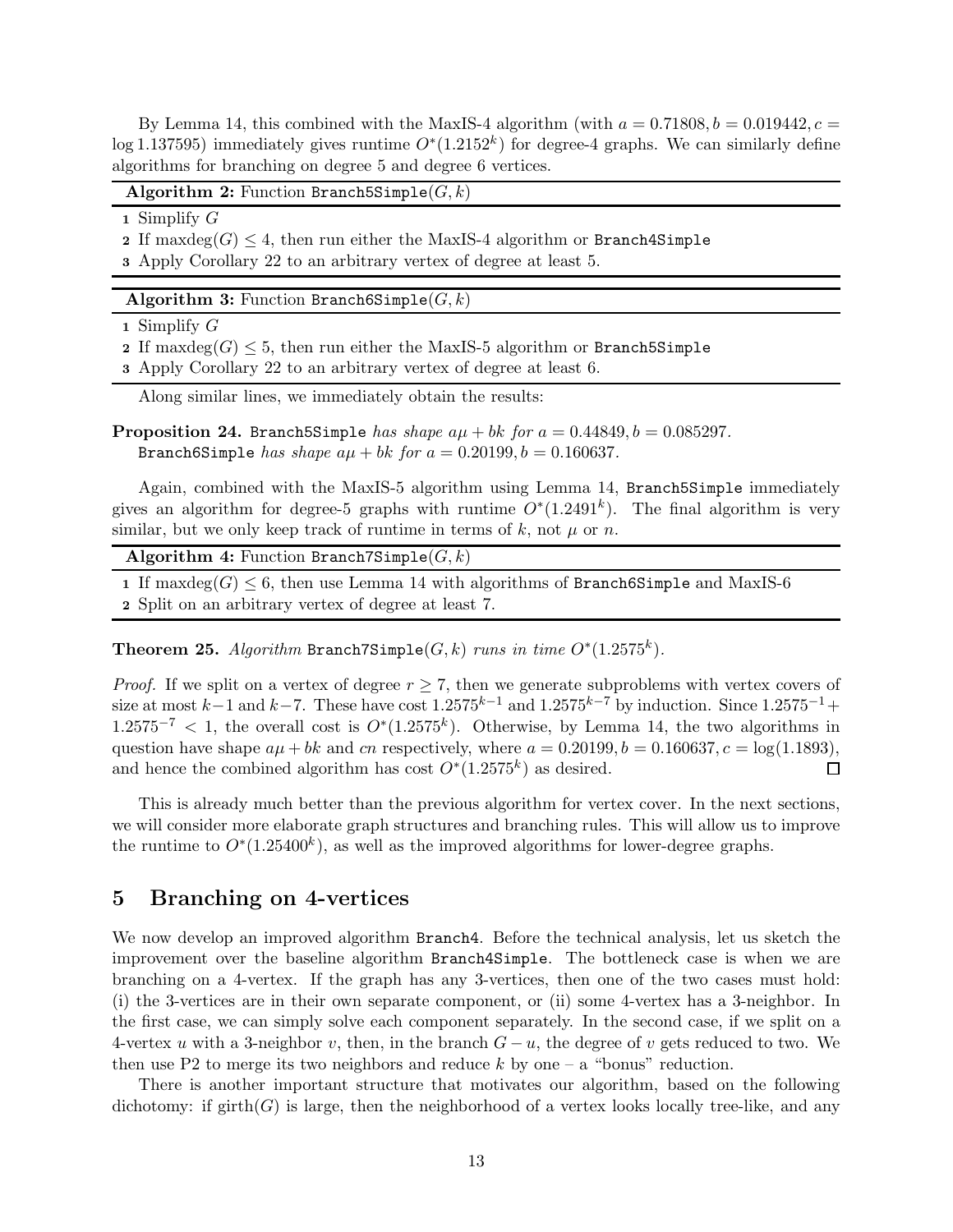By Lemma [14,](#page-7-3) this combined with the MaxIS-4 algorithm (with  $a = 0.71808, b = 0.019442, c =$ log 1.137595) immediately gives runtime  $O^*(1.2152^k)$  for degree-4 graphs. We can similarly define algorithms for branching on degree 5 and degree 6 vertices.

### Algorithm 2: Function Branch5Simple $(G, k)$

1 Simplify  $G$ 

2 If maxdeg( $G$ )  $\leq$  4, then run either the MaxIS-4 algorithm or Branch4Simple

3 Apply Corollary [22](#page-10-2) to an arbitrary vertex of degree at least 5.

#### Algorithm 3: Function Branch6Simple $(G, k)$

1 Simplify  $G$ 

2 If maxdeg( $G \leq 5$ , then run either the MaxIS-5 algorithm or Branch5Simple

3 Apply Corollary [22](#page-10-2) to an arbitrary vertex of degree at least 6.

Along similar lines, we immediately obtain the results:

**Proposition 24.** Branch5Simple has shape  $a\mu + bk$  for  $a = 0.44849$ ,  $b = 0.085297$ . Branch6Simple has shape  $a\mu + bk$  for  $a = 0.20199$ ,  $b = 0.160637$ .

Again, combined with the MaxIS-5 algorithm using Lemma [14,](#page-7-3) Branch5Simple immediately gives an algorithm for degree-5 graphs with runtime  $O^*(1.2491^k)$ . The final algorithm is very similar, but we only keep track of runtime in terms of k, not  $\mu$  or n.

| Algorithm 4: Function Branch7Simple( $G, k$ ) |  |  |  |  |
|-----------------------------------------------|--|--|--|--|
|-----------------------------------------------|--|--|--|--|

1 If maxdeg( $G$ )  $\leq$  6, then use Lemma [14](#page-7-3) with algorithms of Branch6Simple and MaxIS-6

2 Split on an arbitrary vertex of degree at least 7.

**Theorem 25.** Algorithm Branch7Simple( $G, k$ ) runs in time  $O^*(1.2575^k)$ .

*Proof.* If we split on a vertex of degree  $r \geq 7$ , then we generate subproblems with vertex covers of size at most k−1 and k−7. These have cost  $1.2575^{k-1}$  and  $1.2575^{k-7}$  by induction. Since  $1.2575^{-1}+$  $1.2575^{-7}$  < 1, the overall cost is  $O<sup>*</sup>(1.2575<sup>k</sup>)$ . Otherwise, by Lemma [14,](#page-7-3) the two algorithms in question have shape  $a\mu + bk$  and cn respectively, where  $a = 0.20199, b = 0.160637, c = \log(1.1893)$ , and hence the combined algorithm has cost  $O^*(1.2575^k)$  as desired.  $\Box$ 

This is already much better than the previous algorithm for vertex cover. In the next sections, we will consider more elaborate graph structures and branching rules. This will allow us to improve the runtime to  $O^*(1.25400^k)$ , as well as the improved algorithms for lower-degree graphs.

## 5 Branching on 4-vertices

We now develop an improved algorithm Branch4. Before the technical analysis, let us sketch the improvement over the baseline algorithm Branch4Simple. The bottleneck case is when we are branching on a 4-vertex. If the graph has any 3-vertices, then one of the two cases must hold: (i) the 3-vertices are in their own separate component, or (ii) some 4-vertex has a 3-neighbor. In the first case, we can simply solve each component separately. In the second case, if we split on a 4-vertex u with a 3-neighbor v, then, in the branch  $G - u$ , the degree of v gets reduced to two. We then use P2 to merge its two neighbors and reduce k by one  $-$  a "bonus" reduction.

There is another important structure that motivates our algorithm, based on the following dichotomy: if girth $(G)$  is large, then the neighborhood of a vertex looks locally tree-like, and any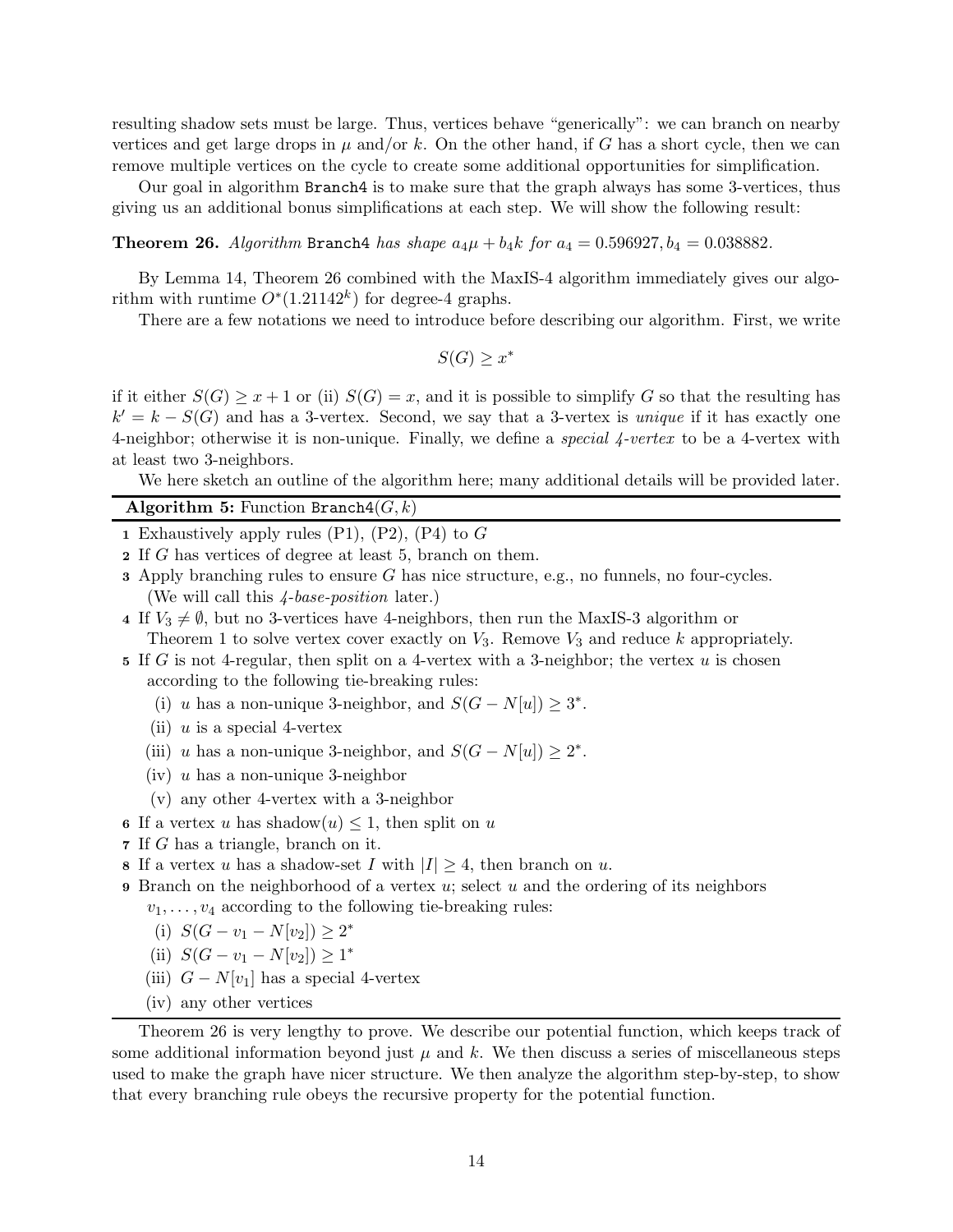resulting shadow sets must be large. Thus, vertices behave "generically": we can branch on nearby vertices and get large drops in  $\mu$  and/or k. On the other hand, if G has a short cycle, then we can remove multiple vertices on the cycle to create some additional opportunities for simplification.

<span id="page-13-0"></span>Our goal in algorithm Branch4 is to make sure that the graph always has some 3-vertices, thus giving us an additional bonus simplifications at each step. We will show the following result:

### **Theorem 26.** Algorithm Branch4 has shape  $a_4\mu + b_4k$  for  $a_4 = 0.596927, b_4 = 0.038882$ .

By Lemma [14,](#page-7-3) Theorem [26](#page-13-0) combined with the MaxIS-4 algorithm immediately gives our algorithm with runtime  $O^*(1.21142^k)$  for degree-4 graphs.

There are a few notations we need to introduce before describing our algorithm. First, we write

 $S(G) \geq x^*$ 

if it either  $S(G) \geq x + 1$  or (ii)  $S(G) = x$ , and it is possible to simplify G so that the resulting has  $k' = k - S(G)$  and has a 3-vertex. Second, we say that a 3-vertex is *unique* if it has exactly one 4-neighbor; otherwise it is non-unique. Finally, we define a *special 4-vertex* to be a 4-vertex with at least two 3-neighbors.

We here sketch an outline of the algorithm here; many additional details will be provided later.

### Algorithm 5: Function Branch $4(G, k)$

- 1 Exhaustively apply rules  $(P1)$ ,  $(P2)$ ,  $(P4)$  to G
- 2 If G has vertices of degree at least 5, branch on them.
- $\alpha$  3 Apply branching rules to ensure G has nice structure, e.g., no funnels, no four-cycles. (We will call this 4-base-position later.)
- 4 If  $V_3 \neq \emptyset$ , but no 3-vertices have 4-neighbors, then run the MaxIS-3 algorithm or Theorem [1](#page-1-0) to solve vertex cover exactly on  $V_3$ . Remove  $V_3$  and reduce k appropriately.
- 5 If G is not 4-regular, then split on a 4-vertex with a 3-neighbor; the vertex u is chosen according to the following tie-breaking rules:
	- (i) u has a non-unique 3-neighbor, and  $S(G N[u]) \geq 3^*$ .
	- (ii)  $u$  is a special 4-vertex
	- (iii) u has a non-unique 3-neighbor, and  $S(G N[u]) \geq 2^*$ .
	- $(iv)$  u has a non-unique 3-neighbor
	- (v) any other 4-vertex with a 3-neighbor
- 6 If a vertex u has shadow $(u) \leq 1$ , then split on u
- 7 If G has a triangle, branch on it.
- 8 If a vertex u has a shadow-set I with  $|I| \geq 4$ , then branch on u.
- 9 Branch on the neighborhood of a vertex  $u$ ; select  $u$  and the ordering of its neighbors  $v_1, \ldots, v_4$  according to the following tie-breaking rules:
	- (i)  $S(G v_1 N[v_2]) \geq 2^*$
	- (ii)  $S(G v_1 N[v_2]) \ge 1^*$
	- (iii)  $G N[v_1]$  has a special 4-vertex
	- (iv) any other vertices

Theorem [26](#page-13-0) is very lengthy to prove. We describe our potential function, which keeps track of some additional information beyond just  $\mu$  and k. We then discuss a series of miscellaneous steps used to make the graph have nicer structure. We then analyze the algorithm step-by-step, to show that every branching rule obeys the recursive property for the potential function.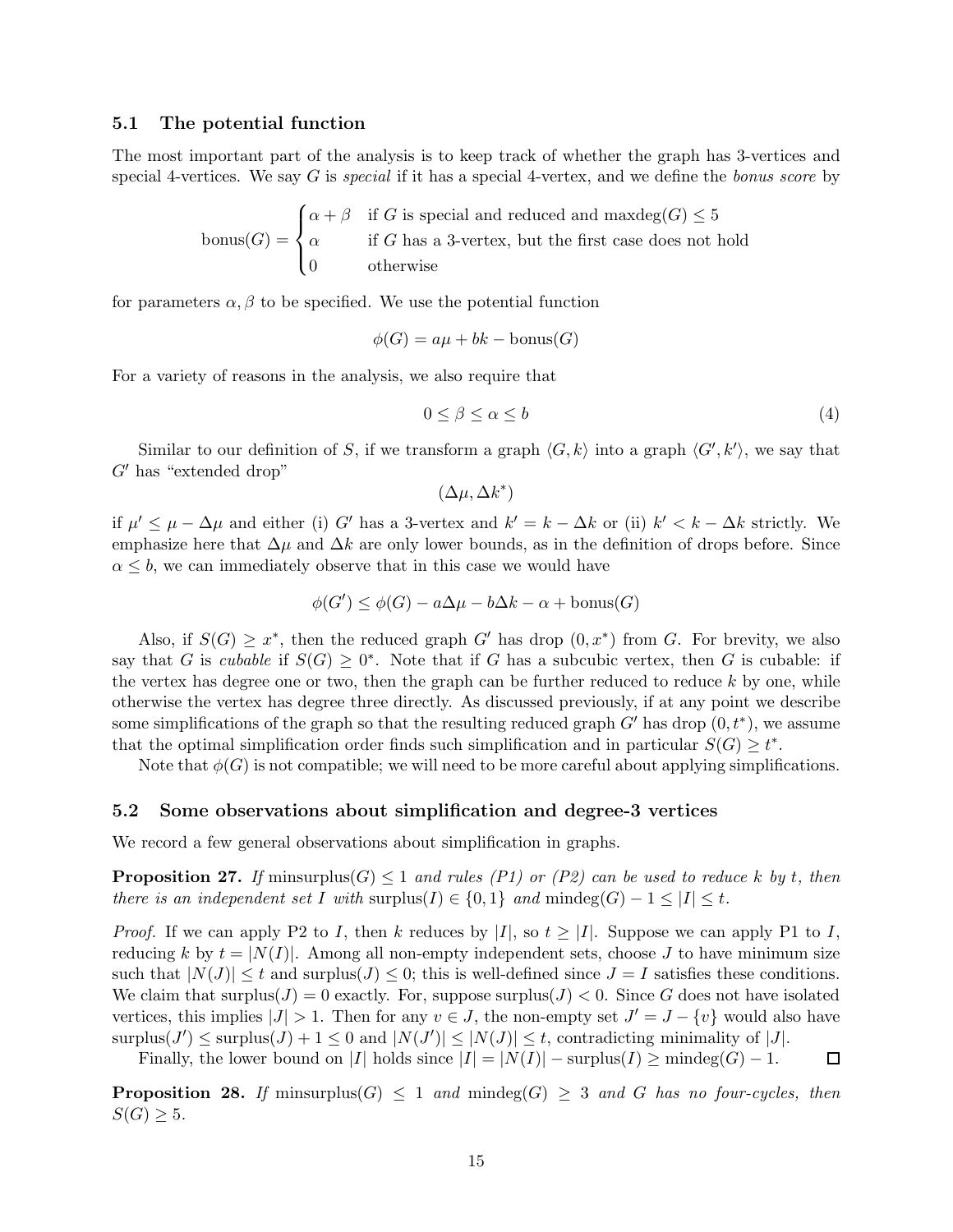### 5.1 The potential function

The most important part of the analysis is to keep track of whether the graph has 3-vertices and special 4-vertices. We say G is special if it has a special 4-vertex, and we define the bonus score by

$$
bonus(G) = \begin{cases} \alpha + \beta & \text{if } G \text{ is special and reduced and maxdeg}(G) \le 5\\ \alpha & \text{if } G \text{ has a 3-vertex, but the first case does not hold} \\ 0 & \text{otherwise} \end{cases}
$$

for parameters  $\alpha, \beta$  to be specified. We use the potential function

$$
\phi(G) = a\mu + bk - \text{bonus}(G)
$$

For a variety of reasons in the analysis, we also require that

<span id="page-14-2"></span>
$$
0 \le \beta \le \alpha \le b \tag{4}
$$

Similar to our definition of S, if we transform a graph  $\langle G, k \rangle$  into a graph  $\langle G', k' \rangle$ , we say that  $G'$  has "extended drop"

$$
(\Delta \mu, \Delta k^*)
$$

if  $\mu' \leq \mu - \Delta \mu$  and either (i) G' has a 3-vertex and  $k' = k - \Delta k$  or (ii)  $k' < k - \Delta k$  strictly. We emphasize here that  $\Delta \mu$  and  $\Delta k$  are only lower bounds, as in the definition of drops before. Since  $\alpha \leq b$ , we can immediately observe that in this case we would have

$$
\phi(G') \le \phi(G) - a\Delta\mu - b\Delta k - \alpha + \text{bonus}(G)
$$

Also, if  $S(G) \geq x^*$ , then the reduced graph G' has drop  $(0, x^*)$  from G. For brevity, we also say that G is cubable if  $S(G) \geq 0^*$ . Note that if G has a subcubic vertex, then G is cubable: if the vertex has degree one or two, then the graph can be further reduced to reduce  $k$  by one, while otherwise the vertex has degree three directly. As discussed previously, if at any point we describe some simplifications of the graph so that the resulting reduced graph  $G'$  has drop  $(0, t^*)$ , we assume that the optimal simplification order finds such simplification and in particular  $S(G) \geq t^*$ .

Note that  $\phi(G)$  is not compatible; we will need to be more careful about applying simplifications.

#### 5.2 Some observations about simplification and degree-3 vertices

<span id="page-14-0"></span>We record a few general observations about simplification in graphs.

**Proposition 27.** If minsurplus(G)  $\leq 1$  and rules (P1) or (P2) can be used to reduce k by t, then there is an independent set I with surplus(I)  $\in \{0,1\}$  and  $\text{mindeg}(G) - 1 \leq |I| \leq t$ .

*Proof.* If we can apply P2 to I, then k reduces by |I|, so  $t \geq |I|$ . Suppose we can apply P1 to I, reducing k by  $t = |N(I)|$ . Among all non-empty independent sets, choose J to have minimum size such that  $|N(J)| \leq t$  and surplus( $J \leq 0$ ; this is well-defined since  $J = I$  satisfies these conditions. We claim that surplus( $J$ ) = 0 exactly. For, suppose surplus( $J$ ) < 0. Since G does not have isolated vertices, this implies  $|J| > 1$ . Then for any  $v \in J$ , the non-empty set  $J' = J - \{v\}$  would also have surplus( $J'$ )  $\leq$  surplus( $J$ ) + 1  $\leq$  0 and  $|N(J')| \leq |N(J)| \leq t$ , contradicting minimality of |J|.

Finally, the lower bound on |I| holds since  $|I| = |N(I)| - \text{surplus}(I) \ge \text{mindeg}(G) - 1$ .  $\Box$ 

<span id="page-14-1"></span>**Proposition 28.** If minsurplus(G)  $\leq 1$  and mindeg(G)  $\geq 3$  and G has no four-cycles, then  $S(G) \geq 5$ .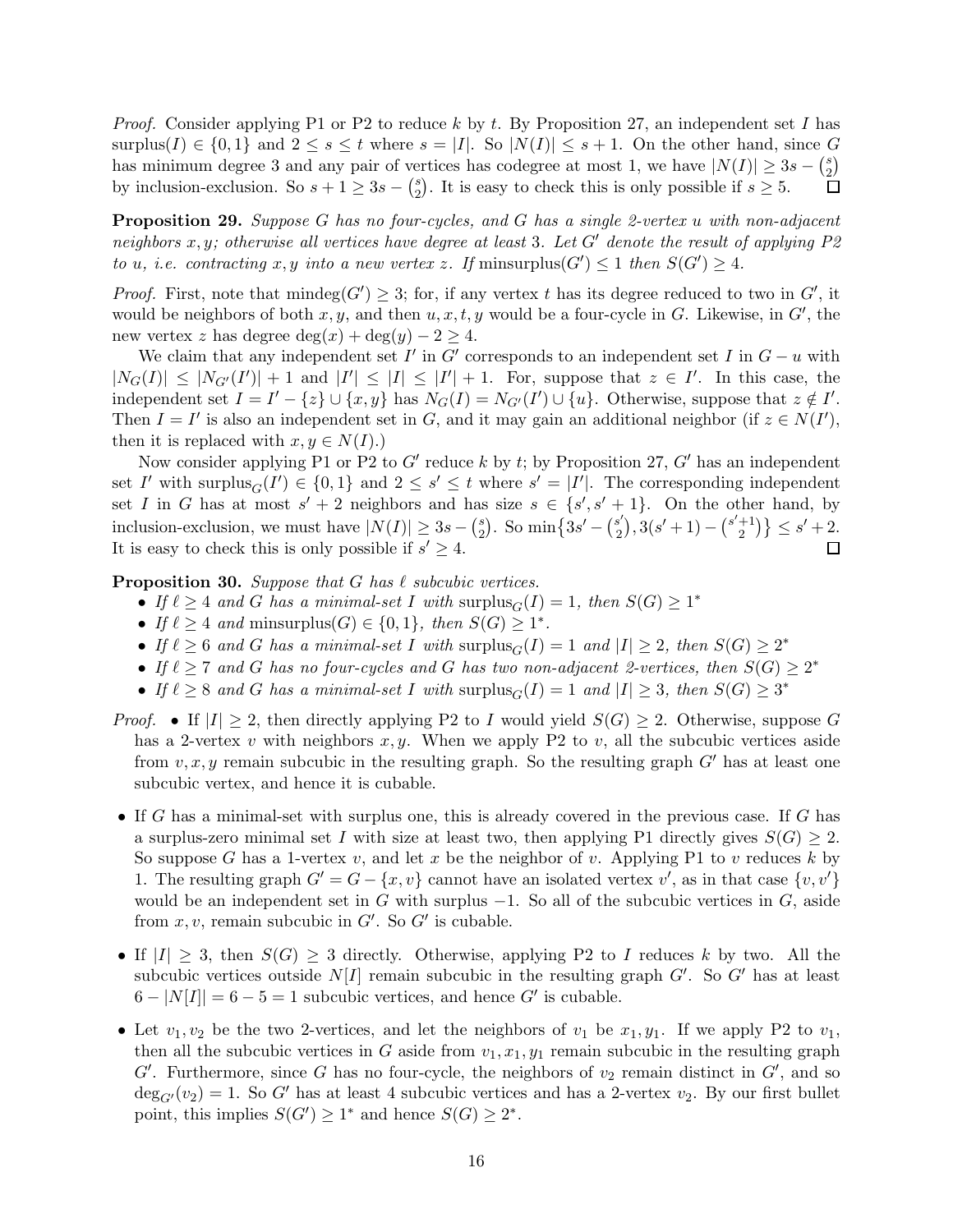*Proof.* Consider applying P1 or P2 to reduce k by t. By Proposition [27,](#page-14-0) an independent set I has surplus(I)  $\in \{0,1\}$  and  $2 \leq s \leq t$  where  $s = |I|$ . So  $|N(I)| \leq s+1$ . On the other hand, since G has minimum degree 3 and any pair of vertices has codegree at most 1, we have  $|N(I)| \geq 3s - {s \choose 2}$  $_{2}^{s}$ by inclusion-exclusion. So  $s + 1 \geq 3s - \binom{s}{2}$  $_2^s$ ). It is easy to check this is only possible if  $s \geq 5$ .

<span id="page-15-1"></span>Proposition 29. Suppose G has no four-cycles, and G has a single 2-vertex u with non-adjacent neighbors x, y; otherwise all vertices have degree at least 3. Let G' denote the result of applying  $P2$ to u, i.e. contracting x, y into a new vertex z. If minsurplus( $G'$ )  $\leq$  1 then  $S(G') \geq 4$ .

*Proof.* First, note that  $\text{mindeg}(G') \geq 3$ ; for, if any vertex t has its degree reduced to two in G', it would be neighbors of both  $x, y$ , and then  $u, x, t, y$  would be a four-cycle in G. Likewise, in G', the new vertex z has degree  $\deg(x) + \deg(y) - 2 \geq 4$ .

We claim that any independent set  $I'$  in  $G'$  corresponds to an independent set  $I$  in  $G - u$  with  $|N_G(I)| \leq |N_{G'}(I')| + 1$  and  $|I'| \leq |I| \leq |I'| + 1$ . For, suppose that  $z \in I'$ . In this case, the independent set  $I = I' - \{z\} \cup \{x, y\}$  has  $N_G(I) = N_{G'}(I') \cup \{u\}$ . Otherwise, suppose that  $z \notin I'$ . Then  $I = I'$  is also an independent set in G, and it may gain an additional neighbor (if  $z \in N(I')$ , then it is replaced with  $x, y \in N(I)$ .)

Now consider applying P1 or P2 to  $G'$  reduce k by t; by Proposition [27,](#page-14-0)  $G'$  has an independent set I' with surplus<sub>G</sub> $(I') \in \{0,1\}$  and  $2 \leq s' \leq t$  where  $s' = |I'|$ . The corresponding independent set I in G has at most  $s' + 2$  neighbors and has size  $s \in \{s', s' + 1\}$ . On the other hand, by  $\binom{s}{2}$ . So min $\left\{3s' - \binom{s'}{2} \right\}$  $s'_{2}$ , 3(s' + 1) – (s'+1) inclusion-exclusion, we must have  $|N(I)| \geq 3s - {s \choose 2}$  ${+1 \choose 2} \le s' + 2.$ It is easy to check this is only possible if  $s' \geq 4$ .  $\Box$ 

<span id="page-15-0"></span>**Proposition 30.** Suppose that G has  $\ell$  subcubic vertices.

- If  $\ell \geq 4$  and G has a minimal-set I with  $\text{surplus}_G(I) = 1$ , then  $S(G) \geq 1^*$
- If  $\ell \geq 4$  and minsurplus(G)  $\in \{0,1\}$ , then  $S(G) \geq 1^*$ .
- If  $\ell \geq 6$  and G has a minimal-set I with surplus $_G(I) = 1$  and  $|I| \geq 2$ , then  $S(G) \geq 2^*$
- If  $\ell \geq 7$  and G has no four-cycles and G has two non-adjacent 2-vertices, then  $S(G) \geq 2^*$
- If  $\ell \geq 8$  and G has a minimal-set I with surplus $_G(I) = 1$  and  $|I| \geq 3$ , then  $S(G) \geq 3^*$
- *Proof.* If  $|I| > 2$ , then directly applying P2 to I would yield  $S(G) > 2$ . Otherwise, suppose G has a 2-vertex v with neighbors  $x, y$ . When we apply P2 to v, all the subcubic vertices aside from  $v, x, y$  remain subcubic in the resulting graph. So the resulting graph G' has at least one subcubic vertex, and hence it is cubable.
- If G has a minimal-set with surplus one, this is already covered in the previous case. If G has a surplus-zero minimal set I with size at least two, then applying P1 directly gives  $S(G) \geq 2$ . So suppose G has a 1-vertex v, and let x be the neighbor of v. Applying P1 to v reduces k by 1. The resulting graph  $G' = G - \{x, v\}$  cannot have an isolated vertex  $v'$ , as in that case  $\{v, v'\}$ would be an independent set in G with surplus  $-1$ . So all of the subcubic vertices in G, aside from  $x, v$ , remain subcubic in  $G'$ . So  $G'$  is cubable.
- If  $|I| \geq 3$ , then  $S(G) \geq 3$  directly. Otherwise, applying P2 to I reduces k by two. All the subcubic vertices outside  $N[I]$  remain subcubic in the resulting graph  $G'$ . So  $G'$  has at least  $6 - |N|I|| = 6 - 5 = 1$  subcubic vertices, and hence G' is cubable.
- Let  $v_1, v_2$  be the two 2-vertices, and let the neighbors of  $v_1$  be  $x_1, y_1$ . If we apply P2 to  $v_1$ , then all the subcubic vertices in G aside from  $v_1, x_1, y_1$  remain subcubic in the resulting graph  $G'$ . Furthermore, since G has no four-cycle, the neighbors of  $v_2$  remain distinct in  $G'$ , and so  $\deg_{G'}(v_2) = 1$ . So G' has at least 4 subcubic vertices and has a 2-vertex  $v_2$ . By our first bullet point, this implies  $S(G') \geq 1^*$  and hence  $S(G) \geq 2^*$ .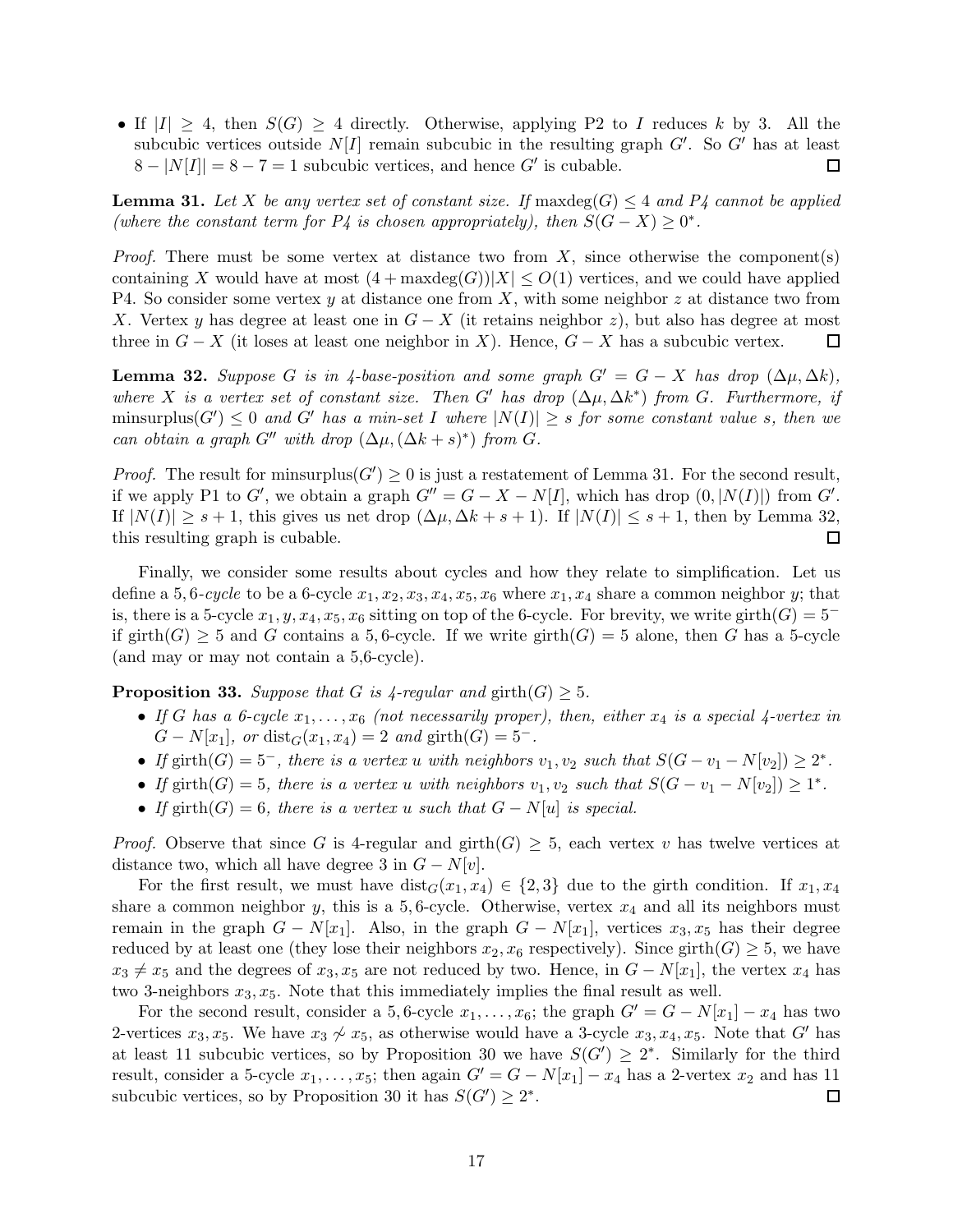• If  $|I| \geq 4$ , then  $S(G) \geq 4$  directly. Otherwise, applying P2 to I reduces k by 3. All the subcubic vertices outside  $N[I]$  remain subcubic in the resulting graph  $G'$ . So  $G'$  has at least  $8 - |N[I]| = 8 - 7 = 1$  subcubic vertices, and hence G' is cubable.  $\Box$ 

<span id="page-16-0"></span>**Lemma 31.** Let X be any vertex set of constant size. If max $\deg(G) \leq 4$  and P4 cannot be applied (where the constant term for  $P_4$  is chosen appropriately), then  $S(G - X) \geq 0^*$ .

*Proof.* There must be some vertex at distance two from  $X$ , since otherwise the components containing X would have at most  $(4 + \maxdeg(G))|X| \leq O(1)$  vertices, and we could have applied P4. So consider some vertex y at distance one from X, with some neighbor z at distance two from X. Vertex y has degree at least one in  $G - X$  (it retains neighbor z), but also has degree at most three in  $G - X$  (it loses at least one neighbor in X). Hence,  $G - X$  has a subcubic vertex.  $\Box$ 

<span id="page-16-1"></span>**Lemma 32.** Suppose G is in 4-base-position and some graph  $G' = G - X$  has drop  $(\Delta \mu, \Delta k)$ , where X is a vertex set of constant size. Then G' has drop  $(\Delta \mu, \Delta k^*)$  from G. Furthermore, if minsurplus( $G'$ )  $\leq 0$  and  $G'$  has a min-set I where  $|N(I)| \geq s$  for some constant value s, then we can obtain a graph  $G''$  with drop  $(\Delta \mu, (\Delta k + s)^*)$  from G.

*Proof.* The result for minsurplus( $G'$ )  $\geq 0$  is just a restatement of Lemma [31.](#page-16-0) For the second result, if we apply P1 to G', we obtain a graph  $G'' = G - X - N[I]$ , which has drop  $(0, |N(I)|)$  from G'. If  $|N(I)| \geq s+1$ , this gives us net drop  $(\Delta \mu, \Delta k + s + 1)$ . If  $|N(I)| \leq s+1$ , then by Lemma [32,](#page-16-1) this resulting graph is cubable. □

Finally, we consider some results about cycles and how they relate to simplification. Let us define a 5, 6-cycle to be a 6-cycle  $x_1, x_2, x_3, x_4, x_5, x_6$  where  $x_1, x_4$  share a common neighbor y; that is, there is a 5-cycle  $x_1, y, x_4, x_5, x_6$  sitting on top of the 6-cycle. For brevity, we write girth $(G) = 5^$ if girth(G)  $\geq$  5 and G contains a 5, 6-cycle. If we write girth(G) = 5 alone, then G has a 5-cycle (and may or may not contain a 5,6-cycle).

<span id="page-16-2"></span>**Proposition 33.** Suppose that G is  $\text{4-regular}$  and  $\text{girth}(G) \geq 5$ .

- If G has a 6-cycle  $x_1, \ldots, x_6$  (not necessarily proper), then, either  $x_4$  is a special 4-vertex in  $G - N[x_1]$ , or  $dist_G(x_1, x_4) = 2$  and girth $(G) = 5^-$ .
- If girth $(G) = 5^-$ , there is a vertex u with neighbors  $v_1, v_2$  such that  $S(G v_1 N[v_2]) \geq 2^*$ .
- If girth(G) = 5, there is a vertex u with neighbors  $v_1, v_2$  such that  $S(G v_1 N[v_2]) \geq 1^*$ .
- If girth(G) = 6, there is a vertex u such that  $G N[u]$  is special.

*Proof.* Observe that since G is 4-regular and girth $(G) \geq 5$ , each vertex v has twelve vertices at distance two, which all have degree 3 in  $G - N[v]$ .

For the first result, we must have  $dist_G(x_1, x_4) \in \{2, 3\}$  due to the girth condition. If  $x_1, x_4$ share a common neighbor y, this is a 5,6-cycle. Otherwise, vertex  $x_4$  and all its neighbors must remain in the graph  $G - N[x_1]$ . Also, in the graph  $G - N[x_1]$ , vertices  $x_3, x_5$  has their degree reduced by at least one (they lose their neighbors  $x_2, x_6$  respectively). Since girth( $G$ )  $\geq$  5, we have  $x_3 \neq x_5$  and the degrees of  $x_3, x_5$  are not reduced by two. Hence, in  $G - N[x_1]$ , the vertex  $x_4$  has two 3-neighbors  $x_3, x_5$ . Note that this immediately implies the final result as well.

For the second result, consider a 5,6-cycle  $x_1, \ldots, x_6$ ; the graph  $G' = G - N[x_1] - x_4$  has two 2-vertices  $x_3, x_5$ . We have  $x_3 \not\sim x_5$ , as otherwise would have a 3-cycle  $x_3, x_4, x_5$ . Note that G' has at least 11 subcubic vertices, so by Proposition [30](#page-15-0) we have  $S(G') \geq 2^*$ . Similarly for the third result, consider a 5-cycle  $x_1, \ldots, x_5$ ; then again  $G' = G - N[x_1] - x_4$  has a 2-vertex  $x_2$  and has 11 subcubic vertices, so by Proposition [30](#page-15-0) it has  $S(G') \geq 2^*$ . □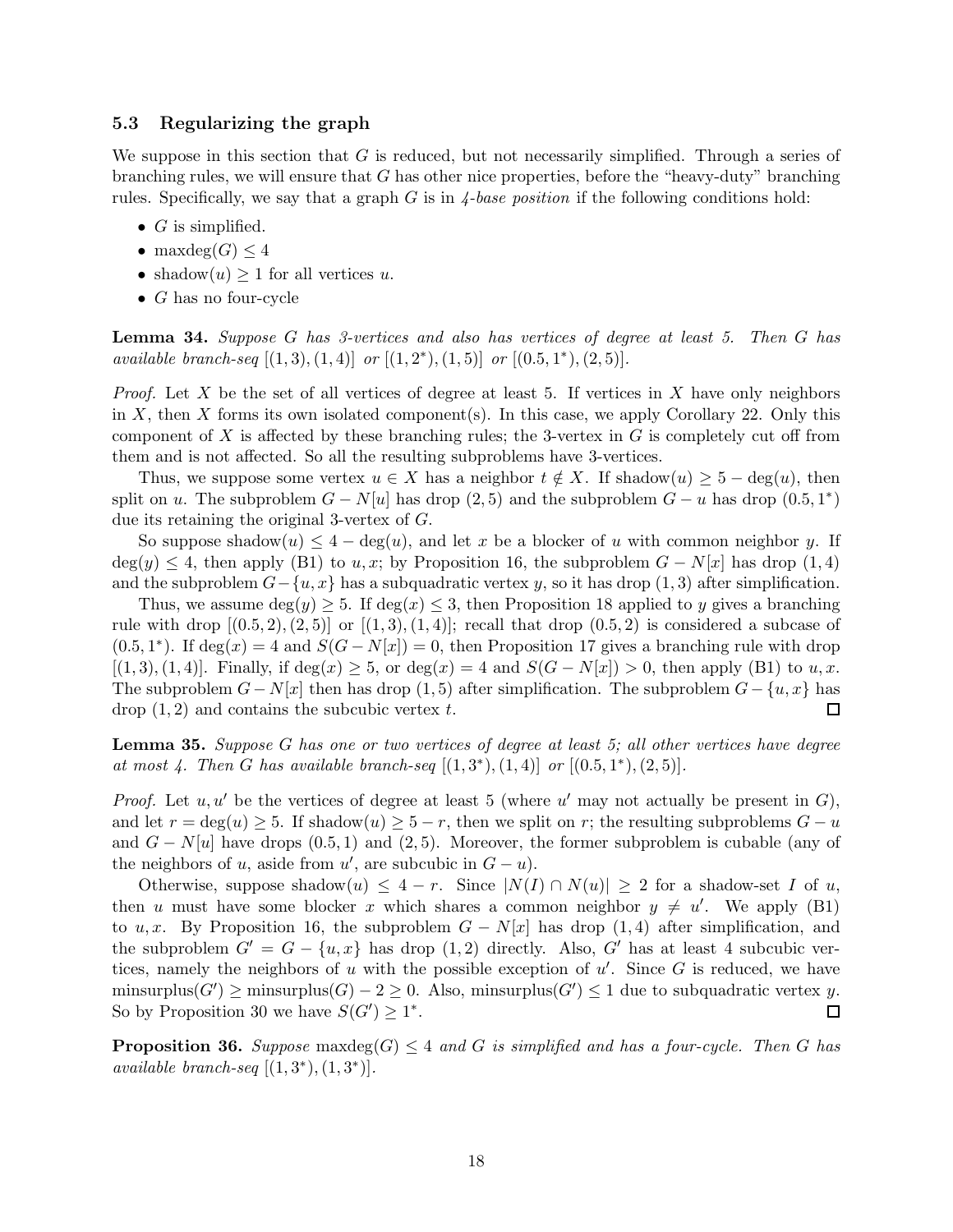### 5.3 Regularizing the graph

We suppose in this section that  $G$  is reduced, but not necessarily simplified. Through a series of branching rules, we will ensure that  $G$  has other nice properties, before the "heavy-duty" branching rules. Specifically, we say that a graph  $G$  is in  $\frac{4-base}{position}$  if the following conditions hold:

- $G$  is simplified.
- maxdeg $(G)$  < 4
- shadow $(u) \geq 1$  for all vertices u.
- $G$  has no four-cycle

<span id="page-17-1"></span>Lemma 34. Suppose G has 3-vertices and also has vertices of degree at least 5. Then G has available branch-seq  $[(1,3), (1,4)]$  or  $[(1,2^*), (1,5)]$  or  $[(0.5,1^*), (2,5)]$ .

*Proof.* Let X be the set of all vertices of degree at least 5. If vertices in X have only neighbors in X, then X forms its own isolated component(s). In this case, we apply Corollary [22.](#page-10-2) Only this component of X is affected by these branching rules; the 3-vertex in  $G$  is completely cut off from them and is not affected. So all the resulting subproblems have 3-vertices.

Thus, we suppose some vertex  $u \in X$  has a neighbor  $t \notin X$ . If shadow $(u) \geq 5 - \deg(u)$ , then split on u. The subproblem  $G - N[u]$  has drop  $(2, 5)$  and the subproblem  $G - u$  has drop  $(0.5, 1^*)$ due its retaining the original 3-vertex of G.

So suppose shadow $(u) \leq 4 - \deg(u)$ , and let x be a blocker of u with common neighbor y. If  $deg(y) \leq 4$ , then apply (B1) to u, x; by Proposition [16,](#page-9-0) the subproblem  $G - N[x]$  has drop (1, 4) and the subproblem  $G-\{u, x\}$  has a subquadratic vertex y, so it has drop (1,3) after simplification.

Thus, we assume  $\deg(y) \geq 5$ . If  $\deg(x) \leq 3$ , then Proposition [18](#page-9-2) applied to y gives a branching rule with drop  $[(0.5, 2), (2, 5)]$  or  $[(1, 3), (1, 4)]$ ; recall that drop  $(0.5, 2)$  is considered a subcase of  $(0.5, 1^*)$ . If deg(x) = 4 and  $S(G - N[x]) = 0$ , then Proposition [17](#page-9-1) gives a branching rule with drop  $[(1, 3), (1, 4)]$ . Finally, if deg(x) ≥ 5, or deg(x) = 4 and  $S(G - N[x]) > 0$ , then apply (B1) to u, x. The subproblem  $G - N[x]$  then has drop (1,5) after simplification. The subproblem  $G - \{u, x\}$  has  $\text{drop } (1, 2)$  and contains the subcubic vertex t. П

<span id="page-17-2"></span>Lemma 35. Suppose G has one or two vertices of degree at least 5; all other vertices have degree at most 4. Then G has available branch-seq  $[(1,3^*), (1,4)]$  or  $[(0.5,1^*), (2,5)]$ .

*Proof.* Let  $u, u'$  be the vertices of degree at least 5 (where  $u'$  may not actually be present in  $G$ ), and let  $r = \deg(u) \geq 5$ . If shadow $(u) \geq 5 - r$ , then we split on r; the resulting subproblems  $G - u$ and  $G - N[u]$  have drops (0.5, 1) and (2,5). Moreover, the former subproblem is cubable (any of the neighbors of u, aside from  $u'$ , are subcubic in  $G - u$ ).

Otherwise, suppose shadow(u)  $\leq 4 - r$ . Since  $|N(I) \cap N(u)| \geq 2$  for a shadow-set I of u, then u must have some blocker x which shares a common neighbor  $y \neq u'$ . We apply (B1) to u, x. By Proposition [16,](#page-9-0) the subproblem  $G - N[x]$  has drop (1,4) after simplification, and the subproblem  $G' = G - \{u, x\}$  has drop  $(1, 2)$  directly. Also, G' has at least 4 subcubic vertices, namely the neighbors of u with the possible exception of  $u'$ . Since G is reduced, we have minsurplus( $G'$ )  $\ge$  minsurplus( $G$ )  $-$  2  $\ge$  0. Also, minsurplus( $G'$ )  $\le$  1 due to subquadratic vertex y. So by Proposition [30](#page-15-0) we have  $S(G') \geq 1^*$ .  $\Box$ 

<span id="page-17-0"></span>**Proposition 36.** Suppose maxdeg(G)  $\leq$  4 and G is simplified and has a four-cycle. Then G has available branch-seq  $[(1,3^*),(1,3^*)]$ .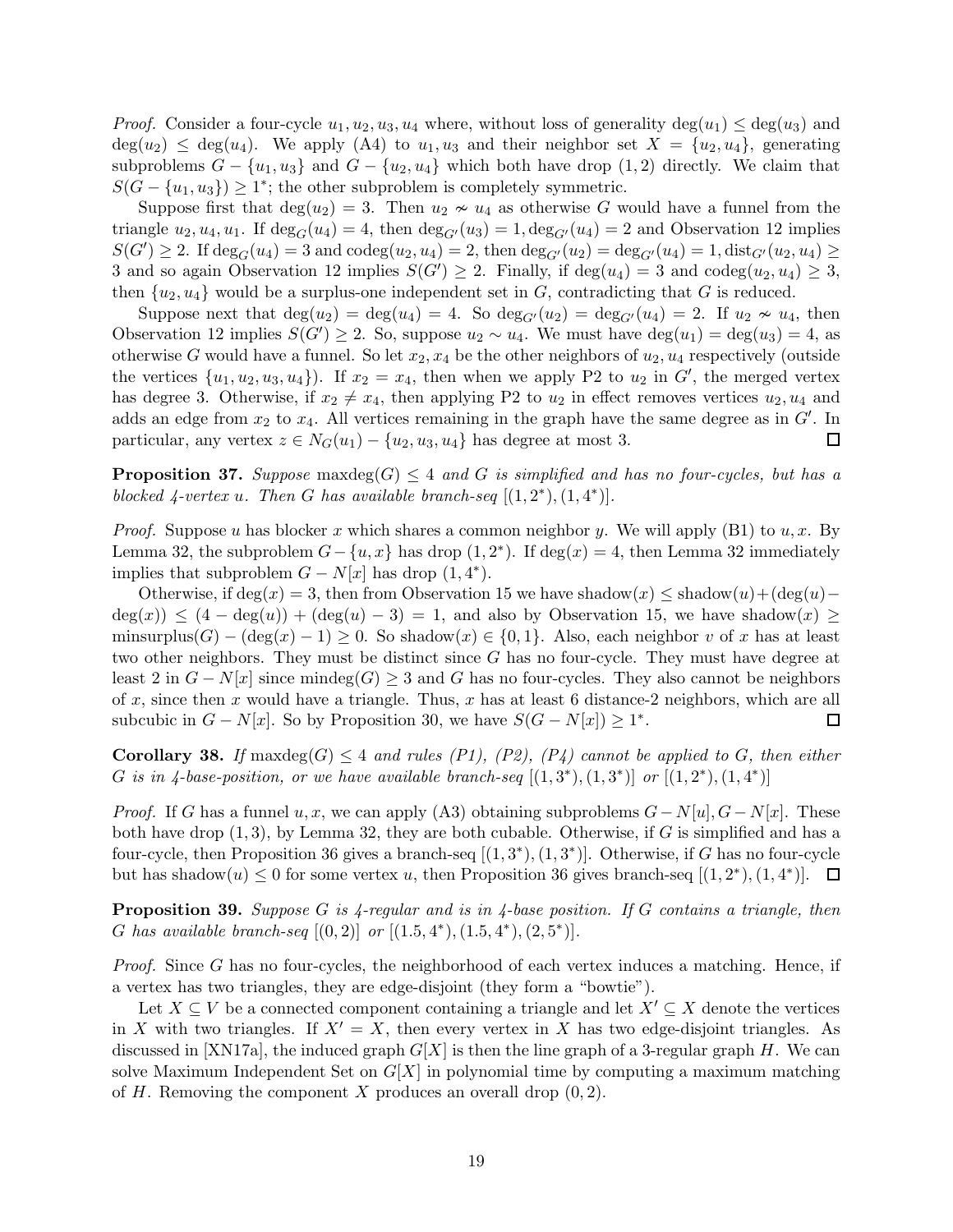*Proof.* Consider a four-cycle  $u_1, u_2, u_3, u_4$  where, without loss of generality deg( $u_1$ )  $\leq$  deg( $u_3$ ) and  $deg(u_2) \leq deg(u_4)$ . We apply (A4) to  $u_1, u_3$  and their neighbor set  $X = \{u_2, u_4\}$ , generating subproblems  $G - \{u_1, u_3\}$  and  $G - \{u_2, u_4\}$  which both have drop (1, 2) directly. We claim that  $S(G - \{u_1, u_3\}) \geq 1^*$ ; the other subproblem is completely symmetric.

Suppose first that  $\deg(u_2) = 3$ . Then  $u_2 \nsim u_4$  as otherwise G would have a funnel from the triangle  $u_2, u_4, u_1$ . If  $\deg_G(u_4) = 4$ , then  $\deg_{G'}(u_3) = 1$ ,  $\deg_{G'}(u_4) = 2$  and Observation [12](#page-6-0) implies  $S(G') \geq 2$ . If  $\deg_G(u_4) = 3$  and  $\operatorname{codeg}(u_2, u_4) = 2$ , then  $\deg_{G'}(u_2) = \deg_{G'}(u_4) = 1$ ,  $\operatorname{dist}_{G'}(u_2, u_4) \geq 1$ 3 and so again Observation [12](#page-6-0) implies  $S(G') \geq 2$ . Finally, if  $\deg(u_4) = 3$  and  $\operatorname{codeg}(u_2, u_4) \geq 3$ , then  $\{u_2, u_4\}$  would be a surplus-one independent set in G, contradicting that G is reduced.

Suppose next that  $\deg(u_2) = \deg(u_4) = 4$ . So  $\deg_{G'}(u_2) = \deg_{G'}(u_4) = 2$ . If  $u_2 \nsim u_4$ , then Observation [12](#page-6-0) implies  $S(G') \geq 2$ . So, suppose  $u_2 \sim u_4$ . We must have  $\deg(u_1) = \deg(u_3) = 4$ , as otherwise G would have a funnel. So let  $x_2, x_4$  be the other neighbors of  $u_2, u_4$  respectively (outside the vertices  $\{u_1, u_2, u_3, u_4\}$ . If  $x_2 = x_4$ , then when we apply P2 to  $u_2$  in  $G'$ , the merged vertex has degree 3. Otherwise, if  $x_2 \neq x_4$ , then applying P2 to  $u_2$  in effect removes vertices  $u_2, u_4$  and adds an edge from  $x_2$  to  $x_4$ . All vertices remaining in the graph have the same degree as in  $G'$ . In particular, any vertex  $z \in N_G(u_1) - \{u_2, u_3, u_4\}$  has degree at most 3.  $\Box$ 

**Proposition 37.** Suppose maxdeg $(G) \leq 4$  and G is simplified and has no four-cycles, but has a blocked  $\frac{1}{4}$ -vertex u. Then G has available branch-seq  $[(1, 2^*), (1, 4^*)]$ .

*Proof.* Suppose u has blocker x which shares a common neighbor y. We will apply (B1) to  $u, x$ . By Lemma [32,](#page-16-1) the subproblem  $G - \{u, x\}$  has drop  $(1, 2^*)$ . If  $deg(x) = 4$ , then Lemma [32](#page-16-1) immediately implies that subproblem  $G - N[x]$  has drop  $(1, 4^*)$ .

Otherwise, if  $deg(x) = 3$ , then from Observation [15](#page-8-0) we have shadow $(x) \leq shadow(u) + (deg(u) - g)$  $deg(x) \le (4 - deg(u)) + (deg(u) - 3) = 1$ , and also by Observation [15,](#page-8-0) we have shadow $(x) \ge$ minsurplus(G) –  $(\deg(x) - 1) \geq 0$ . So shadow $(x) \in \{0, 1\}$ . Also, each neighbor v of x has at least two other neighbors. They must be distinct since  $G$  has no four-cycle. They must have degree at least 2 in  $G - N[x]$  since mindeg(G) ≥ 3 and G has no four-cycles. They also cannot be neighbors of x, since then x would have a triangle. Thus, x has at least 6 distance-2 neighbors, which are all subcubic in  $G - N[x]$ . So by Proposition [30,](#page-15-0) we have  $S(G - N[x]) \geq 1^*$ .  $\Box$ 

<span id="page-18-0"></span>**Corollary 38.** If maxdeg(G)  $\leq$  4 and rules (P1), (P2), (P4) cannot be applied to G, then either G is in 4-base-position, or we have available branch-seq  $[(1,3^*),(1,3^*)]$  or  $[(1,2^*),(1,4^*)]$ 

*Proof.* If G has a funnel u, x, we can apply (A3) obtaining subproblems  $G-N[u], G-N[x]$ . These both have drop  $(1, 3)$ , by Lemma [32,](#page-16-1) they are both cubable. Otherwise, if G is simplified and has a four-cycle, then Proposition [36](#page-17-0) gives a branch-seq  $[(1,3^*), (1,3^*)]$ . Otherwise, if G has no four-cycle but has shadow $(u) \leq 0$  for some vertex u, then Proposition [36](#page-17-0) gives branch-seq  $[(1, 2^*), (1, 4^*)]$ .

<span id="page-18-1"></span>**Proposition 39.** Suppose G is 4-regular and is in 4-base position. If G contains a triangle, then G has available branch-seq  $[(0,2)]$  or  $[(1.5,4^*), (1.5,4^*), (2,5^*)]$ .

Proof. Since G has no four-cycles, the neighborhood of each vertex induces a matching. Hence, if a vertex has two triangles, they are edge-disjoint (they form a "bowtie").

Let  $X \subseteq V$  be a connected component containing a triangle and let  $X' \subseteq X$  denote the vertices in X with two triangles. If  $X' = X$ , then every vertex in X has two edge-disjoint triangles. As discussed in [\[XN17a\]](#page-42-5), the induced graph  $G[X]$  is then the line graph of a 3-regular graph H. We can solve Maximum Independent Set on  $G[X]$  in polynomial time by computing a maximum matching of H. Removing the component X produces an overall drop  $(0, 2)$ .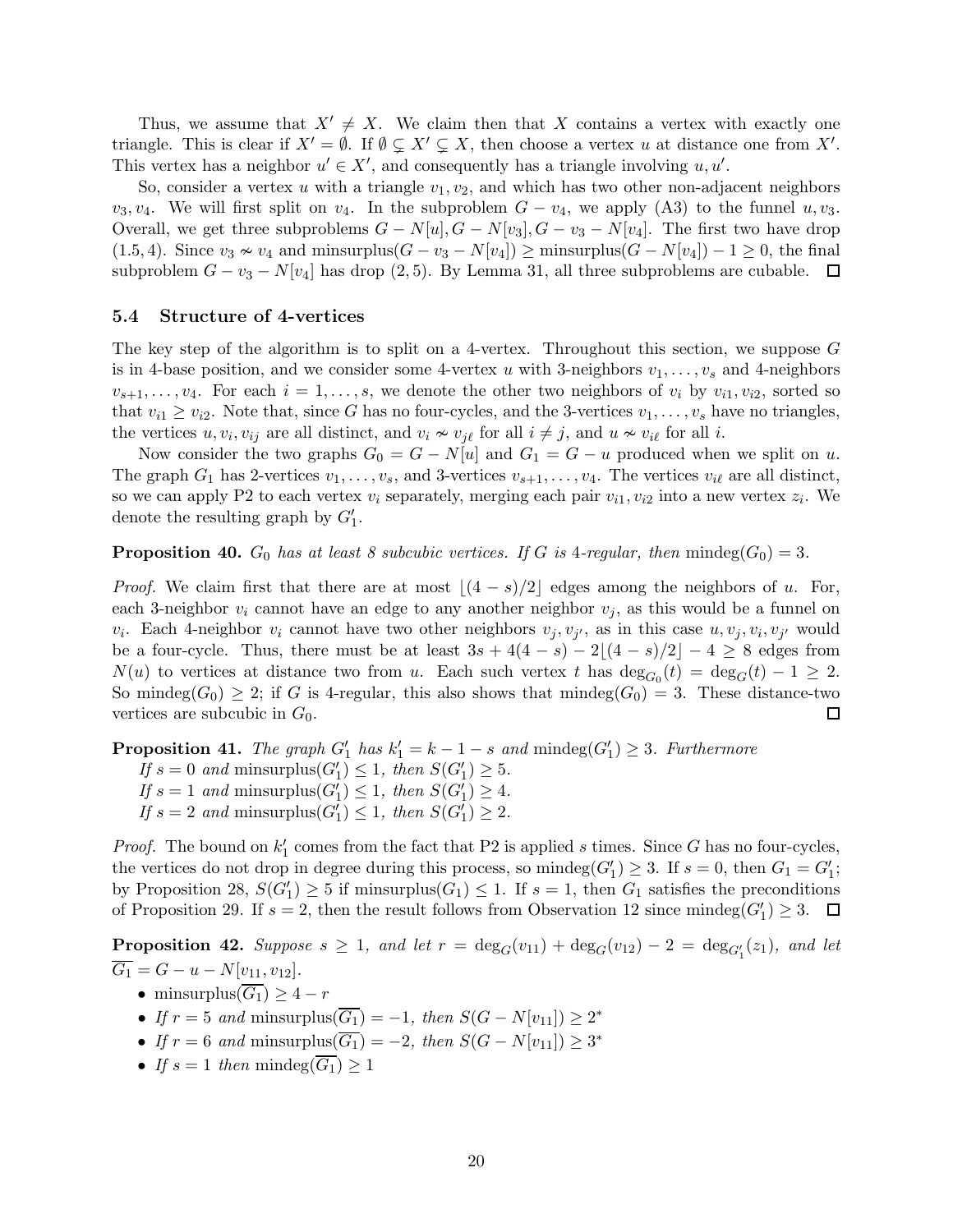Thus, we assume that  $X' \neq X$ . We claim then that X contains a vertex with exactly one triangle. This is clear if  $X' = \emptyset$ . If  $\emptyset \subsetneq X' \subsetneq X$ , then choose a vertex u at distance one from X'. This vertex has a neighbor  $u' \in X'$ , and consequently has a triangle involving  $u, u'$ .

So, consider a vertex u with a triangle  $v_1, v_2$ , and which has two other non-adjacent neighbors  $v_3, v_4$ . We will first split on  $v_4$ . In the subproblem  $G - v_4$ , we apply (A3) to the funnel  $u, v_3$ . Overall, we get three subproblems  $G - N[u], G - N[v_3], G - v_3 - N[v_4]$ . The first two have drop (1.5, 4). Since  $v_3 \nsim v_4$  and minsurplus( $G - v_3 - N[v_4]$ ) ≥ minsurplus( $G - N[v_4]$ ) – 1 ≥ 0, the final subproblem  $G - v_3 - N[v_4]$  has drop  $(2, 5)$ . By Lemma [31,](#page-16-0) all three subproblems are cubable.  $\Box$ 

#### <span id="page-19-1"></span>5.4 Structure of 4-vertices

The key step of the algorithm is to split on a 4-vertex. Throughout this section, we suppose G is in 4-base position, and we consider some 4-vertex u with 3-neighbors  $v_1, \ldots, v_s$  and 4-neighbors  $v_{s+1}, \ldots, v_4$ . For each  $i = 1, \ldots, s$ , we denote the other two neighbors of  $v_i$  by  $v_{i1}, v_{i2}$ , sorted so that  $v_{i1} \ge v_{i2}$ . Note that, since G has no four-cycles, and the 3-vertices  $v_1, \ldots, v_s$  have no triangles, the vertices  $u, v_i, v_{ij}$  are all distinct, and  $v_i \nsim v_{j\ell}$  for all  $i \neq j$ , and  $u \nsim v_{i\ell}$  for all  $i$ .

Now consider the two graphs  $G_0 = G - N[u]$  and  $G_1 = G - u$  produced when we split on u. The graph  $G_1$  has 2-vertices  $v_1, \ldots, v_s$ , and 3-vertices  $v_{s+1}, \ldots, v_4$ . The vertices  $v_{i\ell}$  are all distinct, so we can apply P2 to each vertex  $v_i$  separately, merging each pair  $v_{i1}, v_{i2}$  into a new vertex  $z_i$ . We denote the resulting graph by  $G'_1$ .

<span id="page-19-0"></span>**Proposition 40.**  $G_0$  has at least 8 subcubic vertices. If G is 4-regular, then mindeg( $G_0$ ) = 3.

*Proof.* We claim first that there are at most  $|(4 - s)/2|$  edges among the neighbors of u. For, each 3-neighbor  $v_i$  cannot have an edge to any another neighbor  $v_i$ , as this would be a funnel on  $v_i$ . Each 4-neighbor  $v_i$  cannot have two other neighbors  $v_j, v_{j'}$ , as in this case  $u, v_j, v_i, v_{j'}$  would be a four-cycle. Thus, there must be at least  $3s + 4(4 - s) - 2|(4 - s)/2| - 4 \ge 8$  edges from  $N(u)$  to vertices at distance two from u. Each such vertex t has  $deg_{G_0}(t) = deg_G(t) - 1 \geq 2$ . So mindeg $(G_0) \geq 2$ ; if G is 4-regular, this also shows that mindeg $(G_0) = 3$ . These distance-two vertices are subcubic in  $G_0$ .  $\Box$ 

<span id="page-19-2"></span>**Proposition 41.** The graph  $G'_1$  has  $k'_1 = k - 1 - s$  and  $\text{mindeg}(G'_1) \geq 3$ . Furthermore If  $s = 0$  and minsurplus $(G'_1) \leq 1$ , then  $S(G'_1) \geq 5$ . If  $s = 1$  and minsurplus $(G'_1) \leq 1$ , then  $S(G'_1) \geq 4$ . If  $s = 2$  and minsurplus $(G'_1) \leq 1$ , then  $S(G'_1) \geq 2$ .

*Proof.* The bound on  $k'_1$  comes from the fact that P2 is applied s times. Since G has no four-cycles, the vertices do not drop in degree during this process, so mindeg $(G'_1) \geq 3$ . If  $s = 0$ , then  $G_1 = G'_1$ ; by Proposition [28,](#page-14-1)  $S(G_1') \geq 5$  if minsurplus $(G_1) \leq 1$ . If  $s = 1$ , then  $G_1$  satisfies the preconditions of Proposition [29.](#page-15-1) If  $s = 2$ , then the result follows from Observation [12](#page-6-0) since mindeg $(G'_1) \geq 3$ .

**Proposition 42.** Suppose  $s \geq 1$ , and let  $r = \deg_G(v_{11}) + \deg_G(v_{12}) - 2 = \deg_{G'_1}(z_1)$ , and let  $\overline{G_1} = G - u - N[v_{11}, v_{12}].$ 

- minsurplus $(\overline{G_1}) \geq 4 r$
- If  $r = 5$  and minsurplus( $\overline{G_1}$ ) = -1, then  $S(G N[v_{11}]) \geq 2^*$
- If  $r = 6$  and minsurplus( $\overline{G_1}$ ) = -2, then  $S(G N[v_{11}]) \geq 3^*$
- If  $s = 1$  then mindeg $(\overline{G_1}) \geq 1$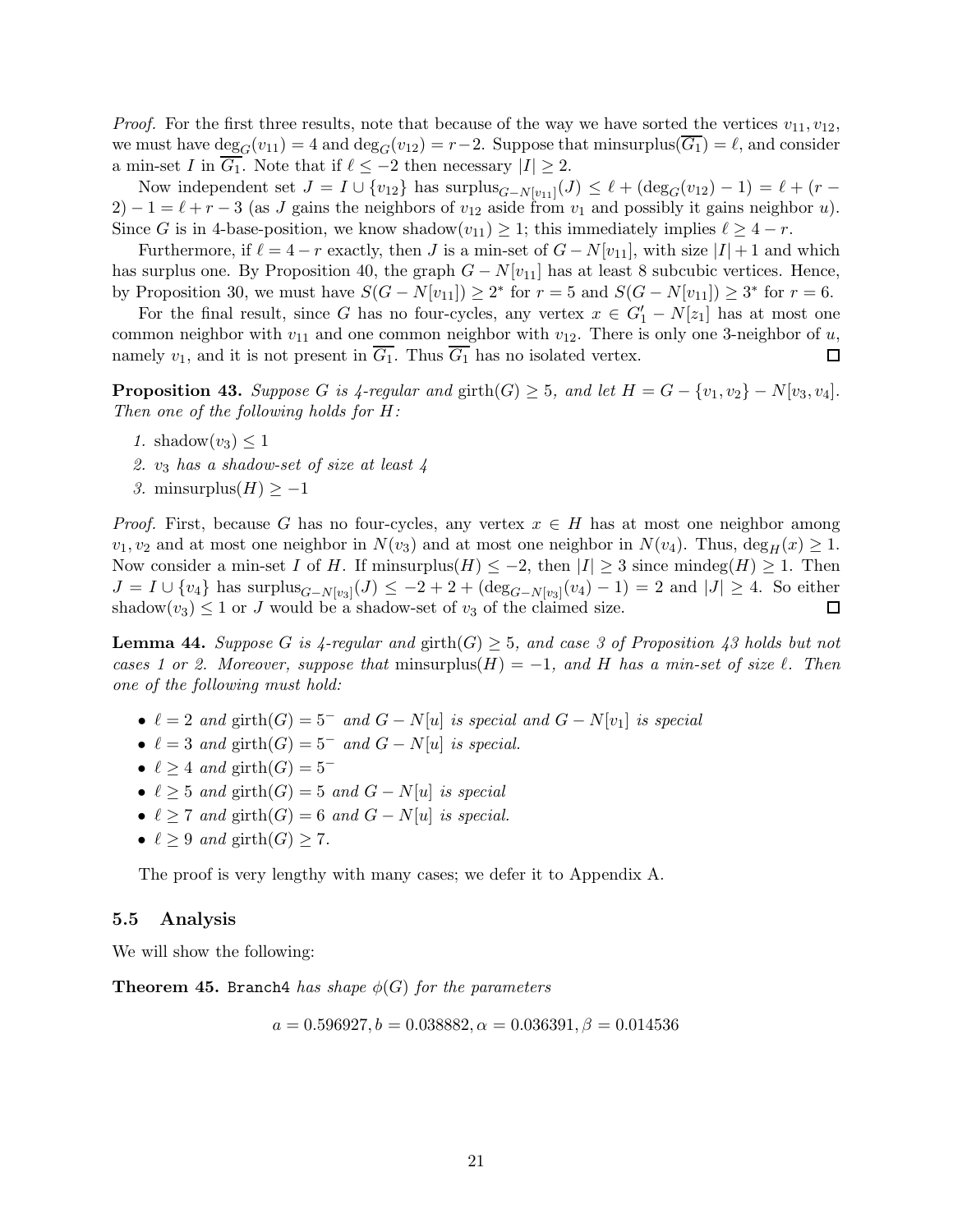*Proof.* For the first three results, note that because of the way we have sorted the vertices  $v_{11}, v_{12}$ , we must have  $\deg_G(v_{11}) = 4$  and  $\deg_G(v_{12}) = r-2$ . Suppose that minsurplus( $G_1$ ) =  $\ell$ , and consider a min-set I in  $\overline{G_1}$ . Note that if  $\ell \leq -2$  then necessary  $|I| \geq 2$ .

Now independent set  $J = I \cup \{v_{12}\}$  has  $\text{surplus}_{G-N[v_{11}]}(J) \leq \ell + (\text{deg}_G(v_{12}) - 1) = \ell + (r - 1)$  $2) - 1 = \ell + r - 3$  (as J gains the neighbors of  $v_{12}$  aside from  $v_1$  and possibly it gains neighbor u). Since G is in 4-base-position, we know shadow $(v_{11}) \geq 1$ ; this immediately implies  $\ell \geq 4-r$ .

Furthermore, if  $\ell = 4 - r$  exactly, then J is a min-set of  $G - N[v_{11}]$ , with size  $|I| + 1$  and which has surplus one. By Proposition [40,](#page-19-0) the graph  $G - N[v_{11}]$  has at least 8 subcubic vertices. Hence, by Proposition [30,](#page-15-0) we must have  $S(G - N[v_{11}]) \geq 2^*$  for  $r = 5$  and  $S(G - N[v_{11}]) \geq 3^*$  for  $r = 6$ .

For the final result, since G has no four-cycles, any vertex  $x \in G'_{1} - N[z_{1}]$  has at most one common neighbor with  $v_{11}$  and one common neighbor with  $v_{12}$ . There is only one 3-neighbor of u, namely  $v_1$ , and it is not present in  $\overline{G_1}$ . Thus  $\overline{G_1}$  has no isolated vertex. □

<span id="page-20-0"></span>**Proposition 43.** Suppose G is  $\angle$ -regular and girth $(G) \geq 5$ , and let  $H = G - \{v_1, v_2\} - N[v_3, v_4]$ . Then one of the following holds for H:

- 1. shadow $(v_3) \leq 1$
- 2.  $v_3$  has a shadow-set of size at least 4
- 3. minsurplus $(H) \geq -1$

*Proof.* First, because G has no four-cycles, any vertex  $x \in H$  has at most one neighbor among  $v_1, v_2$  and at most one neighbor in  $N(v_3)$  and at most one neighbor in  $N(v_4)$ . Thus,  $\deg_H(x) \geq 1$ . Now consider a min-set I of H. If minsurplus(H)  $\leq -2$ , then  $|I| \geq 3$  since mindeg(H)  $\geq 1$ . Then  $J = I \cup \{v_4\}$  has surplus $_{G-N[v_3]}(J) \leq -2+2+(deg_{G-N[v_3]}(v_4)-1) = 2$  and  $|J| \geq 4$ . So either shadow $(v_3) \leq 1$  or J would be a shadow-set of  $v_3$  of the claimed size.  $\Box$ 

<span id="page-20-1"></span>**Lemma 44.** Suppose G is  $\{4\}$ -regular and  $\text{girth}(G) \geq 5$ , and case 3 of Proposition  $\{4\}$  holds but not cases 1 or 2. Moreover, suppose that minsurplus(H) = -1, and H has a min-set of size  $\ell$ . Then one of the following must hold:

- $\ell = 2$  and girth $(G) = 5^-$  and  $G N[u]$  is special and  $G N[v_1]$  is special
- $\ell = 3$  and girth $(G) = 5^-$  and  $G N[u]$  is special.
- $\ell \geq 4$  and girth $(G) = 5^-$
- $\ell \geq 5$  and girth $(G) = 5$  and  $G N[u]$  is special
- $\ell \geq 7$  and girth $(G) = 6$  and  $G N[u]$  is special.
- $\ell \geq 9$  and girth $(G) \geq 7$ .

The proof is very lengthy with many cases; we defer it to Appendix [A.](#page-37-0)

#### 5.5 Analysis

We will show the following:

**Theorem 45.** Branch4 has shape  $\phi(G)$  for the parameters

$$
a = 0.596927, b = 0.038882, \alpha = 0.036391, \beta = 0.014536
$$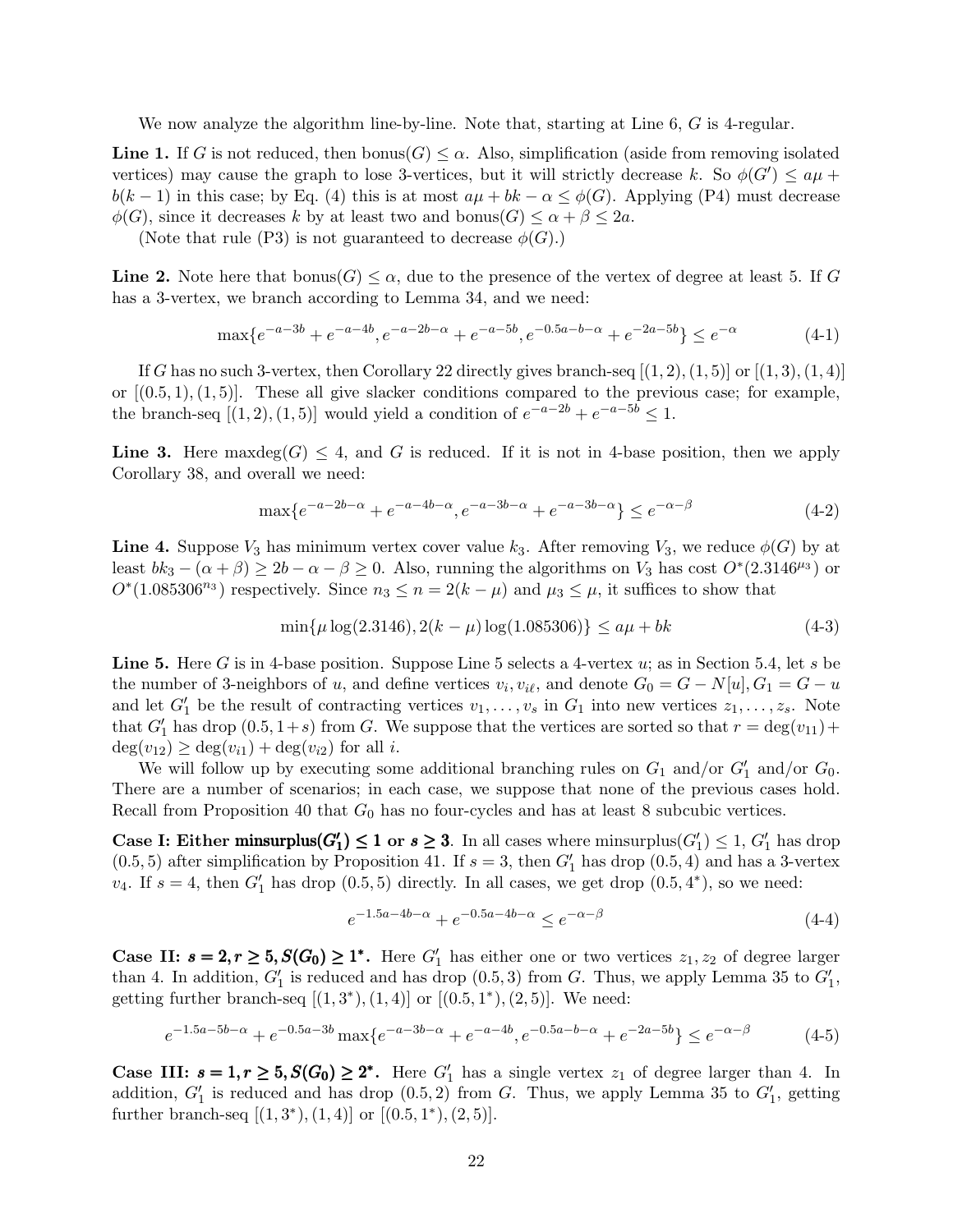We now analyze the algorithm line-by-line. Note that, starting at Line 6, G is 4-regular.

**Line 1.** If G is not reduced, then  $b_{\text{onus}}(G) \leq \alpha$ . Also, simplification (aside from removing isolated vertices) may cause the graph to lose 3-vertices, but it will strictly decrease k. So  $\phi(G') \le a\mu +$  $b(k-1)$  in this case; by Eq. [\(4\)](#page-14-2) this is at most  $a\mu + bk - \alpha \leq \phi(G)$ . Applying (P4) must decrease  $\phi(G)$ , since it decreases k by at least two and bonus $(G) \leq \alpha + \beta \leq 2a$ .

(Note that rule (P3) is not guaranteed to decrease  $\phi(G)$ .)

**Line 2.** Note here that  $b_{\text{onus}}(G) \leq \alpha$ , due to the presence of the vertex of degree at least 5. If G has a 3-vertex, we branch according to Lemma [34,](#page-17-1) and we need:

$$
\max\{e^{-a-3b} + e^{-a-4b}, e^{-a-2b-\alpha} + e^{-a-5b}, e^{-0.5a-b-\alpha} + e^{-2a-5b}\} \le e^{-\alpha} \tag{4-1}
$$

If G has no such 3-vertex, then Corollary [22](#page-10-2) directly gives branch-seq  $[(1, 2), (1, 5)]$  or  $[(1, 3), (1, 4)]$ or  $[(0.5, 1), (1, 5)]$ . These all give slacker conditions compared to the previous case; for example, the branch-seq  $[(1,2),(1,5)]$  would yield a condition of  $e^{-a-2b} + e^{-a-5b} \leq 1$ .

Line 3. Here maxdeg $(G) \leq 4$ , and G is reduced. If it is not in 4-base position, then we apply Corollary [38,](#page-18-0) and overall we need:

$$
\max\{e^{-a-2b-\alpha} + e^{-a-4b-\alpha}, e^{-a-3b-\alpha} + e^{-a-3b-\alpha}\} \le e^{-\alpha-\beta} \tag{4-2}
$$

**Line 4.** Suppose  $V_3$  has minimum vertex cover value  $k_3$ . After removing  $V_3$ , we reduce  $\phi(G)$  by at least  $bk_3 - (\alpha + \beta) \ge 2b - \alpha - \beta \ge 0$ . Also, running the algorithms on  $V_3$  has cost  $O^*(2.3146^{\mu_3})$  or  $O<sup>*</sup>(1.085306<sup>n<sub>3</sub></sup>)$  respectively. Since  $n<sub>3</sub> \le n = 2(k - \mu)$  and  $\mu<sub>3</sub> \le \mu$ , it suffices to show that

$$
\min\{\mu \log(2.3146), 2(k - \mu) \log(1.085306)\} \le a\mu + bk \tag{4-3}
$$

**Line 5.** Here G is in 4-base position. Suppose Line 5 selects a 4-vertex  $u$ ; as in Section [5.4,](#page-19-1) let s be the number of 3-neighbors of u, and define vertices  $v_i, v_{i\ell}$ , and denote  $G_0 = G - N[u], G_1 = G - u$ and let  $G'_1$  be the result of contracting vertices  $v_1, \ldots, v_s$  in  $G_1$  into new vertices  $z_1, \ldots, z_s$ . Note that  $G'_{1}$  has drop  $(0.5, 1+s)$  from G. We suppose that the vertices are sorted so that  $r = \deg(v_{11}) +$  $deg(v_{12}) \geq deg(v_{i1}) + deg(v_{i2})$  for all *i*.

We will follow up by executing some additional branching rules on  $G_1$  and/or  $G'_1$  and/or  $G_0$ . There are a number of scenarios; in each case, we suppose that none of the previous cases hold. Recall from Proposition [40](#page-19-0) that  $G_0$  has no four-cycles and has at least 8 subcubic vertices.

Case I: Either minsurplus( $G'_1$ )  $\leq 1$  or  $s \geq 3$ . In all cases where minsurplus( $G'_1$ )  $\leq 1$ ,  $G'_1$  has drop  $(0.5, 5)$  after simplification by Proposition [41.](#page-19-2) If  $s = 3$ , then  $G'_{1}$  has drop  $(0.5, 4)$  and has a 3-vertex  $v_4$ . If  $s = 4$ , then  $G'_1$  has drop  $(0.5, 5)$  directly. In all cases, we get drop  $(0.5, 4^*)$ , so we need:

$$
e^{-1.5a - 4b - \alpha} + e^{-0.5a - 4b - \alpha} \le e^{-\alpha - \beta} \tag{4-4}
$$

**Case II:**  $s = 2, r \geq 5, S(G_0) \geq 1^*$ . Here  $G'_1$  has either one or two vertices  $z_1, z_2$  of degree larger than 4. In addition,  $G'_1$  is reduced and has drop  $(0.5, 3)$  from G. Thus, we apply Lemma [35](#page-17-2) to  $G'_1$ , getting further branch-seq  $[(1,3^*),(1,4)]$  or  $[(0.5,1^*),(2,5)]$ . We need:

$$
e^{-1.5a - 5b - \alpha} + e^{-0.5a - 3b} \max\{e^{-a - 3b - \alpha} + e^{-a - 4b}, e^{-0.5a - b - \alpha} + e^{-2a - 5b}\} \le e^{-\alpha - \beta} \tag{4-5}
$$

Case III:  $s = 1, r \geq 5, S(G_0) \geq 2^*$ . Here  $G'_1$  has a single vertex  $z_1$  of degree larger than 4. In addition,  $G'_1$  is reduced and has drop  $(0.5, 2)$  from G. Thus, we apply Lemma [35](#page-17-2) to  $G'_1$ , getting further branch-seq  $[(1,3^*),(1,4)]$  or  $[(0.5,1^*),(2,5)]$ .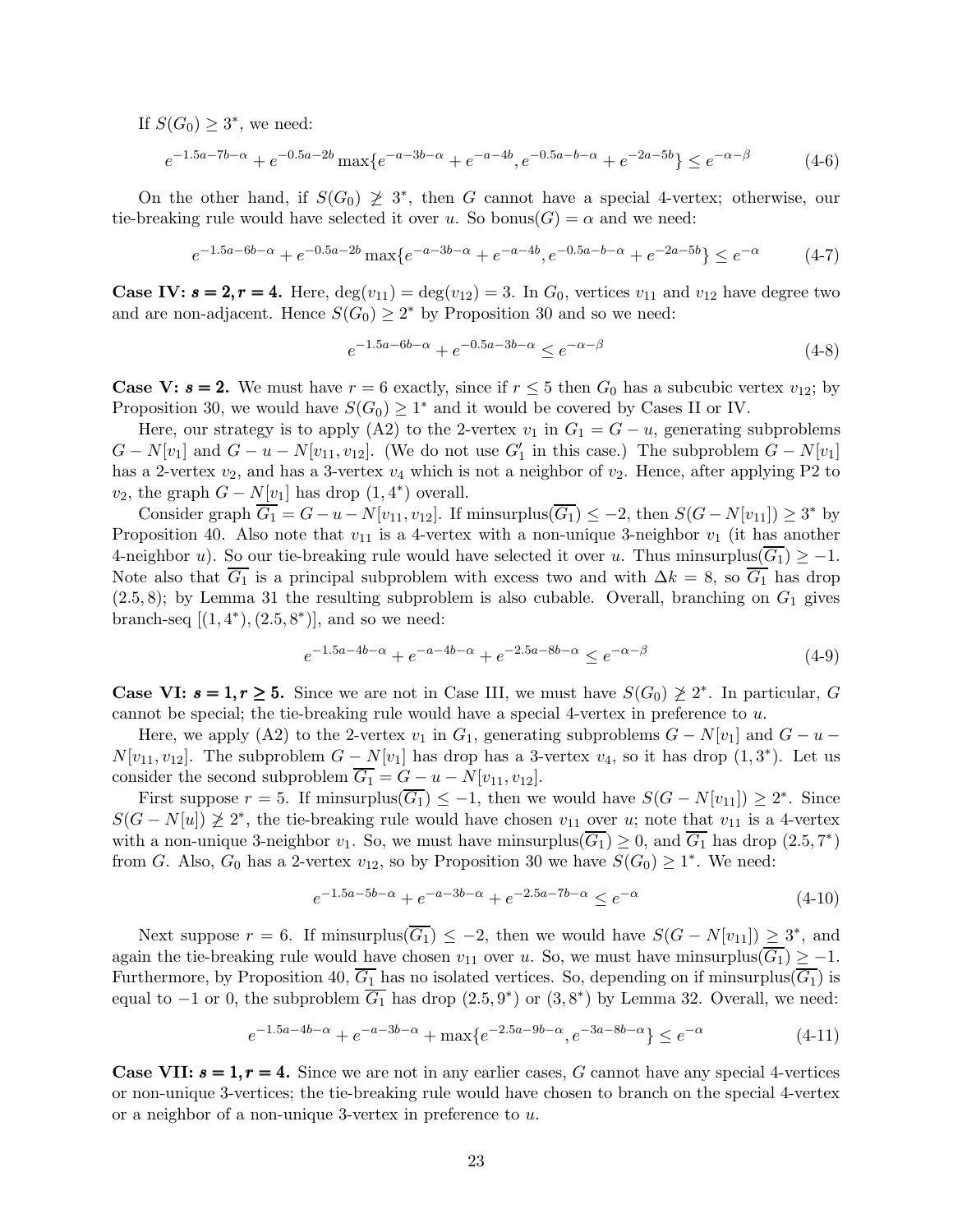If  $S(G_0) \geq 3^*$ , we need:

$$
e^{-1.5a-7b-\alpha} + e^{-0.5a-2b} \max\{e^{-a-3b-\alpha} + e^{-a-4b}, e^{-0.5a-b-\alpha} + e^{-2a-5b}\} \le e^{-\alpha-\beta}
$$
 (4-6)

On the other hand, if  $S(G_0) \geq 3^*$ , then G cannot have a special 4-vertex; otherwise, our tie-breaking rule would have selected it over u. So bonus( $G$ ) =  $\alpha$  and we need:

$$
e^{-1.5a - 6b - \alpha} + e^{-0.5a - 2b} \max \{ e^{-a - 3b - \alpha} + e^{-a - 4b}, e^{-0.5a - b - \alpha} + e^{-2a - 5b} \} \le e^{-\alpha}
$$
 (4-7)

**Case IV:**  $s = 2, r = 4$ **.** Here,  $\deg(v_{11}) = \deg(v_{12}) = 3$ . In  $G_0$ , vertices  $v_{11}$  and  $v_{12}$  have degree two and are non-adjacent. Hence  $S(G_0) \geq 2^*$  by Proposition [30](#page-15-0) and so we need:

$$
e^{-1.5a - 6b - \alpha} + e^{-0.5a - 3b - \alpha} \le e^{-\alpha - \beta} \tag{4-8}
$$

**Case V: s = 2.** We must have  $r = 6$  exactly, since if  $r \leq 5$  then  $G_0$  has a subcubic vertex  $v_{12}$ ; by Proposition [30,](#page-15-0) we would have  $S(G_0) \geq 1^*$  and it would be covered by Cases II or IV.

Here, our strategy is to apply (A2) to the 2-vertex  $v_1$  in  $G_1 = G - u$ , generating subproblems  $G - N[v_1]$  and  $G - u - N[v_{11}, v_{12}]$ . (We do not use  $G'_1$  in this case.) The subproblem  $G - N[v_1]$ has a 2-vertex  $v_2$ , and has a 3-vertex  $v_4$  which is not a neighbor of  $v_2$ . Hence, after applying P2 to  $v_2$ , the graph  $G - N[v_1]$  has drop  $(1, 4^*)$  overall.

Consider graph  $\overline{G_1} = G - u - N[v_{11}, v_{12}]$ . If minsurplus( $\overline{G_1}$ )  $\leq -2$ , then  $S(G - N[v_{11}]) \geq 3^*$  by Proposition [40.](#page-19-0) Also note that  $v_{11}$  is a 4-vertex with a non-unique 3-neighbor  $v_1$  (it has another 4-neighbor u). So our tie-breaking rule would have selected it over u. Thus minsurplus( $\overline{G_1}$ ) ≥ -1. Note also that  $\overline{G_1}$  is a principal subproblem with excess two and with  $\Delta k = 8$ , so  $\overline{G_1}$  has drop  $(2.5, 8)$ ; by Lemma [31](#page-16-0) the resulting subproblem is also cubable. Overall, branching on  $G_1$  gives branch-seq  $[(1,4^*),(2.5,8^*)]$ , and so we need:

$$
e^{-1.5a - 4b - \alpha} + e^{-a - 4b - \alpha} + e^{-2.5a - 8b - \alpha} \le e^{-\alpha - \beta} \tag{4-9}
$$

**Case VI:**  $s = 1, r \ge 5$ **.** Since we are not in Case III, we must have  $S(G_0) \not\ge 2^*$ . In particular, G cannot be special; the tie-breaking rule would have a special 4-vertex in preference to u.

Here, we apply (A2) to the 2-vertex  $v_1$  in  $G_1$ , generating subproblems  $G - N[v_1]$  and  $G - u N[v_{11}, v_{12}]$ . The subproblem  $G - N[v_1]$  has drop has a 3-vertex  $v_4$ , so it has drop  $(1, 3^*)$ . Let us consider the second subproblem  $\overline{G_1} = G - u - N[v_{11}, v_{12}].$ 

First suppose  $r = 5$ . If minsurplus( $\overline{G_1}$ )  $\leq -1$ , then we would have  $S(G - N[v_{11}]) \geq 2^*$ . Since  $S(G-N[u]) \not\geq 2^*$ , the tie-breaking rule would have chosen  $v_{11}$  over u; note that  $v_{11}$  is a 4-vertex with a non-unique 3-neighbor  $v_1$ . So, we must have minsurplus( $\overline{G_1}$ )  $\geq 0$ , and  $\overline{G_1}$  has drop (2.5, 7<sup>\*</sup>) from G. Also,  $G_0$  has a 2-vertex  $v_{12}$ , so by Proposition [30](#page-15-0) we have  $S(G_0) \geq 1^*$ . We need:

$$
e^{-1.5a - 5b - \alpha} + e^{-a - 3b - \alpha} + e^{-2.5a - 7b - \alpha} \le e^{-\alpha}
$$
\n
$$
(4-10)
$$

Next suppose  $r = 6$ . If minsurplus $(\overline{G_1}) \leq -2$ , then we would have  $S(G - N[v_{11}]) \geq 3^*$ , and again the tie-breaking rule would have chosen  $v_{11}$  over u. So, we must have minsurplus( $\overline{G_1}$ ) ≥ -1. Furthermore, by Proposition [40,](#page-19-0)  $\overline{G_1}$  has no isolated vertices. So, depending on if minsurplus( $\overline{G_1}$ ) is equal to  $-1$  or 0, the subproblem  $\overline{G_1}$  has drop  $(2.5, 9^*)$  or  $(3, 8^*)$  by Lemma [32.](#page-16-1) Overall, we need:

$$
e^{-1.5a - 4b - \alpha} + e^{-a - 3b - \alpha} + \max\{e^{-2.5a - 9b - \alpha}, e^{-3a - 8b - \alpha}\} \le e^{-\alpha}
$$
 (4-11)

**Case VII:**  $s = 1, r = 4$ **.** Since we are not in any earlier cases, G cannot have any special 4-vertices or non-unique 3-vertices; the tie-breaking rule would have chosen to branch on the special 4-vertex or a neighbor of a non-unique 3-vertex in preference to u.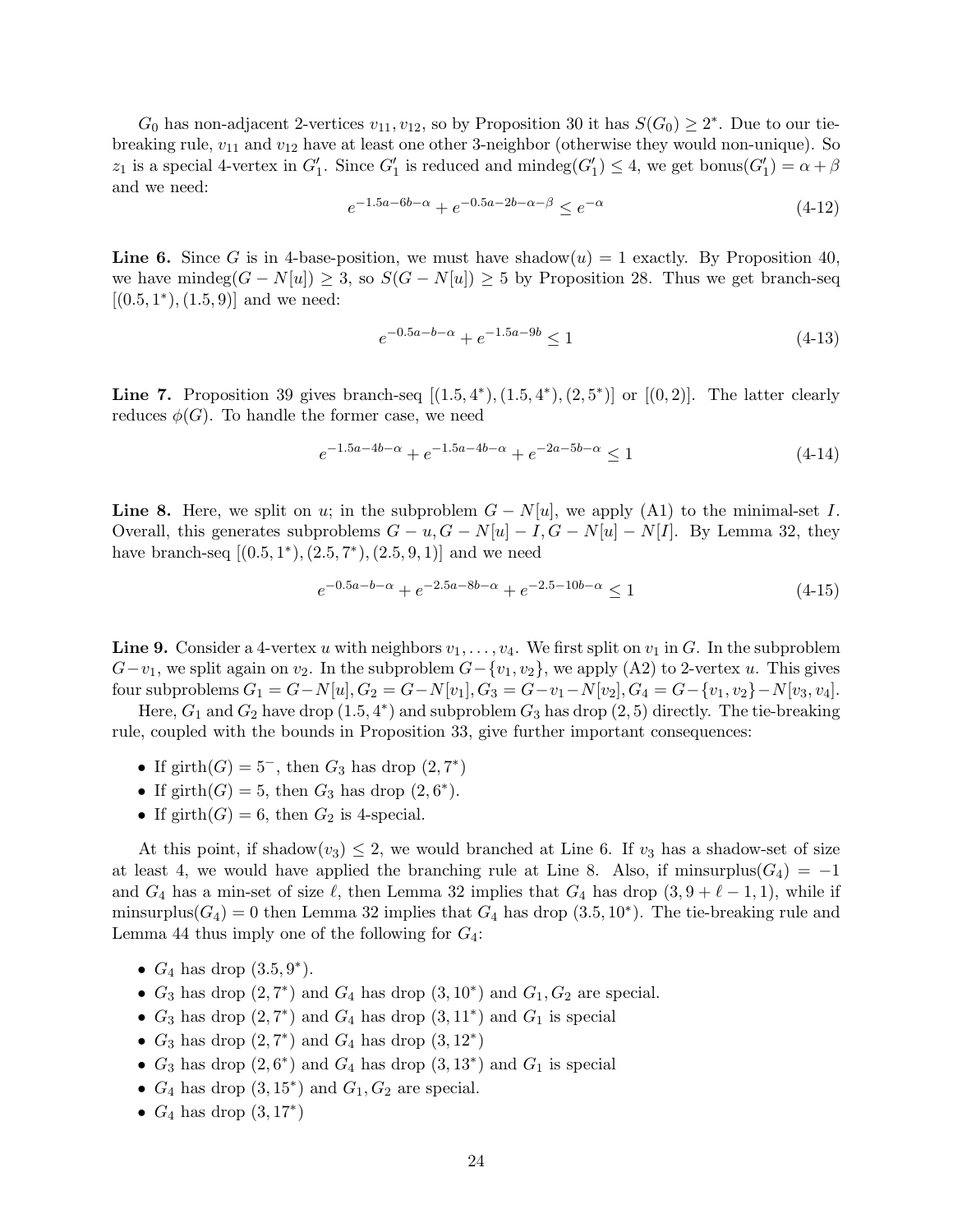$G_0$  has non-adjacent 2-vertices  $v_{11}, v_{12}$ , so by Proposition [30](#page-15-0) it has  $S(G_0) \geq 2^*$ . Due to our tiebreaking rule,  $v_{11}$  and  $v_{12}$  have at least one other 3-neighbor (otherwise they would non-unique). So z<sub>1</sub> is a special 4-vertex in  $G'_1$ . Since  $G'_1$  is reduced and mindeg $(G'_1) \leq 4$ , we get bonus $(G'_1) = \alpha + \beta$ and we need:

$$
e^{-1.5a - 6b - \alpha} + e^{-0.5a - 2b - \alpha - \beta} \le e^{-\alpha} \tag{4-12}
$$

**Line 6.** Since G is in 4-base-position, we must have shadow $(u) = 1$  exactly. By Proposition [40,](#page-19-0) we have mindeg $(G - N[u]) \geq 3$ , so  $S(G - N[u]) \geq 5$  by Proposition [28.](#page-14-1) Thus we get branch-seq  $[(0.5, 1^*), (1.5, 9)]$  and we need:

$$
e^{-0.5a - b - \alpha} + e^{-1.5a - 9b} \le 1\tag{4-13}
$$

Line 7. Proposition [39](#page-18-1) gives branch-seq  $[(1.5,4^*),(1.5,4^*),(2,5^*)]$  or  $[(0,2)]$ . The latter clearly reduces  $\phi(G)$ . To handle the former case, we need

$$
e^{-1.5a - 4b - \alpha} + e^{-1.5a - 4b - \alpha} + e^{-2a - 5b - \alpha} \le 1
$$
\n
$$
(4-14)
$$

**Line 8.** Here, we split on u; in the subproblem  $G - N[u]$ , we apply (A1) to the minimal-set I. Overall, this generates subproblems  $G - u$ ,  $G - N[u] - I$ ,  $G - N[u] - N[I]$ . By Lemma [32,](#page-16-1) they have branch-seq  $[(0.5,1^*), (2.5,7^*), (2.5,9,1)]$  and we need

$$
e^{-0.5a - b - \alpha} + e^{-2.5a - 8b - \alpha} + e^{-2.5 - 10b - \alpha} \le 1
$$
\n
$$
(4-15)
$$

**Line 9.** Consider a 4-vertex u with neighbors  $v_1, \ldots, v_4$ . We first split on  $v_1$  in G. In the subproblem  $G-v_1$ , we split again on  $v_2$ . In the subproblem  $G-{v_1,v_2}$ , we apply (A2) to 2-vertex u. This gives four subproblems  $G_1 = G - N[u], G_2 = G - N[v_1], G_3 = G - v_1 - N[v_2], G_4 = G - \{v_1, v_2\} - N[v_3, v_4].$ 

Here,  $G_1$  and  $G_2$  have drop  $(1.5, 4^*)$  and subproblem  $G_3$  has drop  $(2, 5)$  directly. The tie-breaking rule, coupled with the bounds in Proposition [33,](#page-16-2) give further important consequences:

- If girth $(G) = 5^-$ , then  $G_3$  has drop  $(2, 7^*)$
- If girth(G) = 5, then  $G_3$  has drop (2,6<sup>\*</sup>).
- If  $girth(G) = 6$ , then  $G_2$  is 4-special.

At this point, if shadow $(v_3) \leq 2$ , we would branched at Line 6. If  $v_3$  has a shadow-set of size at least 4, we would have applied the branching rule at Line 8. Also, if minsurplus( $G_4$ ) = −1 and  $G_4$  has a min-set of size  $\ell$ , then Lemma [32](#page-16-1) implies that  $G_4$  has drop  $(3, 9 + \ell - 1, 1)$ , while if minsurplus( $G_4$ ) = 0 then Lemma [32](#page-16-1) implies that  $G_4$  has drop (3.5, 10<sup>\*</sup>). The tie-breaking rule and Lemma [44](#page-20-1) thus imply one of the following for  $G_4$ :

- $G_4$  has drop  $(3.5, 9^*)$ .
- $G_3$  has drop  $(2, 7^*)$  and  $G_4$  has drop  $(3, 10^*)$  and  $G_1, G_2$  are special.
- $G_3$  has drop  $(2, 7^*)$  and  $G_4$  has drop  $(3, 11^*)$  and  $G_1$  is special
- $G_3$  has drop  $(2, 7^*)$  and  $G_4$  has drop  $(3, 12^*)$
- $G_3$  has drop  $(2, 6^*)$  and  $G_4$  has drop  $(3, 13^*)$  and  $G_1$  is special
- $G_4$  has drop  $(3, 15^*)$  and  $G_1, G_2$  are special.
- $G_4$  has drop  $(3, 17^*)$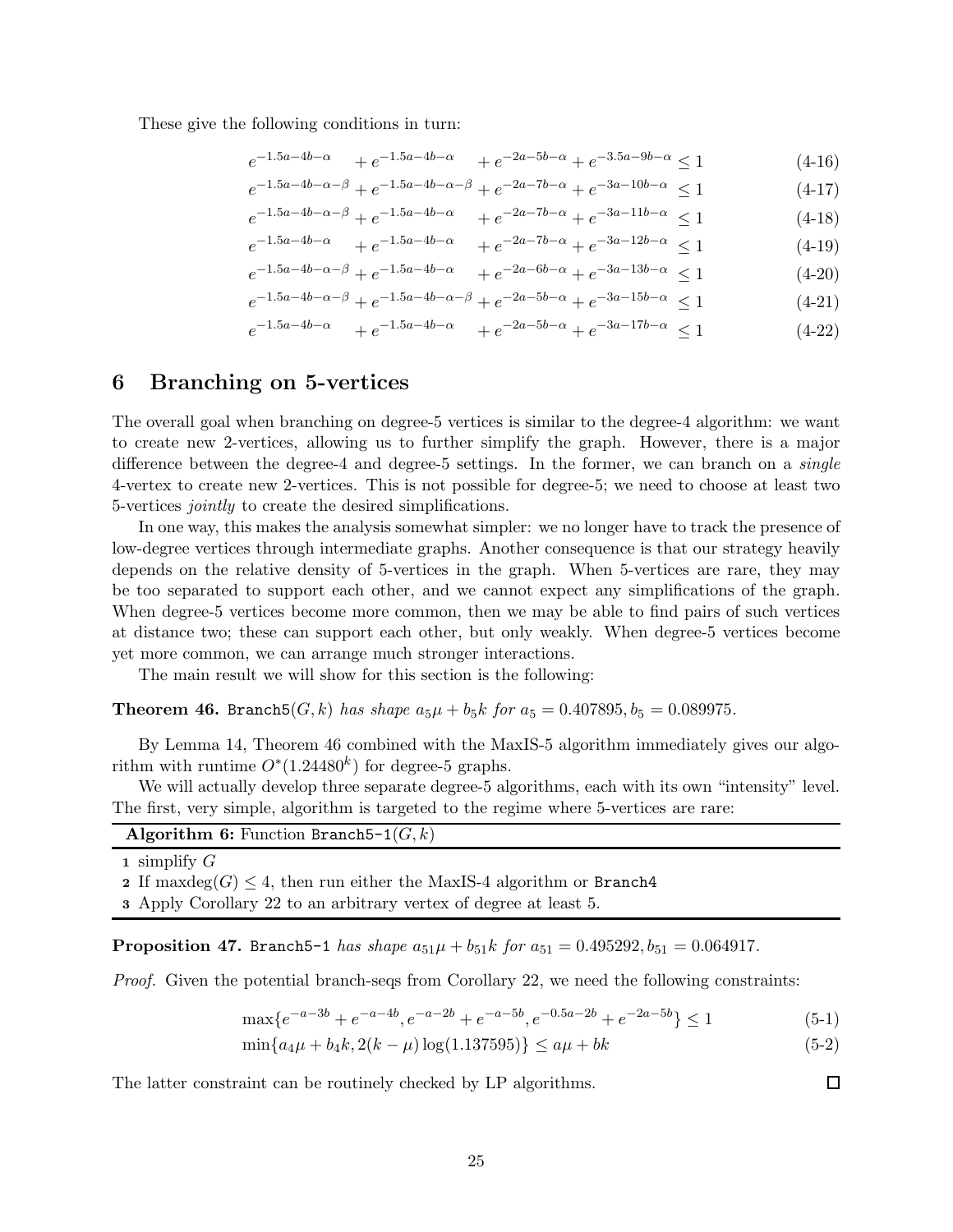These give the following conditions in turn:

$$
e^{-1.5a - 4b - \alpha} + e^{-1.5a - 4b - \alpha} + e^{-2a - 5b - \alpha} + e^{-3.5a - 9b - \alpha} \le 1 \tag{4-16}
$$

$$
e^{-1.5a - 4b - \alpha - \beta} + e^{-1.5a - 4b - \alpha - \beta} + e^{-2a - 7b - \alpha} + e^{-3a - 10b - \alpha} \le 1 \tag{4-17}
$$

$$
e^{-1.5a - 4b - \alpha - \beta} + e^{-1.5a - 4b - \alpha} + e^{-2a - 7b - \alpha} + e^{-3a - 11b - \alpha} \le 1
$$
\n(4-18)

$$
e^{-1.5a - 4b - \alpha} + e^{-1.5a - 4b - \alpha} + e^{-2a - 7b - \alpha} + e^{-3a - 12b - \alpha} \le 1 \tag{4-19}
$$

- $e^{-1.5a-4b-\alpha-\beta} + e^{-1.5a-4b-\alpha} + e^{-2a-6b-\alpha} + e^{-3a-13b-\alpha} \le 1$  (4-20)
- $e^{-1.5a-4b-\alpha-\beta} + e^{-1.5a-4b-\alpha-\beta} + e^{-2a-5b-\alpha} + e^{-3a-15b-\alpha} \le 1$  (4-21)

$$
e^{-1.5a - 4b - \alpha} + e^{-1.5a - 4b - \alpha} + e^{-2a - 5b - \alpha} + e^{-3a - 17b - \alpha} \le 1 \tag{4-22}
$$

## 6 Branching on 5-vertices

The overall goal when branching on degree-5 vertices is similar to the degree-4 algorithm: we want to create new 2-vertices, allowing us to further simplify the graph. However, there is a major difference between the degree-4 and degree-5 settings. In the former, we can branch on a *single* 4-vertex to create new 2-vertices. This is not possible for degree-5; we need to choose at least two 5-vertices jointly to create the desired simplifications.

In one way, this makes the analysis somewhat simpler: we no longer have to track the presence of low-degree vertices through intermediate graphs. Another consequence is that our strategy heavily depends on the relative density of 5-vertices in the graph. When 5-vertices are rare, they may be too separated to support each other, and we cannot expect any simplifications of the graph. When degree-5 vertices become more common, then we may be able to find pairs of such vertices at distance two; these can support each other, but only weakly. When degree-5 vertices become yet more common, we can arrange much stronger interactions.

<span id="page-24-0"></span>The main result we will show for this section is the following:

**Theorem 46.** Branch $5(G, k)$  has shape  $a_5\mu + b_5k$  for  $a_5 = 0.407895, b_5 = 0.089975$ .

By Lemma [14,](#page-7-3) Theorem [46](#page-24-0) combined with the MaxIS-5 algorithm immediately gives our algorithm with runtime  $O^*(1.24480^k)$  for degree-5 graphs.

We will actually develop three separate degree-5 algorithms, each with its own "intensity" level. The first, very simple, algorithm is targeted to the regime where 5-vertices are rare:

| <b>Algorithm 6:</b> Function Branch5-1 $(G, k)$ |  |
|-------------------------------------------------|--|
| 1 simplify $G$                                  |  |

2 If maxdeg $(G)$  < 4, then run either the MaxIS-4 algorithm or Branch4

3 Apply Corollary [22](#page-10-2) to an arbitrary vertex of degree at least 5.

**Proposition 47.** Branch5-1 has shape  $a_{51}\mu + b_{51}k$  for  $a_{51} = 0.495292, b_{51} = 0.064917$ .

Proof. Given the potential branch-seqs from Corollary [22,](#page-10-2) we need the following constraints:

$$
\max\{e^{-a-3b} + e^{-a-4b}, e^{-a-2b} + e^{-a-5b}, e^{-0.5a-2b} + e^{-2a-5b}\} \le 1\tag{5-1}
$$

$$
\min\{a_4\mu + b_4k, 2(k-\mu)\log(1.137595)\} \le a\mu + bk \tag{5-2}
$$

The latter constraint can be routinely checked by LP algorithms.

 $\Box$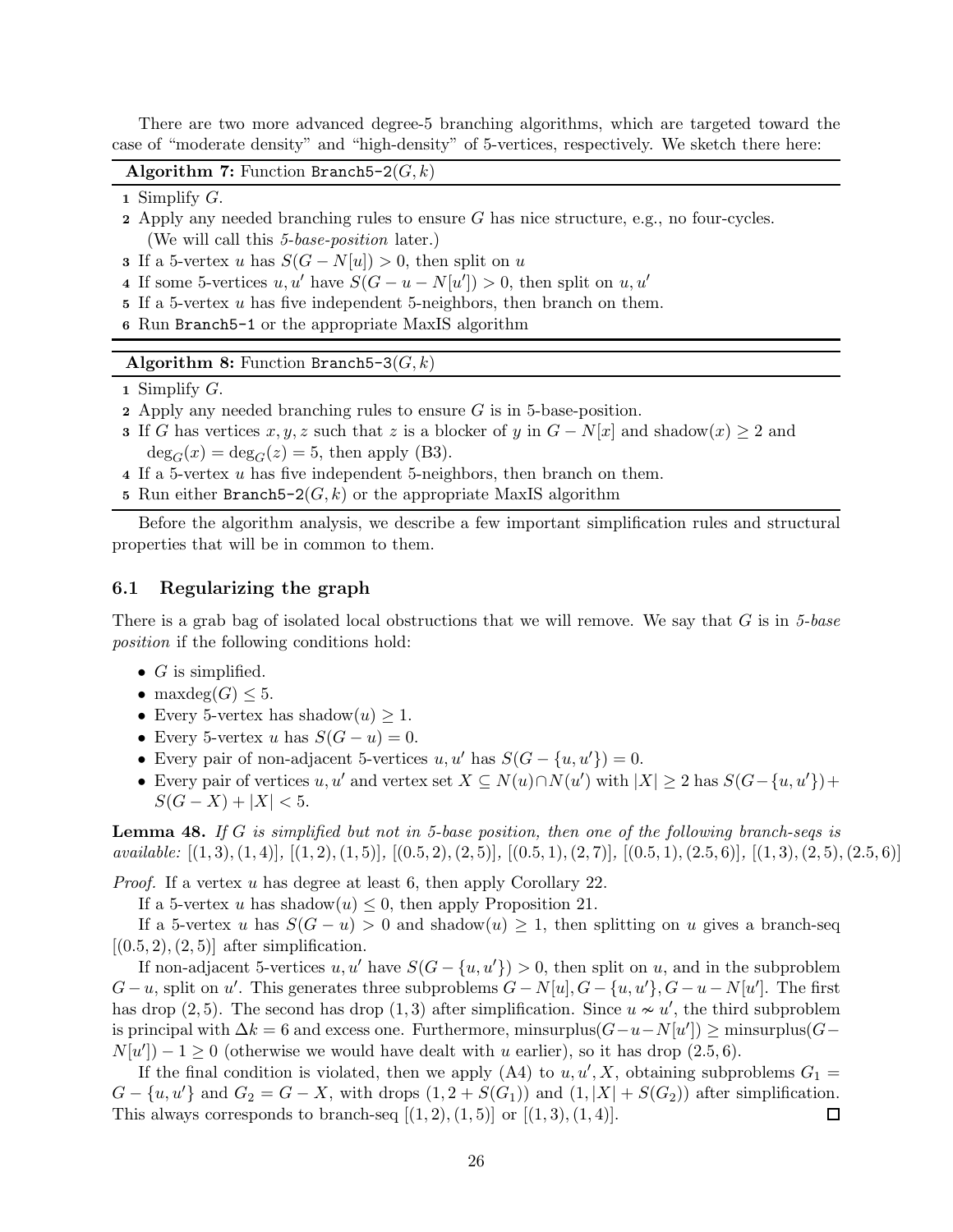There are two more advanced degree-5 branching algorithms, which are targeted toward the case of "moderate density" and "high-density" of 5-vertices, respectively. We sketch there here:

Algorithm 7: Function Branch5-2 $(G, k)$ 

- 1 Simplify  $G$ .
- 2 Apply any needed branching rules to ensure  $G$  has nice structure, e.g., no four-cycles. (We will call this 5-base-position later.)
- 3 If a 5-vertex u has  $S(G N[u]) > 0$ , then split on u
- 4 If some 5-vertices  $u, u'$  have  $S(G u N[u']) > 0$ , then split on  $u, u'$
- 5 If a 5-vertex u has five independent 5-neighbors, then branch on them.
- 6 Run Branch5-1 or the appropriate MaxIS algorithm

Algorithm 8: Function Branch5-3( $G, k$ )

- 1 Simplify G.
- 2 Apply any needed branching rules to ensure  $G$  is in 5-base-position.
- 3 If G has vertices  $x, y, z$  such that z is a blocker of y in  $G N[x]$  and shadow $(x) \ge 2$  and  $deg_G(x) = deg_G(z) = 5$ , then apply (B3).
- 4 If a 5-vertex u has five independent 5-neighbors, then branch on them.
- 5 Run either Branch5-2 $(G, k)$  or the appropriate MaxIS algorithm

Before the algorithm analysis, we describe a few important simplification rules and structural properties that will be in common to them.

#### 6.1 Regularizing the graph

There is a grab bag of isolated local obstructions that we will remove. We say that  $G$  is in 5-base position if the following conditions hold:

- $\bullet$   $G$  is simplified.
- maxdeg $(G) \leq 5$ .
- Every 5-vertex has shadow $(u) \geq 1$ .
- Every 5-vertex u has  $S(G u) = 0$ .
- Every pair of non-adjacent 5-vertices  $u, u'$  has  $S(G \{u, u'\}) = 0$ .
- Every pair of vertices u, u' and vertex set  $X \subseteq N(u) \cap N(u')$  with  $|X| \ge 2$  has  $S(G \{u, u'\}) +$  $S(G - X) + |X| < 5.$

**Lemma 48.** If G is simplified but not in 5-base position, then one of the following branch-seqs is available:  $[(1,3), (1,4)]$ ,  $[(1,2), (1,5)]$ ,  $[(0.5,2), (2,5)]$ ,  $[(0.5,1), (2,7)]$ ,  $[(0.5,1), (2.5,6)]$ ,  $[(1,3), (2,5), (2.5,6)]$ 

*Proof.* If a vertex u has degree at least 6, then apply Corollary [22.](#page-10-2)

If a 5-vertex u has shadow $(u) \leq 0$ , then apply Proposition [21.](#page-10-1)

If a 5-vertex u has  $S(G - u) > 0$  and shadow $(u) \ge 1$ , then splitting on u gives a branch-seq  $[(0.5, 2), (2, 5)]$  after simplification.

If non-adjacent 5-vertices u, u' have  $S(G - \{u, u'\}) > 0$ , then split on u, and in the subproblem  $G-u$ , split on u'. This generates three subproblems  $G-N[u], G-\{u, u'\}, G-u-N[u']$ . The first has drop  $(2, 5)$ . The second has drop  $(1, 3)$  after simplification. Since  $u \nsim u'$ , the third subproblem is principal with  $\Delta k = 6$  and excess one. Furthermore, minsurplus $(G - u - N[u']) \ge \text{minsurplus}(G - u)$  $N[u'] - 1 \geq 0$  (otherwise we would have dealt with u earlier), so it has drop (2.5, 6).

If the final condition is violated, then we apply (A4) to  $u, u', X$ , obtaining subproblems  $G_1 =$  $G - \{u, u'\}$  and  $G_2 = G - X$ , with drops  $(1, 2 + S(G_1))$  and  $(1, |X| + S(G_2))$  after simplification. This always corresponds to branch-seq  $[(1,2),(1,5)]$  or  $[(1,3),(1,4)]$ . 囗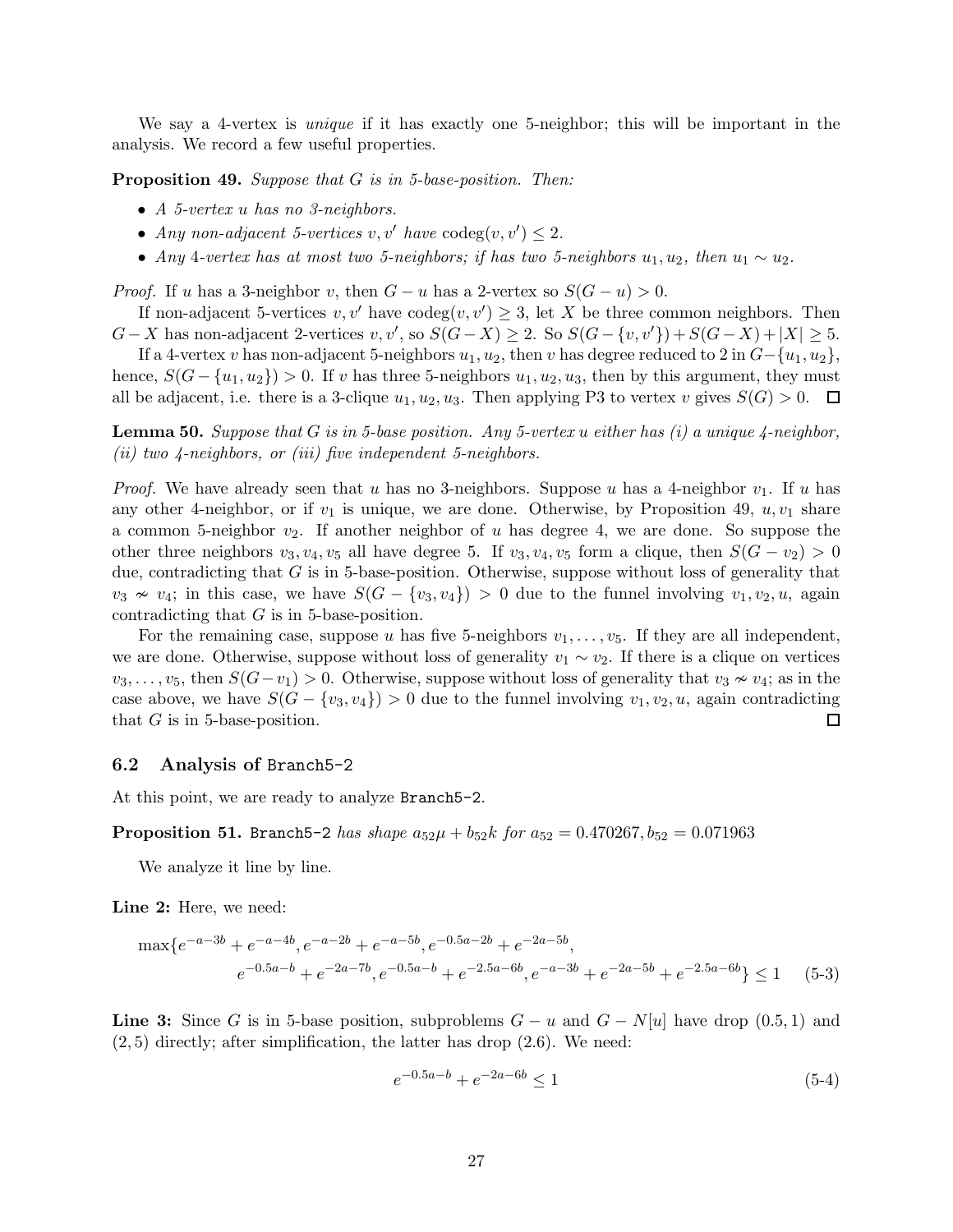<span id="page-26-0"></span>We say a 4-vertex is *unique* if it has exactly one 5-neighbor; this will be important in the analysis. We record a few useful properties.

Proposition 49. Suppose that G is in 5-base-position. Then:

- A 5-vertex u has no 3-neighbors.
- Any non-adjacent 5-vertices  $v, v'$  have  $\text{codeg}(v, v') \leq 2$ .
- Any 4-vertex has at most two 5-neighbors; if has two 5-neighbors  $u_1, u_2$ , then  $u_1 \sim u_2$ .

*Proof.* If u has a 3-neighbor v, then  $G - u$  has a 2-vertex so  $S(G - u) > 0$ .

If non-adjacent 5-vertices  $v, v'$  have  $\text{codeg}(v, v') \geq 3$ , let X be three common neighbors. Then  $G-X$  has non-adjacent 2-vertices  $v, v'$ , so  $S(G-X) \geq 2$ . So  $S(G-\{v, v'\})+S(G-X)+|X| \geq 5$ .

If a 4-vertex v has non-adjacent 5-neighbors  $u_1, u_2$ , then v has degree reduced to 2 in  $G-\{u_1, u_2\}$ , hence,  $S(G - \{u_1, u_2\}) > 0$ . If v has three 5-neighbors  $u_1, u_2, u_3$ , then by this argument, they must all be adjacent, i.e. there is a 3-clique  $u_1, u_2, u_3$ . Then applying P3 to vertex v gives  $S(G) > 0$ .  $\Box$ 

<span id="page-26-1"></span>**Lemma 50.** Suppose that G is in 5-base position. Any 5-vertex u either has  $(i)$  a unique 4-neighbor, (ii) two  $\lambda$ -neighbors, or (iii) five independent 5-neighbors.

*Proof.* We have already seen that u has no 3-neighbors. Suppose u has a 4-neighbor  $v_1$ . If u has any other 4-neighbor, or if  $v_1$  is unique, we are done. Otherwise, by Proposition [49,](#page-26-0)  $u, v_1$  share a common 5-neighbor  $v_2$ . If another neighbor of u has degree 4, we are done. So suppose the other three neighbors  $v_3, v_4, v_5$  all have degree 5. If  $v_3, v_4, v_5$  form a clique, then  $S(G - v_2) > 0$ due, contradicting that G is in 5-base-position. Otherwise, suppose without loss of generality that  $v_3 \nsim v_4$ ; in this case, we have  $S(G - \{v_3, v_4\}) > 0$  due to the funnel involving  $v_1, v_2, u$ , again contradicting that  $G$  is in 5-base-position.

For the remaining case, suppose u has five 5-neighbors  $v_1, \ldots, v_5$ . If they are all independent, we are done. Otherwise, suppose without loss of generality  $v_1 \sim v_2$ . If there is a clique on vertices  $v_3, \ldots, v_5$ , then  $S(G-v_1) > 0$ . Otherwise, suppose without loss of generality that  $v_3 \nsim v_4$ ; as in the case above, we have  $S(G - \{v_3, v_4\}) > 0$  due to the funnel involving  $v_1, v_2, u$ , again contradicting that  $G$  is in 5-base-position.  $\Box$ 

#### 6.2 Analysis of Branch5-2

At this point, we are ready to analyze Branch5-2.

**Proposition 51.** Branch 5-2 has shape  $a_{52}\mu + b_{52}k$  for  $a_{52} = 0.470267$ ,  $b_{52} = 0.071963$ 

We analyze it line by line.

Line 2: Here, we need:

max{e <sup>−</sup>a−3<sup>b</sup> + e −a−4b , e−a−2<sup>b</sup> + e −a−5b , e−0.5a−2<sup>b</sup> + e −2a−5b , e <sup>−</sup>0.5a−<sup>b</sup> + e −2a−7b , e−0.5a−<sup>b</sup> + e −2.5a−6b , e−a−3<sup>b</sup> + e <sup>−</sup>2a−5<sup>b</sup> + e −2.5a−6b } ≤ 1 (5-3)

**Line 3:** Since G is in 5-base position, subproblems  $G - u$  and  $G - N[u]$  have drop (0.5, 1) and  $(2, 5)$  directly; after simplification, the latter has drop  $(2.6)$ . We need:

$$
e^{-0.5a-b} + e^{-2a-6b} \le 1\tag{5-4}
$$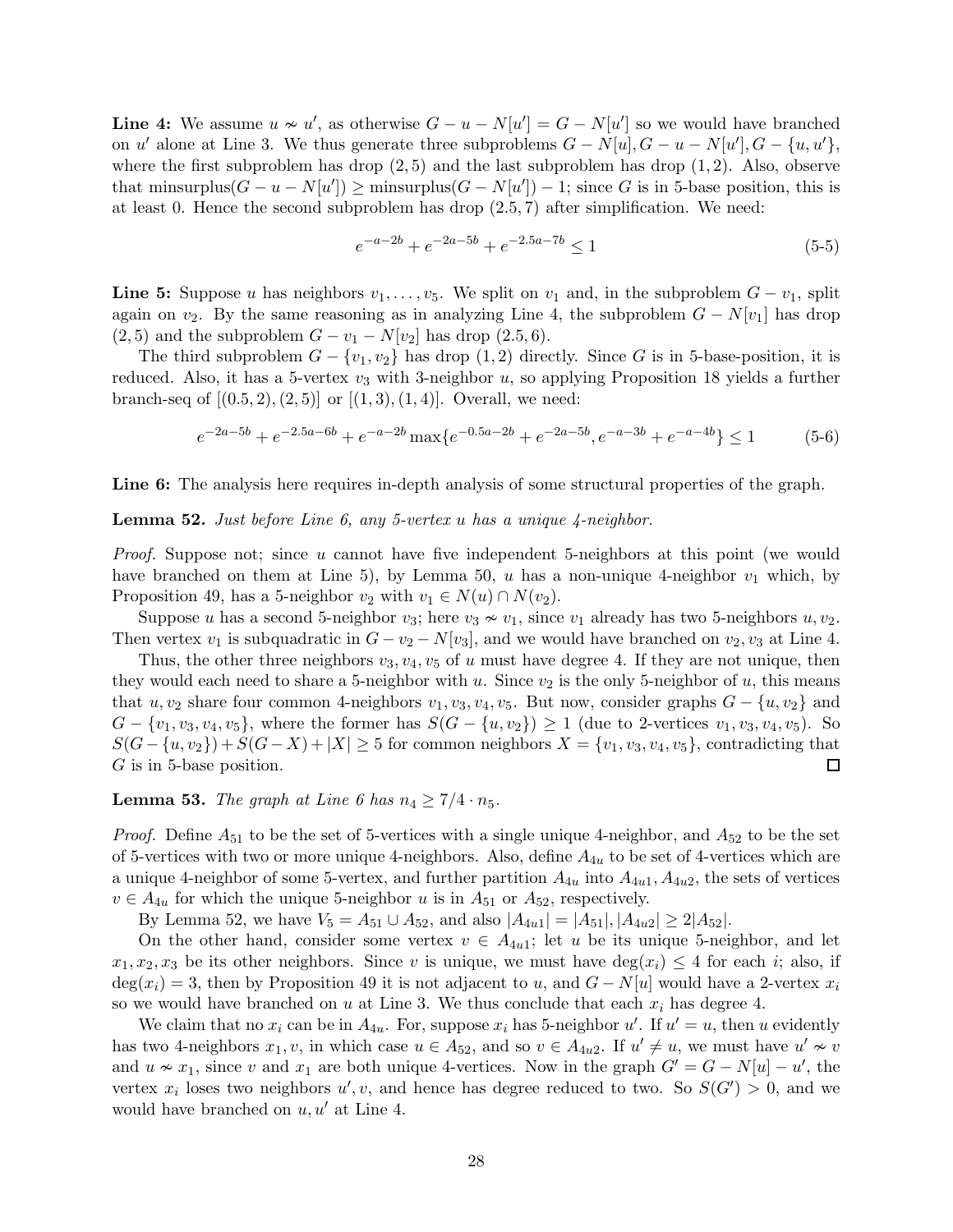**Line 4:** We assume  $u \nsim u'$ , as otherwise  $G - u - N[u'] = G - N[u']$  so we would have branched on u' alone at Line 3. We thus generate three subproblems  $G - N[u], G - u - N[u'], G - \{u, u'\},$ where the first subproblem has drop  $(2, 5)$  and the last subproblem has drop  $(1, 2)$ . Also, observe that minsurplus $(G - u - N[u']) \ge \text{minsurplus}(G - N[u']) - 1$ ; since G is in 5-base position, this is at least 0. Hence the second subproblem has drop  $(2.5, 7)$  after simplification. We need:

$$
e^{-a-2b} + e^{-2a-5b} + e^{-2.5a-7b} \le 1
$$
\n<sup>(5-5)</sup>

**Line 5:** Suppose u has neighbors  $v_1, \ldots, v_5$ . We split on  $v_1$  and, in the subproblem  $G - v_1$ , split again on  $v_2$ . By the same reasoning as in analyzing Line 4, the subproblem  $G - N[v_1]$  has drop  $(2, 5)$  and the subproblem  $G - v_1 - N[v_2]$  has drop  $(2.5, 6)$ .

The third subproblem  $G - \{v_1, v_2\}$  has drop  $(1, 2)$  directly. Since G is in 5-base-position, it is reduced. Also, it has a 5-vertex  $v_3$  with 3-neighbor u, so applying Proposition [18](#page-9-2) yields a further branch-seq of  $[(0.5, 2), (2, 5)]$  or  $[(1, 3), (1, 4)]$ . Overall, we need:

$$
e^{-2a-5b} + e^{-2.5a-6b} + e^{-a-2b} \max\{e^{-0.5a-2b} + e^{-2a-5b}, e^{-a-3b} + e^{-a-4b}\} \le 1
$$
 (5-6)

<span id="page-27-0"></span>Line 6: The analysis here requires in-depth analysis of some structural properties of the graph.

**Lemma 52.** Just before Line 6, any 5-vertex u has a unique  $\frac{1}{4}$ -neighbor.

Proof. Suppose not; since u cannot have five independent 5-neighbors at this point (we would have branched on them at Line 5), by Lemma [50,](#page-26-1) u has a non-unique 4-neighbor  $v_1$  which, by Proposition [49,](#page-26-0) has a 5-neighbor  $v_2$  with  $v_1 \in N(u) \cap N(v_2)$ .

Suppose u has a second 5-neighbor  $v_3$ ; here  $v_3 \nsim v_1$ , since  $v_1$  already has two 5-neighbors  $u, v_2$ . Then vertex  $v_1$  is subquadratic in  $G - v_2 - N[v_3]$ , and we would have branched on  $v_2, v_3$  at Line 4.

Thus, the other three neighbors  $v_3, v_4, v_5$  of u must have degree 4. If they are not unique, then they would each need to share a 5-neighbor with u. Since  $v_2$  is the only 5-neighbor of u, this means that  $u, v_2$  share four common 4-neighbors  $v_1, v_3, v_4, v_5$ . But now, consider graphs  $G - \{u, v_2\}$  and  $G - \{v_1, v_3, v_4, v_5\}$ , where the former has  $S(G - \{u, v_2\}) \ge 1$  (due to 2-vertices  $v_1, v_3, v_4, v_5$ ). So  $S(G-\{u, v_2\})+S(G-X)+|X|\geq 5$  for common neighbors  $X=\{v_1, v_3, v_4, v_5\}$ , contradicting that G is in 5-base position.  $\Box$ 

<span id="page-27-1"></span>**Lemma 53.** The graph at Line 6 has  $n_4 \geq 7/4 \cdot n_5$ .

*Proof.* Define  $A_{51}$  to be the set of 5-vertices with a single unique 4-neighbor, and  $A_{52}$  to be the set of 5-vertices with two or more unique 4-neighbors. Also, define  $A_{4u}$  to be set of 4-vertices which are a unique 4-neighbor of some 5-vertex, and further partition  $A_{4u}$  into  $A_{4u1}$ ,  $A_{4u2}$ , the sets of vertices  $v \in A_{4u}$  for which the unique 5-neighbor u is in  $A_{51}$  or  $A_{52}$ , respectively.

By Lemma [52,](#page-27-0) we have  $V_5 = A_{51} \cup A_{52}$ , and also  $|A_{4u1}| = |A_{51}|, |A_{4u2}| \ge 2|A_{52}|$ .

On the other hand, consider some vertex  $v \in A_{4u1}$ ; let u be its unique 5-neighbor, and let  $x_1, x_2, x_3$  be its other neighbors. Since v is unique, we must have  $deg(x_i) \leq 4$  for each i; also, if  $\deg(x_i) = 3$ , then by Proposition [49](#page-26-0) it is not adjacent to u, and  $G - N[u]$  would have a 2-vertex  $x_i$ so we would have branched on u at Line 3. We thus conclude that each  $x_i$  has degree 4.

We claim that no  $x_i$  can be in  $A_{4u}$ . For, suppose  $x_i$  has 5-neighbor u'. If  $u' = u$ , then u evidently has two 4-neighbors  $x_1, v$ , in which case  $u \in A_{52}$ , and so  $v \in A_{4u2}$ . If  $u' \neq u$ , we must have  $u' \nsim v$ and  $u \nsim x_1$ , since v and  $x_1$  are both unique 4-vertices. Now in the graph  $G' = G - N[u] - u'$ , the vertex  $x_i$  loses two neighbors  $u', v$ , and hence has degree reduced to two. So  $S(G') > 0$ , and we would have branched on  $u, u'$  at Line 4.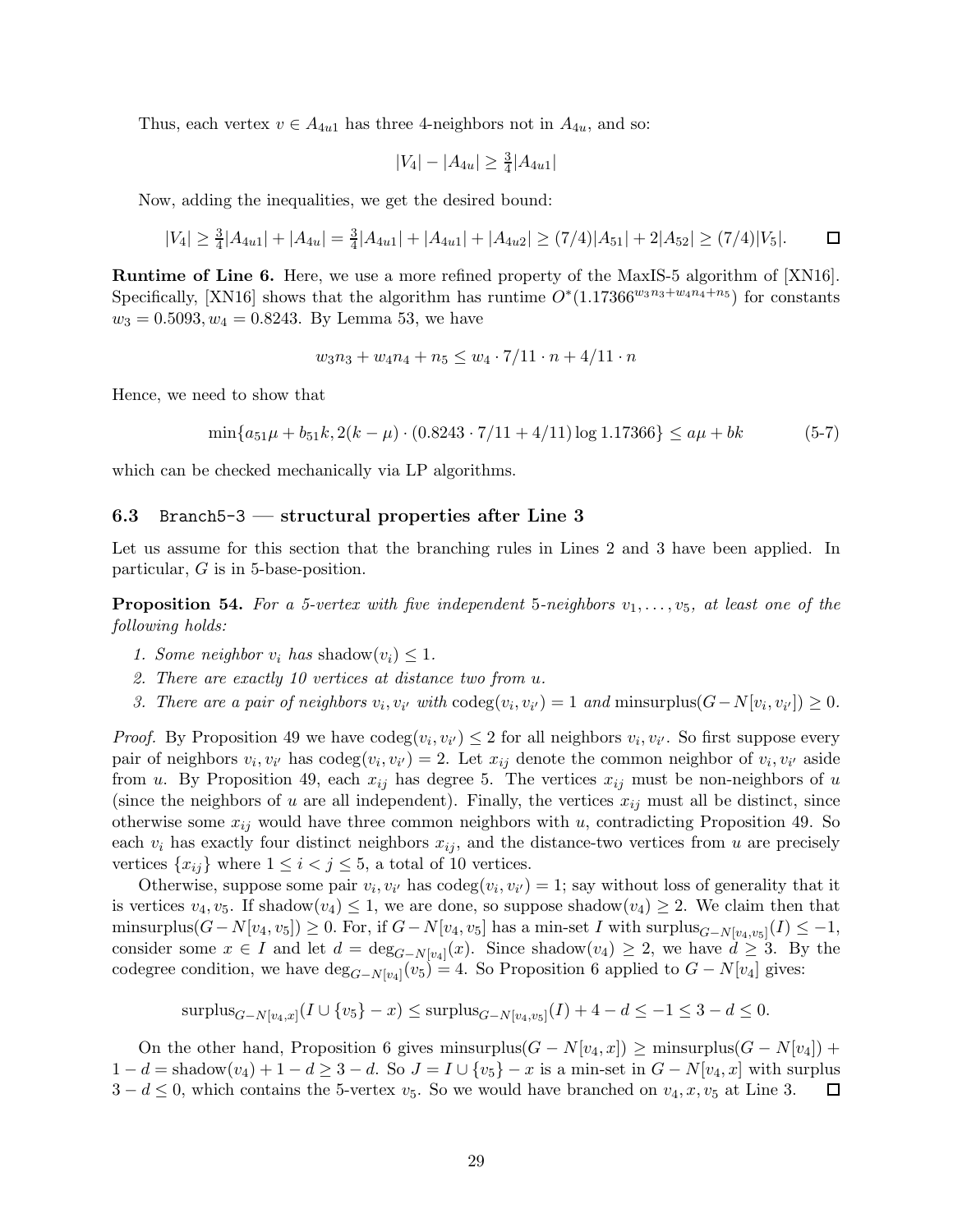Thus, each vertex  $v \in A_{4u1}$  has three 4-neighbors not in  $A_{4u}$ , and so:

$$
|V_4| - |A_{4u}| \ge \frac{3}{4} |A_{4u1}|
$$

Now, adding the inequalities, we get the desired bound:

$$
|V_4| \ge \frac{3}{4}|A_{4u1}| + |A_{4u}| = \frac{3}{4}|A_{4u1}| + |A_{4u1}| + |A_{4u2}| \ge (7/4)|A_{51}| + 2|A_{52}| \ge (7/4)|V_5|.
$$

Runtime of Line 6. Here, we use a more refined property of the MaxIS-5 algorithm of [\[XN16\]](#page-42-6). Specifically, [\[XN16\]](#page-42-6) shows that the algorithm has runtime  $O^*(1.17366^{w_3n_3+w_4n_4+n_5})$  for constants  $w_3 = 0.5093, w_4 = 0.8243$ . By Lemma [53,](#page-27-1) we have

$$
w_3n_3 + w_4n_4 + n_5 \le w_4 \cdot 7/11 \cdot n + 4/11 \cdot n
$$

Hence, we need to show that

$$
\min\{a_{51}\mu + b_{51}k, 2(k - \mu) \cdot (0.8243 \cdot 7/11 + 4/11) \log 1.17366\} \le a\mu + bk \tag{5-7}
$$

which can be checked mechanically via LP algorithms.

#### 6.3 Branch 5-3 — structural properties after Line 3

<span id="page-28-0"></span>Let us assume for this section that the branching rules in Lines 2 and 3 have been applied. In particular, G is in 5-base-position.

**Proposition 54.** For a 5-vertex with five independent 5-neighbors  $v_1, \ldots, v_5$ , at least one of the following holds:

- 1. Some neighbor  $v_i$  has shadow $(v_i) \leq 1$ .
- 2. There are exactly 10 vertices at distance two from u.
- 3. There are a pair of neighbors  $v_i, v_{i'}$  with  $\operatorname{codeg}(v_i, v_{i'}) = 1$  and  $\operatorname{minsurplus}(G N[v_i, v_{i'}]) \geq 0$ .

*Proof.* By Proposition [49](#page-26-0) we have  $\text{codeg}(v_i, v_{i'}) \leq 2$  for all neighbors  $v_i, v_{i'}$ . So first suppose every pair of neighbors  $v_i, v_{i'}$  has  $\text{codeg}(v_i, v_{i'}) = 2$ . Let  $x_{ij}$  denote the common neighbor of  $v_i, v_{i'}$  aside from u. By Proposition [49,](#page-26-0) each  $x_{ij}$  has degree 5. The vertices  $x_{ij}$  must be non-neighbors of u (since the neighbors of u are all independent). Finally, the vertices  $x_{ij}$  must all be distinct, since otherwise some  $x_{ij}$  would have three common neighbors with u, contradicting Proposition [49.](#page-26-0) So each  $v_i$  has exactly four distinct neighbors  $x_{ij}$ , and the distance-two vertices from u are precisely vertices  $\{x_{ij}\}\$  where  $1 \leq i \leq j \leq 5$ , a total of 10 vertices.

Otherwise, suppose some pair  $v_i, v_{i'}$  has  $\text{codeg}(v_i, v_{i'}) = 1$ ; say without loss of generality that it is vertices  $v_4, v_5$ . If shadow $(v_4) \leq 1$ , we are done, so suppose shadow $(v_4) \geq 2$ . We claim then that minsurplus( $G - N[v_4, v_5]$ ) ≥ 0. For, if  $G - N[v_4, v_5]$  has a min-set I with surplus $_{G-N[v_4, v_5]}(I) \leq -1$ , consider some  $x \in I$  and let  $d = \deg_{G-N[v_4]}(x)$ . Since shadow $(v_4) \geq 2$ , we have  $d \geq 3$ . By the codegree condition, we have  $\deg_{G-N[v_4]}(v_5) = 4$ . So Proposition [6](#page-4-3) applied to  $G - N[v_4]$  gives:

$$
\text{surplus}_{G-N[v_4,x]}(I \cup \{v_5\}-x) \le \text{surplus}_{G-N[v_4,v_5]}(I) + 4 - d \le -1 \le 3 - d \le 0.
$$

<span id="page-28-1"></span>On the other hand, Proposition [6](#page-4-3) gives minsurplus( $G - N[v_4, x]$ ) ≥ minsurplus( $G - N[v_4]$ ) +  $1 - d = \text{shadow}(v_4) + 1 - d \geq 3 - d$ . So  $J = I \cup \{v_5\} - x$  is a min-set in  $G - N[v_4, x]$  with surplus  $3 - d \leq 0$ , which contains the 5-vertex  $v_5$ . So we would have branched on  $v_4, x, v_5$  at Line 3. ப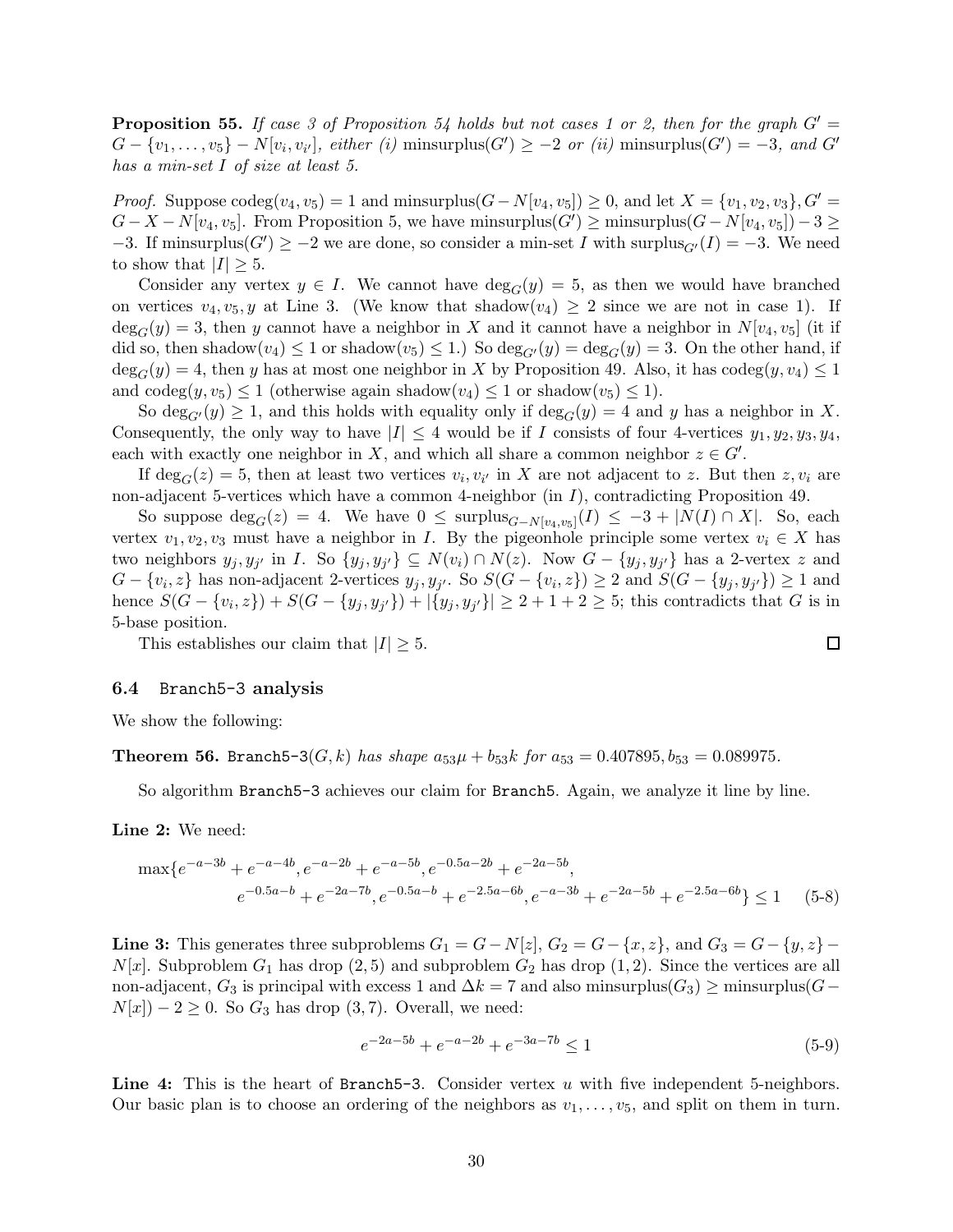**Proposition 55.** If case 3 of Proposition [54](#page-28-0) holds but not cases 1 or 2, then for the graph  $G' =$  $G - \{v_1, \ldots, v_5\} - N[v_i, v_{i'}],$  either (i) minsurplus( $G'$ )  $\geq -2$  or (ii) minsurplus( $G'$ ) = -3, and  $G'$ has a min-set I of size at least 5.

*Proof.* Suppose  $\text{codeg}(v_4, v_5) = 1$  and minsurplus $(G - N[v_4, v_5]) \geq 0$ , and let  $X = \{v_1, v_2, v_3\}$ ,  $G' =$  $G - X - N[v_4, v_5]$ . From Proposition [5,](#page-4-2) we have minsurplus $(G') \ge \text{minsurplus}(G - N[v_4, v_5]) - 3 \ge$ -3. If minsurplus( $G'$ )  $\geq -2$  we are done, so consider a min-set I with surplus<sub> $G'$ </sub> $(I) = -3$ . We need to show that  $|I| \geq 5$ .

Consider any vertex  $y \in I$ . We cannot have  $\deg_G(y) = 5$ , as then we would have branched on vertices  $v_4, v_5, y$  at Line 3. (We know that shadow $(v_4) \geq 2$  since we are not in case 1). If  $\deg_G(y) = 3$ , then y cannot have a neighbor in X and it cannot have a neighbor in  $N[v_4, v_5]$  (it if did so, then shadow $(v_4) \leq 1$  or shadow $(v_5) \leq 1$ .) So  $\deg_{G'}(y) = \deg_G(y) = 3$ . On the other hand, if  $\deg_G(y) = 4$ , then y has at most one neighbor in X by Proposition [49.](#page-26-0) Also, it has codeg $(y, v_4) \leq 1$ and  $\operatorname{codeg}(y, v_5) \leq 1$  (otherwise again shadow $(v_4) \leq 1$  or shadow $(v_5) \leq 1$ ).

So  $\deg_{G'}(y) \geq 1$ , and this holds with equality only if  $\deg_G(y) = 4$  and y has a neighbor in X. Consequently, the only way to have  $|I| \leq 4$  would be if I consists of four 4-vertices  $y_1, y_2, y_3, y_4$ , each with exactly one neighbor in X, and which all share a common neighbor  $z \in G'$ .

If  $\deg_G(z) = 5$ , then at least two vertices  $v_i, v_{i'}$  in X are not adjacent to z. But then  $z, v_i$  are non-adjacent 5-vertices which have a common 4-neighbor (in I), contradicting Proposition [49.](#page-26-0)

So suppose  $\deg_G(z) = 4$ . We have  $0 \leq \text{surplus}_{G-N[v_4,v_5]}(I) \leq -3 + |N(I) \cap X|$ . So, each vertex  $v_1, v_2, v_3$  must have a neighbor in I. By the pigeonhole principle some vertex  $v_i \in X$  has two neighbors  $y_j, y_{j'}$  in I. So  $\{y_j, y_{j'}\} \subseteq N(v_i) \cap N(z)$ . Now  $G - \{y_j, y_{j'}\}$  has a 2-vertex z and  $G - \{v_i, z\}$  has non-adjacent 2-vertices  $y_j, y_{j'}$ . So  $S(G - \{v_i, z\}) \geq 2$  and  $S(G - \{y_j, y_{j'}\}) \geq 1$  and hence  $S(G - \{v_i, z\}) + S(G - \{y_j, y_{j'}\}) + |\{y_j, y_{j'}\}| \ge 2 + 1 + 2 \ge 5$ ; this contradicts that G is in 5-base position.

This establishes our claim that  $|I| \geq 5$ .

#### 6.4 Branch5-3 analysis

We show the following:

**Theorem 56.** Branch5-3( $G, k$ ) has shape  $a_{53}\mu + b_{53}k$  for  $a_{53} = 0.407895, b_{53} = 0.089975$ .

So algorithm Branch5-3 achieves our claim for Branch5. Again, we analyze it line by line.

Line 2: We need:

max{e <sup>−</sup>a−3<sup>b</sup> + e −a−4b , e−a−2<sup>b</sup> + e −a−5b , e−0.5a−2<sup>b</sup> + e −2a−5b , e <sup>−</sup>0.5a−<sup>b</sup> + e −2a−7b , e−0.5a−<sup>b</sup> + e −2.5a−6b , e−a−3<sup>b</sup> + e <sup>−</sup>2a−5<sup>b</sup> + e −2.5a−6b } ≤ 1 (5-8)

**Line 3:** This generates three subproblems  $G_1 = G - N[z]$ ,  $G_2 = G - \{x, z\}$ , and  $G_3 = G - \{y, z\}$  $N[x]$ . Subproblem  $G_1$  has drop  $(2, 5)$  and subproblem  $G_2$  has drop  $(1, 2)$ . Since the vertices are all non-adjacent,  $G_3$  is principal with excess 1 and  $\Delta k = 7$  and also minsurplus( $G_3$ ) ≥ minsurplus( $G N[x]$ ) − 2 ≥ 0. So  $G_3$  has drop (3,7). Overall, we need:

$$
e^{-2a-5b} + e^{-a-2b} + e^{-3a-7b} \le 1
$$
\n<sup>(5-9)</sup>

Line 4: This is the heart of Branch5-3. Consider vertex u with five independent 5-neighbors. Our basic plan is to choose an ordering of the neighbors as  $v_1, \ldots, v_5$ , and split on them in turn.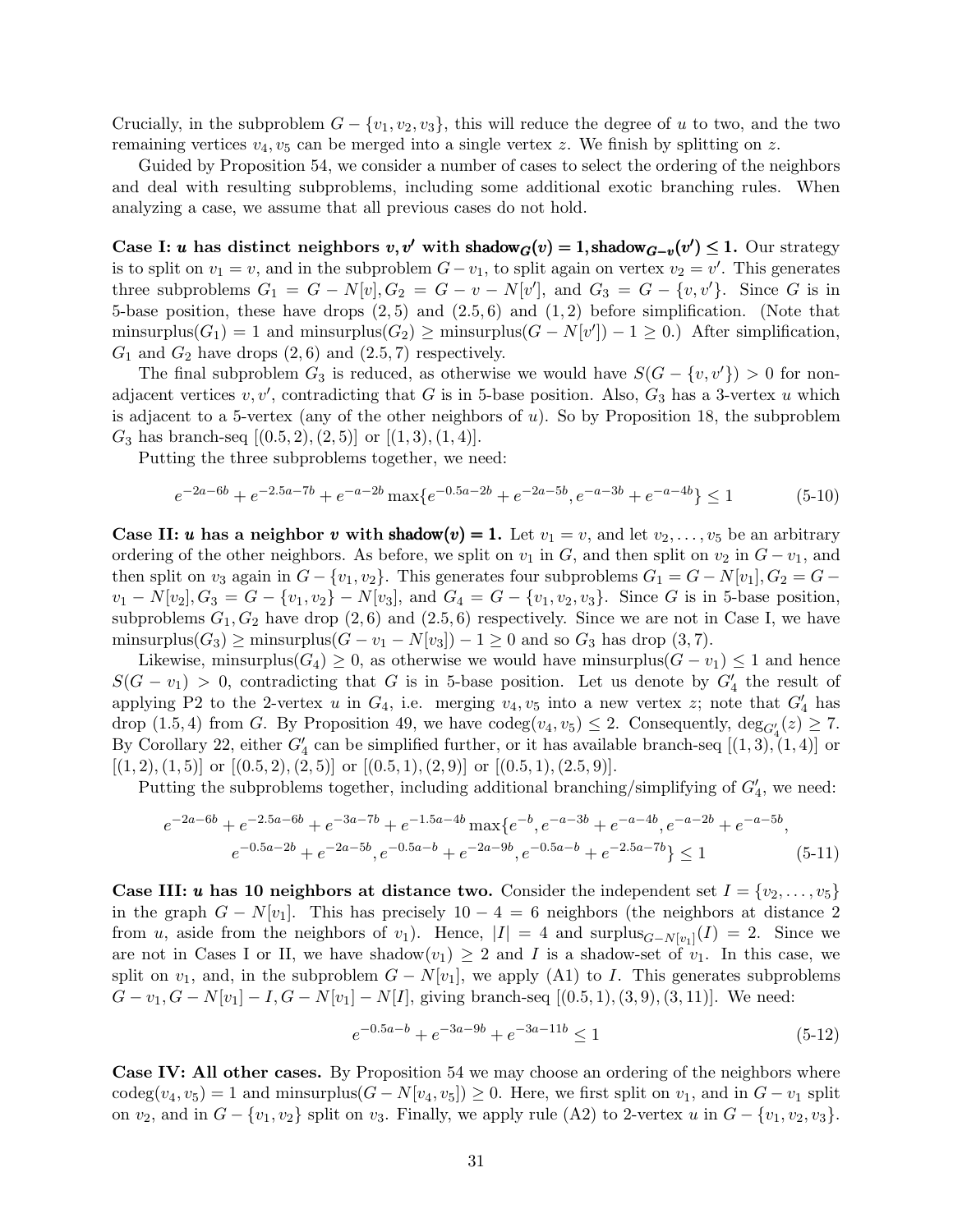Crucially, in the subproblem  $G - \{v_1, v_2, v_3\}$ , this will reduce the degree of u to two, and the two remaining vertices  $v_4, v_5$  can be merged into a single vertex z. We finish by splitting on z.

Guided by Proposition [54,](#page-28-0) we consider a number of cases to select the ordering of the neighbors and deal with resulting subproblems, including some additional exotic branching rules. When analyzing a case, we assume that all previous cases do not hold.

Case I: u has distinct neighbors  $v, v'$  with shadow $G(v) = 1$ , shadow $G_{-v}(v') \leq 1$ . Our strategy is to split on  $v_1 = v$ , and in the subproblem  $G - v_1$ , to split again on vertex  $v_2 = v'$ . This generates three subproblems  $G_1 = G - N[v], G_2 = G - v - N[v'],$  and  $G_3 = G - \{v, v'\}.$  Since G is in 5-base position, these have drops  $(2,5)$  and  $(2.5,6)$  and  $(1,2)$  before simplification. (Note that minsurplus( $G_1$ ) = 1 and minsurplus( $G_2$ ) ≥ minsurplus( $G - N[v']$ ) – 1 ≥ 0.) After simplification,  $G_1$  and  $G_2$  have drops  $(2, 6)$  and  $(2.5, 7)$  respectively.

The final subproblem  $G_3$  is reduced, as otherwise we would have  $S(G - \{v, v'\}) > 0$  for nonadjacent vertices  $v, v'$ , contradicting that G is in 5-base position. Also,  $G_3$  has a 3-vertex u which is adjacent to a 5-vertex (any of the other neighbors of  $u$ ). So by Proposition [18,](#page-9-2) the subproblem  $G_3$  has branch-seq  $[(0.5, 2), (2, 5)]$  or  $[(1, 3), (1, 4)].$ 

Putting the three subproblems together, we need:

$$
e^{-2a-6b} + e^{-2.5a-7b} + e^{-a-2b} \max\{e^{-0.5a-2b} + e^{-2a-5b}, e^{-a-3b} + e^{-a-4b}\} \le 1
$$
 (5-10)

**Case II: u** has a neighbor v with shadow $(v) = 1$ . Let  $v_1 = v$ , and let  $v_2, \ldots, v_5$  be an arbitrary ordering of the other neighbors. As before, we split on  $v_1$  in G, and then split on  $v_2$  in  $G - v_1$ , and then split on  $v_3$  again in  $G - \{v_1, v_2\}$ . This generates four subproblems  $G_1 = G - N[v_1], G_2 = G$  $v_1 - N[v_2], G_3 = G - \{v_1, v_2\} - N[v_3],$  and  $G_4 = G - \{v_1, v_2, v_3\}$ . Since G is in 5-base position, subproblems  $G_1, G_2$  have drop  $(2, 6)$  and  $(2.5, 6)$  respectively. Since we are not in Case I, we have minsurplus( $G_3$ ) ≥ minsurplus( $G - v_1 - N[v_3]$ ) – 1 ≥ 0 and so  $G_3$  has drop (3,7).

Likewise, minsurplus( $G_4$ ) ≥ 0, as otherwise we would have minsurplus( $G - v_1$ ) ≤ 1 and hence  $S(G - v_1) > 0$ , contradicting that G is in 5-base position. Let us denote by  $G'_4$  the result of applying P2 to the 2-vertex u in  $G_4$ , i.e. merging  $v_4, v_5$  into a new vertex z; note that  $G'_4$  has drop (1.5, 4) from G. By Proposition [49,](#page-26-0) we have  $\operatorname{codeg}(v_4, v_5) \leq 2$ . Consequently,  $\operatorname{deg}_{G'_4}(z) \geq 7$ . By Corollary [22,](#page-10-2) either  $G'_4$  can be simplified further, or it has available branch-seq  $[(1,3), (1,4)]$  or  $[(1, 2), (1, 5)]$  or  $[(0.5, 2), (2, 5)]$  or  $[(0.5, 1), (2, 9)]$  or  $[(0.5, 1), (2.5, 9)]$ .

Putting the subproblems together, including additional branching/simplifying of  $G'_{4}$ , we need:

$$
e^{-2a-6b} + e^{-2.5a-6b} + e^{-3a-7b} + e^{-1.5a-4b} \max\{e^{-b}, e^{-a-3b} + e^{-a-4b}, e^{-a-2b} + e^{-a-5b}, e^{-0.5a-2b} + e^{-2a-5b}, e^{-0.5a-b} + e^{-2a-9b}, e^{-0.5a-b} + e^{-2.5a-7b} \} \le 1
$$
\n(5-11)

**Case III:** u has 10 neighbors at distance two. Consider the independent set  $I = \{v_2, \ldots, v_5\}$ in the graph  $G - N[v_1]$ . This has precisely  $10 - 4 = 6$  neighbors (the neighbors at distance 2 from u, aside from the neighbors of  $v_1$ ). Hence,  $|I| = 4$  and surplus ${}_{G-N[v_1]}(I) = 2$ . Since we are not in Cases I or II, we have shadow $(v_1) \geq 2$  and I is a shadow-set of  $v_1$ . In this case, we split on  $v_1$ , and, in the subproblem  $G - N[v_1]$ , we apply (A1) to I. This generates subproblems  $G - v_1, G - N[v_1] - I, G - N[v_1] - N[I],$  giving branch-seq  $[(0.5, 1), (3, 9), (3, 11)].$  We need:

$$
e^{-0.5a-b} + e^{-3a-9b} + e^{-3a-11b} \le 1\tag{5-12}
$$

Case IV: All other cases. By Proposition [54](#page-28-0) we may choose an ordering of the neighbors where codeg $(v_4, v_5) = 1$  and minsurplus $(G - N[v_4, v_5]) \geq 0$ . Here, we first split on  $v_1$ , and in  $G - v_1$  split on  $v_2$ , and in  $G - \{v_1, v_2\}$  split on  $v_3$ . Finally, we apply rule (A2) to 2-vertex u in  $G - \{v_1, v_2, v_3\}$ .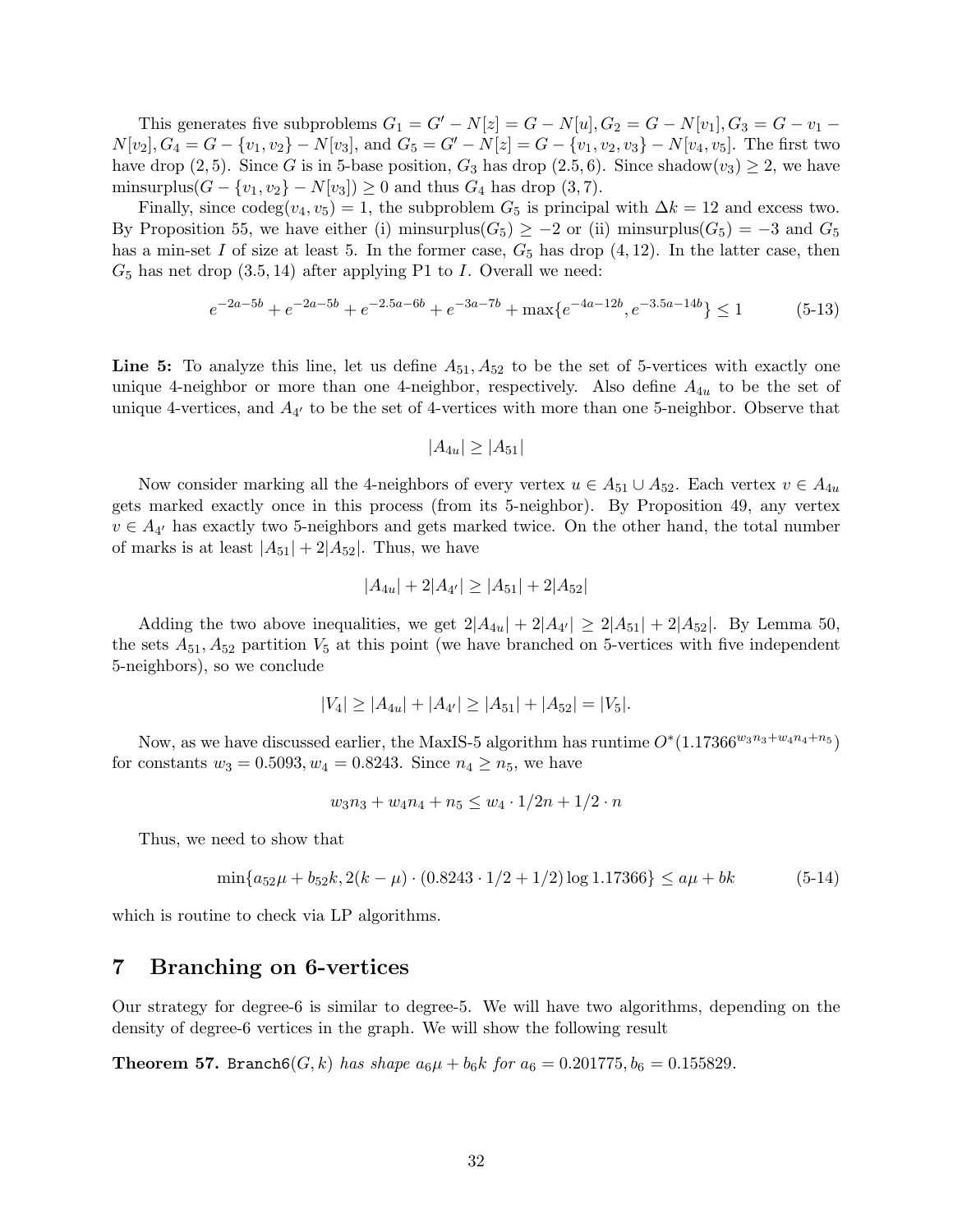This generates five subproblems  $G_1 = G' - N[z] = G - N[u], G_2 = G - N[v_1], G_3 = G - v_1$  $N[v_2], G_4 = G - \{v_1, v_2\} - N[v_3],$  and  $G_5 = G' - N[z] = G - \{v_1, v_2, v_3\} - N[v_4, v_5].$  The first two have drop (2, 5). Since G is in 5-base position,  $G_3$  has drop (2.5, 6). Since shadow $(v_3) \geq 2$ , we have minsurplus( $G - \{v_1, v_2\} - N[v_3]$ ) ≥ 0 and thus  $G_4$  has drop (3,7).

Finally, since  $\text{codeg}(v_4, v_5) = 1$ , the subproblem  $G_5$  is principal with  $\Delta k = 12$  and excess two. By Proposition [55,](#page-28-1) we have either (i) minsurplus( $G_5$ ) ≥ −2 or (ii) minsurplus( $G_5$ ) = −3 and  $G_5$ has a min-set I of size at least 5. In the former case,  $G_5$  has drop  $(4, 12)$ . In the latter case, then  $G_5$  has net drop  $(3.5, 14)$  after applying P1 to I. Overall we need:

$$
e^{-2a-5b} + e^{-2a-5b} + e^{-2.5a-6b} + e^{-3a-7b} + \max\{e^{-4a-12b}, e^{-3.5a-14b}\} \le 1
$$
 (5-13)

Line 5: To analyze this line, let us define  $A_{51}$ ,  $A_{52}$  to be the set of 5-vertices with exactly one unique 4-neighbor or more than one 4-neighbor, respectively. Also define  $A_{4u}$  to be the set of unique 4-vertices, and  $A_{4'}$  to be the set of 4-vertices with more than one 5-neighbor. Observe that

$$
|A_{4u}| \ge |A_{51}|
$$

Now consider marking all the 4-neighbors of every vertex  $u \in A_{51} \cup A_{52}$ . Each vertex  $v \in A_{4u}$ gets marked exactly once in this process (from its 5-neighbor). By Proposition [49,](#page-26-0) any vertex  $v \in A_{4'}$  has exactly two 5-neighbors and gets marked twice. On the other hand, the total number of marks is at least  $|A_{51}| + 2|A_{52}|$ . Thus, we have

$$
|A_{4u}| + 2|A_{4'}| \ge |A_{51}| + 2|A_{52}|
$$

Adding the two above inequalities, we get  $2|A_{4u}| + 2|A_{4'}| \geq 2|A_{51}| + 2|A_{52}|$ . By Lemma [50,](#page-26-1) the sets  $A_{51}$ ,  $A_{52}$  partition  $V_5$  at this point (we have branched on 5-vertices with five independent 5-neighbors), so we conclude

$$
|V_4| \ge |A_{4u}| + |A_{4'}| \ge |A_{51}| + |A_{52}| = |V_5|.
$$

Now, as we have discussed earlier, the MaxIS-5 algorithm has runtime  $O^*(1.17366^{w_3n_3+w_4n_4+n_5})$ for constants  $w_3 = 0.5093, w_4 = 0.8243$ . Since  $n_4 \ge n_5$ , we have

$$
w_3n_3 + w_4n_4 + n_5 \le w_4 \cdot 1/2n + 1/2 \cdot n
$$

Thus, we need to show that

$$
\min\{a_{52}\mu + b_{52}k, 2(k - \mu) \cdot (0.8243 \cdot 1/2 + 1/2) \log 1.17366\} \le a\mu + bk \tag{5-14}
$$

which is routine to check via LP algorithms.

## 7 Branching on 6-vertices

Our strategy for degree-6 is similar to degree-5. We will have two algorithms, depending on the density of degree-6 vertices in the graph. We will show the following result

**Theorem 57.** Branch $6(G, k)$  has shape  $a_6\mu + b_6k$  for  $a_6 = 0.201775, b_6 = 0.155829$ .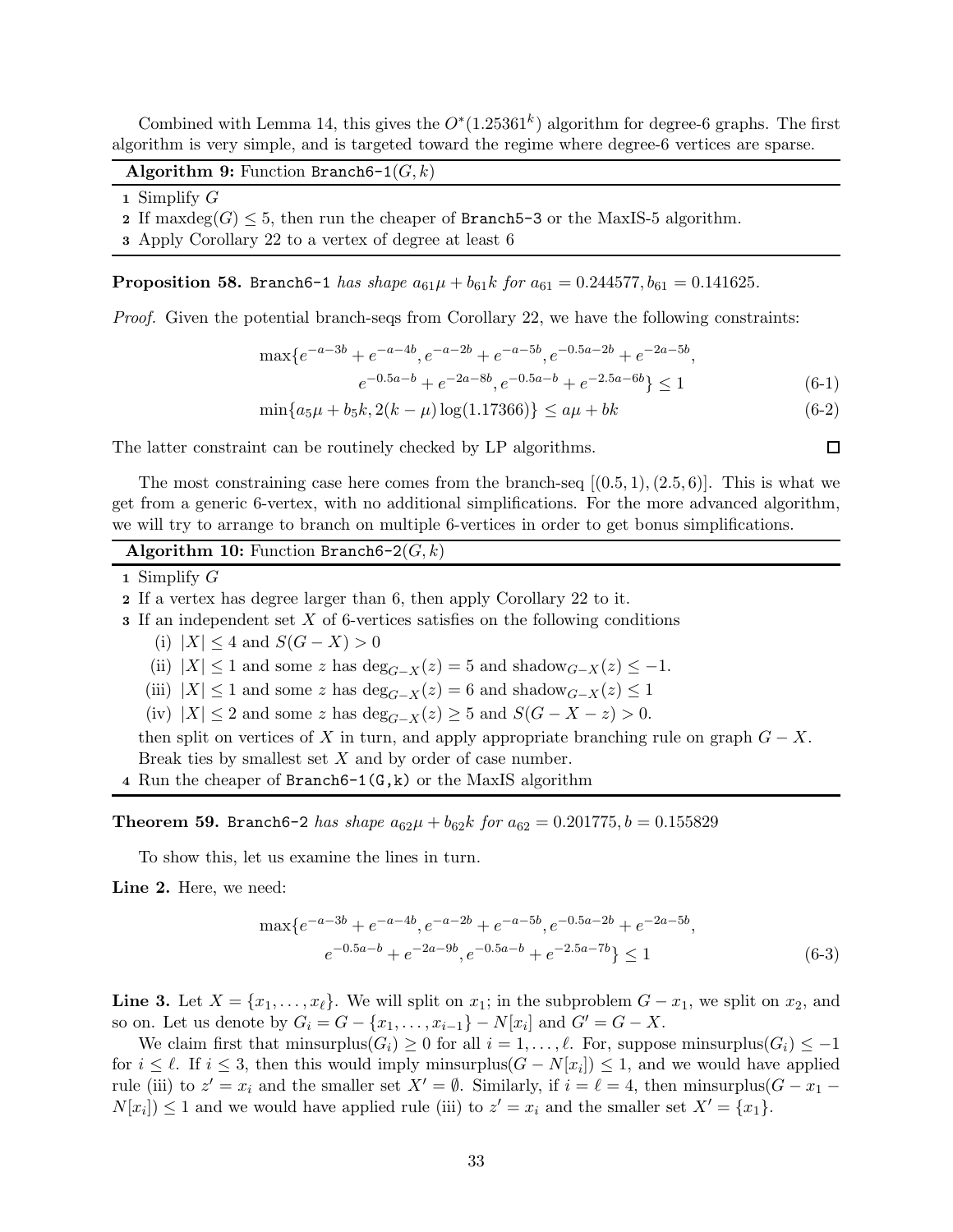Combined with Lemma [14,](#page-7-3) this gives the  $O^*(1.25361^k)$  algorithm for degree-6 graphs. The first algorithm is very simple, and is targeted toward the regime where degree-6 vertices are sparse.

Algorithm 9: Function Branch6-1 $(G, k)$ 

1 Simplify G

2 If maxdeg(G)  $\leq$  5, then run the cheaper of Branch5-3 or the MaxIS-5 algorithm.

3 Apply Corollary [22](#page-10-2) to a vertex of degree at least 6

**Proposition 58.** Branch6-1 has shape  $a_{61}\mu + b_{61}k$  for  $a_{61} = 0.244577$ ,  $b_{61} = 0.141625$ .

Proof. Given the potential branch-seqs from Corollary [22,](#page-10-2) we have the following constraints:

$$
\max\{e^{-a-3b} + e^{-a-4b}, e^{-a-2b} + e^{-a-5b}, e^{-0.5a-2b} + e^{-2a-5b}, e^{-0.5a-b} + e^{-2a-8b}, e^{-0.5a-b} + e^{-2.5a-6b}\} \le 1
$$
\n(6-1)

 $\min\{a_5\mu + b_5k, 2(k - \mu)\log(1.17366)\}\le a\mu + bk$  (6-2)

The latter constraint can be routinely checked by LP algorithms.

The most constraining case here comes from the branch-seq  $[(0.5, 1), (2.5, 6)]$ . This is what we get from a generic 6-vertex, with no additional simplifications. For the more advanced algorithm, we will try to arrange to branch on multiple 6-vertices in order to get bonus simplifications.

### Algorithm 10: Function Branch6-2 $(G, k)$

1 Simplify  $G$ 

- 2 If a vertex has degree larger than 6, then apply Corollary [22](#page-10-2) to it.
- 3 If an independent set X of 6-vertices satisfies on the following conditions
	- (i)  $|X| \leq 4$  and  $S(G X) > 0$
	- (ii)  $|X| \leq 1$  and some z has  $\deg_{G-X}(z) = 5$  and shadow $_{G-X}(z) \leq -1$ .
	- (iii)  $|X| \leq 1$  and some z has  $\deg_{G-X}(z) = 6$  and shadow $_{G-X}(z) \leq 1$
	- (iv)  $|X| \le 2$  and some z has  $\deg_{G-X}(z) \ge 5$  and  $S(G X z) > 0$ .

then split on vertices of X in turn, and apply appropriate branching rule on graph  $G - X$ . Break ties by smallest set  $X$  and by order of case number.

<span id="page-32-0"></span>4 Run the cheaper of Branch6-1 $(G, k)$  or the MaxIS algorithm

**Theorem 59.** Branch6-2 has shape  $a_{62}\mu + b_{62}k$  for  $a_{62} = 0.201775$ ,  $b = 0.155829$ 

To show this, let us examine the lines in turn.

Line 2. Here, we need:

$$
\max \{ e^{-a-3b} + e^{-a-4b}, e^{-a-2b} + e^{-a-5b}, e^{-0.5a-2b} + e^{-2a-5b}, e^{-0.5a-b} + e^{-2a-9b}, e^{-0.5a-b} + e^{-2.5a-7b} \} \le 1
$$
\n(6-3)

Line 3. Let  $X = \{x_1, \ldots, x_\ell\}$ . We will split on  $x_1$ ; in the subproblem  $G - x_1$ , we split on  $x_2$ , and so on. Let us denote by  $G_i = G - \{x_1, \ldots, x_{i-1}\} - N[x_i]$  and  $G' = G - X$ .

We claim first that minsurplus $(G_i) \geq 0$  for all  $i = 1, \ldots, \ell$ . For, suppose minsurplus $(G_i) \leq -1$ for  $i \leq \ell$ . If  $i \leq 3$ , then this would imply minsurplus( $G - N[x_i]$ )  $\leq 1$ , and we would have applied rule (iii) to  $z' = x_i$  and the smaller set  $X' = \emptyset$ . Similarly, if  $i = \ell = 4$ , then minsurplus( $G - x_1$  $N[x_i] \leq 1$  and we would have applied rule (iii) to  $z' = x_i$  and the smaller set  $X' = \{x_1\}$ .

□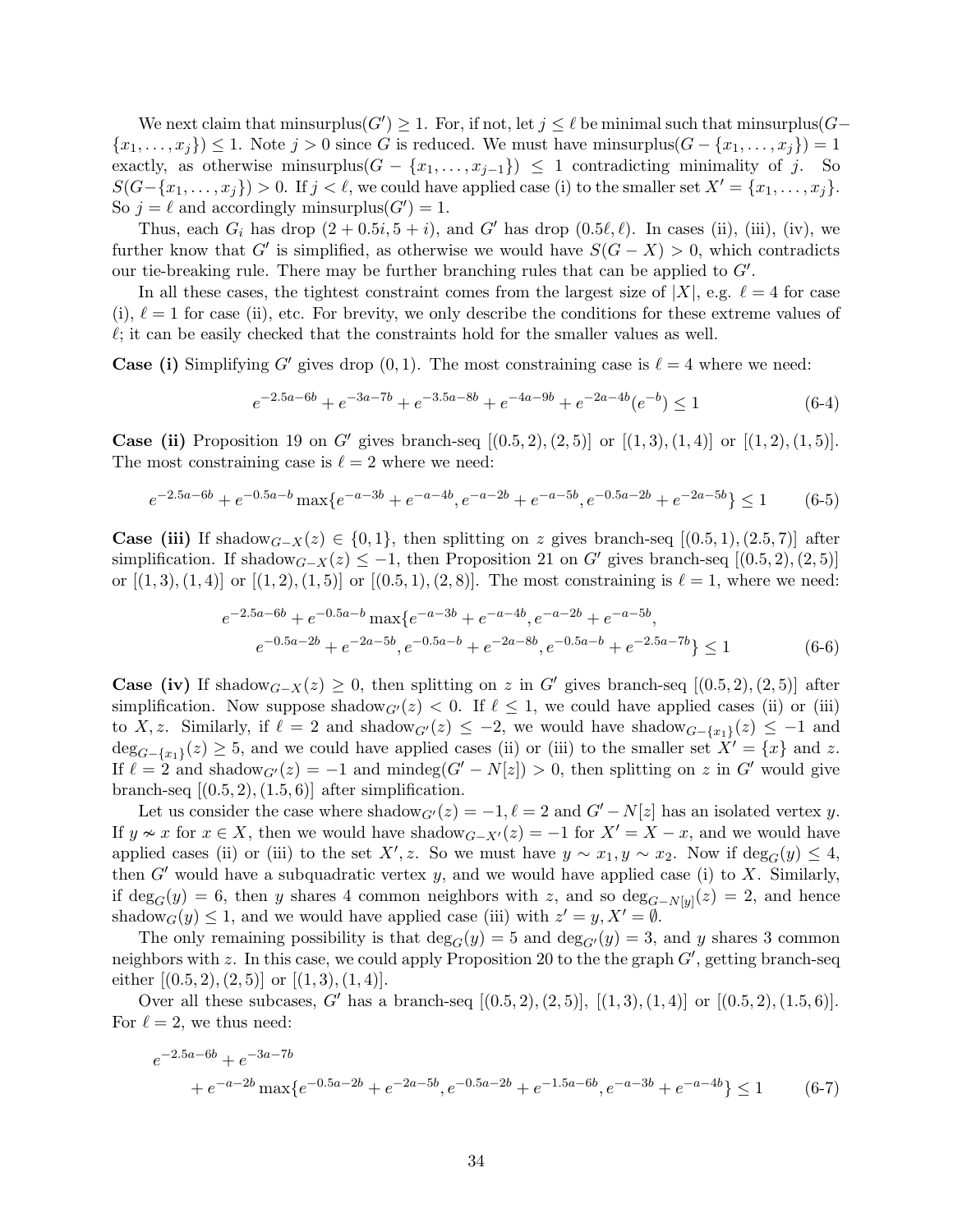We next claim that minsurplus $(G') \geq 1$ . For, if not, let  $j \leq \ell$  be minimal such that minsurplus $(G \{x_1, \ldots, x_j\} \leq 1$ . Note  $j > 0$  since G is reduced. We must have minsurplus $(G - \{x_1, \ldots, x_j\}) = 1$ exactly, as otherwise minimality of  $j$ . So  $S(G-\{x_1,\ldots,x_j\})>0.$  If  $j<\ell$ , we could have applied case (i) to the smaller set  $X'=\{x_1,\ldots,x_j\}.$ So  $j = \ell$  and accordingly minsurplus( $G'$ ) = 1.

Thus, each  $G_i$  has drop  $(2 + 0.5i, 5 + i)$ , and  $G'$  has drop  $(0.5\ell, \ell)$ . In cases (ii), (iii), (iv), we further know that G' is simplified, as otherwise we would have  $S(G - X) > 0$ , which contradicts our tie-breaking rule. There may be further branching rules that can be applied to  $G'$ .

In all these cases, the tightest constraint comes from the largest size of  $|X|$ , e.g.  $\ell = 4$  for case (i),  $\ell = 1$  for case (ii), etc. For brevity, we only describe the conditions for these extreme values of  $\ell$ ; it can be easily checked that the constraints hold for the smaller values as well.

**Case (i)** Simplifying G' gives drop  $(0, 1)$ . The most constraining case is  $\ell = 4$  where we need:

$$
e^{-2.5a-6b} + e^{-3a-7b} + e^{-3.5a-8b} + e^{-4a-9b} + e^{-2a-4b}(e^{-b}) \le 1
$$
 (6-4)

**Case (ii)** Proposition [19](#page-9-3) on G' gives branch-seq  $[(0.5, 2), (2, 5)]$  or  $[(1, 3), (1, 4)]$  or  $[(1, 2), (1, 5)]$ . The most constraining case is  $\ell = 2$  where we need:

$$
e^{-2.5a-6b} + e^{-0.5a-b} \max\{e^{-a-3b} + e^{-a-4b}, e^{-a-2b} + e^{-a-5b}, e^{-0.5a-2b} + e^{-2a-5b}\} \le 1
$$
 (6-5)

**Case (iii)** If shadow<sub>G-X</sub>(z) ∈ {0,1}, then splitting on z gives branch-seq [(0.5, 1), (2.5, 7)] after simplification. If shadow $_{G-X}(z) \leq -1$ , then Proposition [21](#page-10-1) on G' gives branch-seq [(0.5, 2), (2, 5)] or  $[(1,3), (1,4)]$  or  $[(1,2), (1,5)]$  or  $[(0.5,1), (2,8)]$ . The most constraining is  $\ell = 1$ , where we need:

$$
e^{-2.5a-6b} + e^{-0.5a-b} \max \{ e^{-a-3b} + e^{-a-4b}, e^{-a-2b} + e^{-a-5b}, e^{-0.5a-2b} + e^{-2a-5b}, e^{-0.5a-b} + e^{-2a-8b}, e^{-0.5a-b} + e^{-2.5a-7b} \} \le 1
$$
\n(6-6)

**Case (iv)** If shadow<sub>G-X</sub>(z) ≥ 0, then splitting on z in G' gives branch-seq [(0.5, 2), (2, 5)] after simplification. Now suppose shadow $_{G'}(z) < 0$ . If  $\ell \leq 1$ , we could have applied cases (ii) or (iii) to X, z. Similarly, if  $\ell = 2$  and shadow<sub>G'</sub> $(z) \leq -2$ , we would have shadow<sub>G-{x1}</sub> $(z) \leq -1$  and  $deg_{G-\{x_1\}}(z) \geq 5$ , and we could have applied cases (ii) or (iii) to the smaller set  $X' = \{x\}$  and z. If  $\ell = 2$  and shadow<sub>G'</sub> $(z) = -1$  and mindeg(G' – N[z]) > 0, then splitting on z in G' would give branch-seq  $[(0.5, 2), (1.5, 6)]$  after simplification.

Let us consider the case where shadow $_{G'}(z) = -1, \ell = 2$  and  $G' - N[z]$  has an isolated vertex y. If  $y \nsim x$  for  $x \in X$ , then we would have shadow<sub>G-X'</sub>(z) = -1 for  $X' = X - x$ , and we would have applied cases (ii) or (iii) to the set  $X'$ , z. So we must have  $y \sim x_1, y \sim x_2$ . Now if  $\deg_G(y) \leq 4$ , then  $G'$  would have a subquadratic vertex y, and we would have applied case (i) to X. Similarly, if  $\deg_G(y) = 6$ , then y shares 4 common neighbors with z, and so  $\deg_{G-N[y]}(z) = 2$ , and hence shadow<sub>G</sub> $(y) \leq 1$ , and we would have applied case (iii) with  $z' = y, X' = \emptyset$ .

The only remaining possibility is that  $\deg_G(y) = 5$  and  $\deg_{G'}(y) = 3$ , and y shares 3 common neighbors with  $z$ . In this case, we could apply Proposition [20](#page-10-0) to the the graph  $G'$ , getting branch-seq either  $[(0.5, 2), (2, 5)]$  or  $[(1, 3), (1, 4)].$ 

Over all these subcases, G' has a branch-seq  $[(0.5, 2), (2, 5)], [(1, 3), (1, 4)]$  or  $[(0.5, 2), (1.5, 6)].$ For  $\ell = 2$ , we thus need:

$$
e^{-2.5a-6b} + e^{-3a-7b}
$$
  
+ 
$$
e^{-a-2b} \max\{e^{-0.5a-2b} + e^{-2a-5b}, e^{-0.5a-2b} + e^{-1.5a-6b}, e^{-a-3b} + e^{-a-4b}\} \le 1
$$
 (6-7)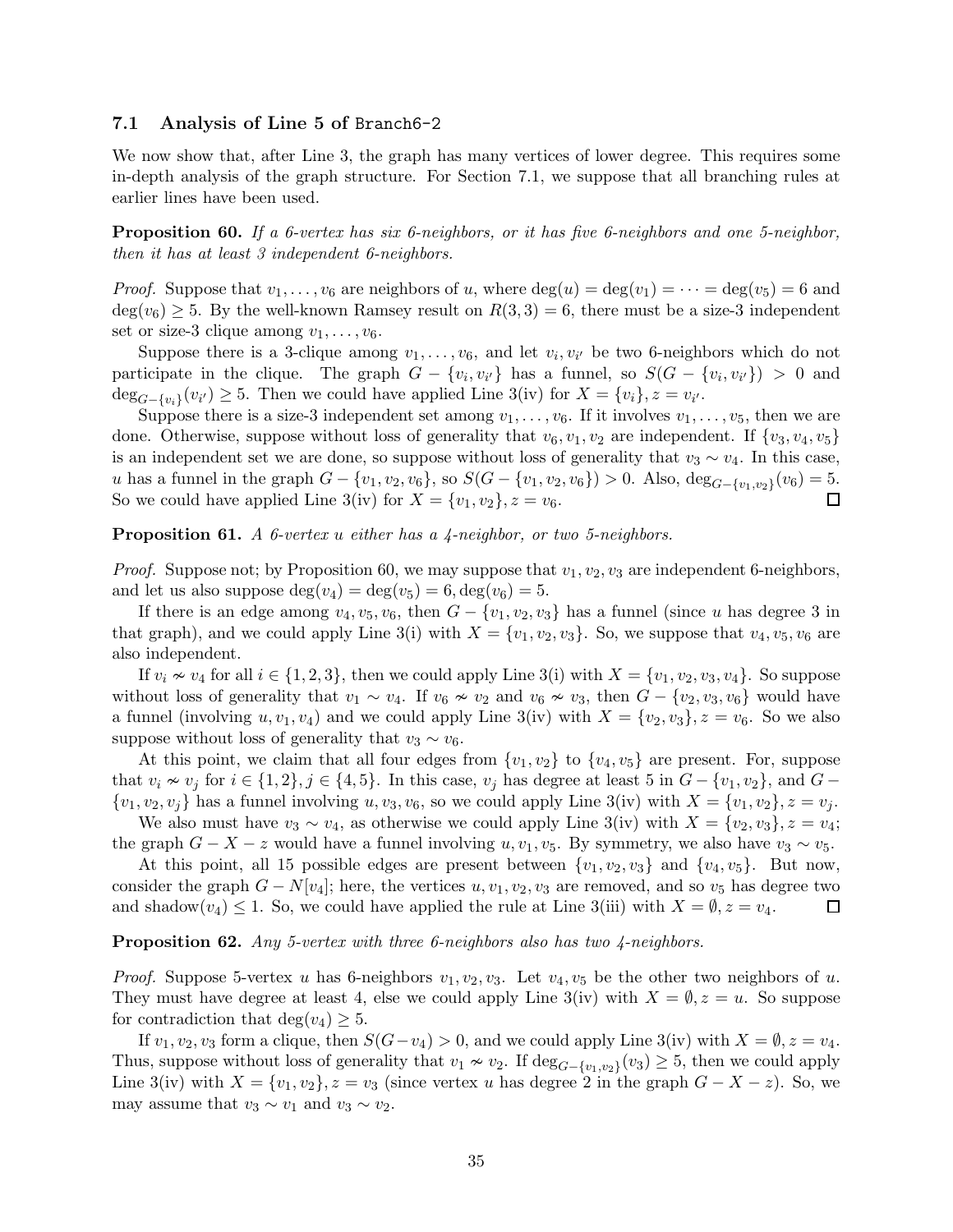#### <span id="page-34-0"></span>7.1 Analysis of Line 5 of Branch6-2

<span id="page-34-1"></span>We now show that, after Line 3, the graph has many vertices of lower degree. This requires some in-depth analysis of the graph structure. For Section [7.1,](#page-34-0) we suppose that all branching rules at earlier lines have been used.

**Proposition 60.** If a 6-vertex has six 6-neighbors, or it has five 6-neighbors and one 5-neighbor, then it has at least 3 independent 6-neighbors.

*Proof.* Suppose that  $v_1, \ldots, v_6$  are neighbors of u, where  $\deg(u) = \deg(v_1) = \cdots = \deg(v_5) = 6$  and  $deg(v_6) \geq 5$ . By the well-known Ramsey result on  $R(3,3) = 6$ , there must be a size-3 independent set or size-3 clique among  $v_1, \ldots, v_6$ .

Suppose there is a 3-clique among  $v_1, \ldots, v_6$ , and let  $v_i, v_{i'}$  be two 6-neighbors which do not participate in the clique. The graph  $G - \{v_i, v_{i'}\}$  has a funnel, so  $S(G - \{v_i, v_{i'}\}) > 0$  and  $\deg_{G-\{v_i\}}(v_{i'}) \geq 5$ . Then we could have applied Line 3(iv) for  $X = \{v_i\}, z = v_{i'}$ .

Suppose there is a size-3 independent set among  $v_1, \ldots, v_6$ . If it involves  $v_1, \ldots, v_5$ , then we are done. Otherwise, suppose without loss of generality that  $v_6, v_1, v_2$  are independent. If  $\{v_3, v_4, v_5\}$ is an independent set we are done, so suppose without loss of generality that  $v_3 \sim v_4$ . In this case, u has a funnel in the graph  $G - \{v_1, v_2, v_6\}$ , so  $S(G - \{v_1, v_2, v_6\}) > 0$ . Also,  $\deg_{G-\{v_1, v_2\}}(v_6) = 5$ . So we could have applied Line 3(iv) for  $X = \{v_1, v_2\}, z = v_6$ . П

<span id="page-34-2"></span>**Proposition 61.** A 6-vertex u either has a 4-neighbor, or two 5-neighbors.

*Proof.* Suppose not; by Proposition [60,](#page-34-1) we may suppose that  $v_1, v_2, v_3$  are independent 6-neighbors, and let us also suppose  $\deg(v_4) = \deg(v_5) = 6, \deg(v_6) = 5.$ 

If there is an edge among  $v_4, v_5, v_6$ , then  $G - \{v_1, v_2, v_3\}$  has a funnel (since u has degree 3 in that graph), and we could apply Line 3(i) with  $X = \{v_1, v_2, v_3\}$ . So, we suppose that  $v_4, v_5, v_6$  are also independent.

If  $v_i \nsim v_4$  for all  $i \in \{1, 2, 3\}$ , then we could apply Line 3(i) with  $X = \{v_1, v_2, v_3, v_4\}$ . So suppose without loss of generality that  $v_1 \sim v_4$ . If  $v_6 \nsim v_2$  and  $v_6 \nsim v_3$ , then  $G - \{v_2, v_3, v_6\}$  would have a funnel (involving  $u, v_1, v_4$ ) and we could apply Line 3(iv) with  $X = \{v_2, v_3\}, z = v_6$ . So we also suppose without loss of generality that  $v_3 \sim v_6$ .

At this point, we claim that all four edges from  $\{v_1, v_2\}$  to  $\{v_4, v_5\}$  are present. For, suppose that  $v_i \nsim v_j$  for  $i \in \{1,2\}, j \in \{4,5\}.$  In this case,  $v_j$  has degree at least 5 in  $G - \{v_1, v_2\}$ , and  $G \{v_1, v_2, v_j\}$  has a funnel involving  $u, v_3, v_6$ , so we could apply Line 3(iv) with  $X = \{v_1, v_2\}, z = v_j$ .

We also must have  $v_3 \sim v_4$ , as otherwise we could apply Line 3(iv) with  $X = \{v_2, v_3\}, z = v_4$ ; the graph  $G - X - z$  would have a funnel involving u,  $v_1, v_5$ . By symmetry, we also have  $v_3 \sim v_5$ .

At this point, all 15 possible edges are present between  $\{v_1, v_2, v_3\}$  and  $\{v_4, v_5\}$ . But now, consider the graph  $G - N[v_4]$ ; here, the vertices u,  $v_1, v_2, v_3$  are removed, and so  $v_5$  has degree two and shadow $(v_4) \leq 1$ . So, we could have applied the rule at Line 3(iii) with  $X = \emptyset$ ,  $z = v_4$ . 囗

#### <span id="page-34-3"></span>Proposition 62. Any 5-vertex with three 6-neighbors also has two 4-neighbors.

*Proof.* Suppose 5-vertex u has 6-neighbors  $v_1, v_2, v_3$ . Let  $v_4, v_5$  be the other two neighbors of u. They must have degree at least 4, else we could apply Line  $3(iv)$  with  $X = \emptyset$ ,  $z = u$ . So suppose for contradiction that deg( $v_4$ )  $\geq 5$ .

If  $v_1, v_2, v_3$  form a clique, then  $S(G-v_4) > 0$ , and we could apply Line 3(iv) with  $X = \emptyset$ ,  $z = v_4$ . Thus, suppose without loss of generality that  $v_1 \nsim v_2$ . If  $\deg_{G-\{v_1,v_2\}}(v_3) \geq 5$ , then we could apply Line 3(iv) with  $X = \{v_1, v_2\}, z = v_3$  (since vertex u has degree 2 in the graph  $G - X - z$ ). So, we may assume that  $v_3 \sim v_1$  and  $v_3 \sim v_2$ .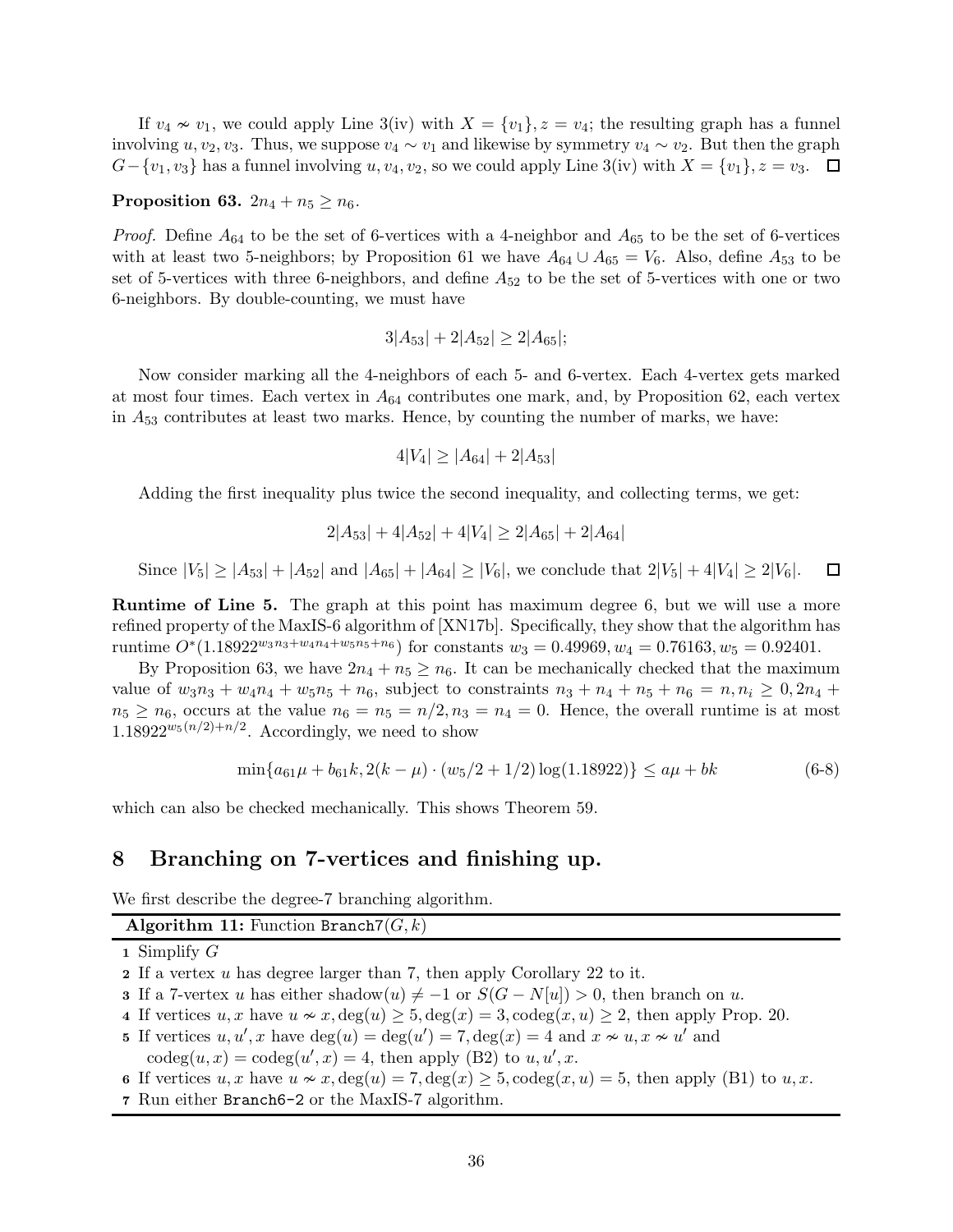If  $v_4 \nsim v_1$ , we could apply Line 3(iv) with  $X = \{v_1\}$ ,  $z = v_4$ ; the resulting graph has a funnel involving u,  $v_2, v_3$ . Thus, we suppose  $v_4 \sim v_1$  and likewise by symmetry  $v_4 \sim v_2$ . But then the graph  $G-\{v_1,v_3\}$  has a funnel involving  $u, v_4, v_2$ , so we could apply Line 3(iv) with  $X=\{v_1\}, z=v_3$ .  $\Box$ 

#### <span id="page-35-0"></span>Proposition 63.  $2n_4 + n_5 \geq n_6$ .

*Proof.* Define  $A_{64}$  to be the set of 6-vertices with a 4-neighbor and  $A_{65}$  to be the set of 6-vertices with at least two 5-neighbors; by Proposition [61](#page-34-2) we have  $A_{64} \cup A_{65} = V_6$ . Also, define  $A_{53}$  to be set of 5-vertices with three 6-neighbors, and define  $A_{52}$  to be the set of 5-vertices with one or two 6-neighbors. By double-counting, we must have

$$
3|A_{53}| + 2|A_{52}| \ge 2|A_{65}|;
$$

Now consider marking all the 4-neighbors of each 5- and 6-vertex. Each 4-vertex gets marked at most four times. Each vertex in  $A_{64}$  contributes one mark, and, by Proposition [62,](#page-34-3) each vertex in  $A_{53}$  contributes at least two marks. Hence, by counting the number of marks, we have:

$$
4|V_4| \ge |A_{64}| + 2|A_{53}|
$$

Adding the first inequality plus twice the second inequality, and collecting terms, we get:

$$
2|A_{53}| + 4|A_{52}| + 4|V_4| \ge 2|A_{65}| + 2|A_{64}|
$$

Since  $|V_5| \ge |A_{53}| + |A_{52}|$  and  $|A_{65}| + |A_{64}| \ge |V_6|$ , we conclude that  $2|V_5| + 4|V_4| \ge 2|V_6|$ . 囗

Runtime of Line 5. The graph at this point has maximum degree 6, but we will use a more refined property of the MaxIS-6 algorithm of [\[XN17b\]](#page-42-7). Specifically, they show that the algorithm has runtime  $O^*(1.18922^{w_3n_3+w_4n_4+w_5n_5+n_6})$  for constants  $w_3 = 0.49969, w_4 = 0.76163, w_5 = 0.92401.$ 

By Proposition [63,](#page-35-0) we have  $2n_4 + n_5 \ge n_6$ . It can be mechanically checked that the maximum value of  $w_3n_3 + w_4n_4 + w_5n_5 + n_6$ , subject to constraints  $n_3 + n_4 + n_5 + n_6 = n, n_i \geq 0, 2n_4 +$  $n_5 \ge n_6$ , occurs at the value  $n_6 = n_5 = n/2, n_3 = n_4 = 0$ . Hence, the overall runtime is at most  $1.18922^{w_5(n/2)+n/2}$ . Accordingly, we need to show

$$
\min\{a_{61}\mu + b_{61}k, 2(k - \mu) \cdot (w_5/2 + 1/2) \log(1.18922)\} \le a\mu + bk \tag{6-8}
$$

which can also be checked mechanically. This shows Theorem [59.](#page-32-0)

### 8 Branching on 7-vertices and finishing up.

We first describe the degree-7 branching algorithm.

### Algorithm 11: Function Branch7 $(G, k)$

- 1 Simplify  $G$
- 2 If a vertex u has degree larger than 7, then apply Corollary [22](#page-10-2) to it.
- 3 If a 7-vertex u has either shadow $(u) \neq -1$  or  $S(G N[u]) > 0$ , then branch on u.
- 4 If vertices  $u, x$  have  $u \nsim x$ ,  $\deg(u) \geq 5$ ,  $\deg(x) = 3$ ,  $\deg(x, u) \geq 2$ , then apply Prop. [20.](#page-10-0)
- 5 If vertices  $u, u', x$  have  $deg(u) = deg(u') = 7, deg(x) = 4$  and  $x \nsim u, x \nsim u'$  and
- $\operatorname{codeg}(u, x) = \operatorname{codeg}(u', x) = 4$ , then apply (B2) to  $u, u', x$ .
- 6 If vertices u, x have  $u \nsim x$ ,  $\deg(u) = 7$ ,  $\deg(x) \ge 5$ ,  $\deg(x, u) = 5$ , then apply (B1) to u, x.
- <span id="page-35-1"></span>7 Run either Branch6-2 or the MaxIS-7 algorithm.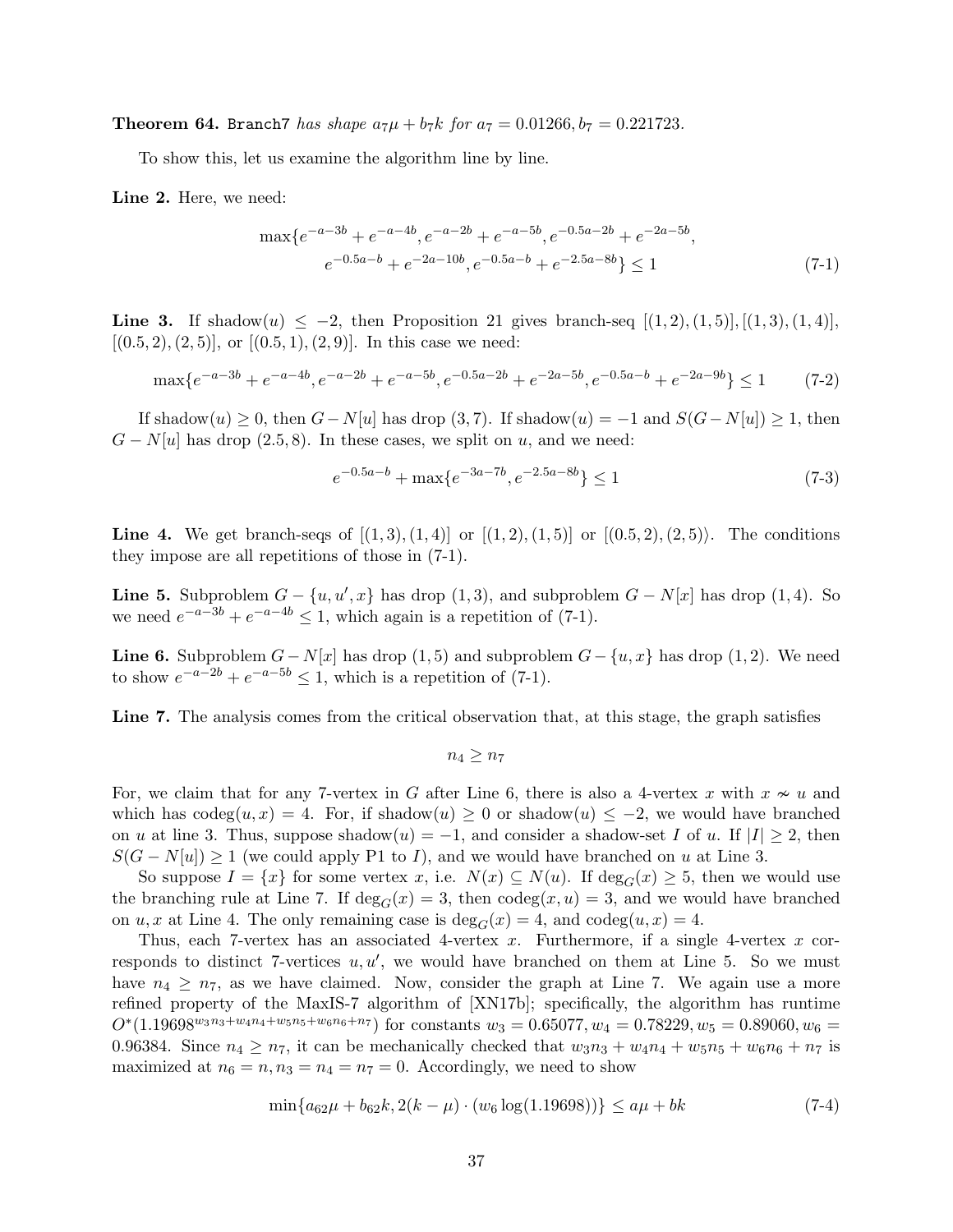**Theorem 64.** Branch7 has shape  $a_7\mu + b_7k$  for  $a_7 = 0.01266$ ,  $b_7 = 0.221723$ .

To show this, let us examine the algorithm line by line.

Line 2. Here, we need:

$$
\max \{ e^{-a-3b} + e^{-a-4b}, e^{-a-2b} + e^{-a-5b}, e^{-0.5a-2b} + e^{-2a-5b}, e^{-0.5a-b} + e^{-2a-5b}, e^{-0.5a-b} + e^{-2a-10b}, e^{-0.5a-b} + e^{-2.5a-8b} \} \le 1
$$
\n(7-1)

**Line 3.** If shadow $(u) \le -2$ , then Proposition [21](#page-10-1) gives branch-seq  $[(1, 2), (1, 5)], [(1, 3), (1, 4)],$  $[(0.5, 2), (2, 5)]$ , or  $[(0.5, 1), (2, 9)]$ . In this case we need:

$$
\max\{e^{-a-3b} + e^{-a-4b}, e^{-a-2b} + e^{-a-5b}, e^{-0.5a-2b} + e^{-2a-5b}, e^{-0.5a-b} + e^{-2a-9b}\} \le 1\tag{7-2}
$$

If shadow $(u) \geq 0$ , then  $G - N[u]$  has drop  $(3, 7)$ . If shadow $(u) = -1$  and  $S(G - N[u]) \geq 1$ , then  $G - N[u]$  has drop (2.5, 8). In these cases, we split on u, and we need:

<span id="page-36-0"></span>
$$
e^{-0.5a-b} + \max\{e^{-3a-7b}, e^{-2.5a-8b}\} \le 1\tag{7-3}
$$

**Line 4.** We get branch-seqs of  $[(1, 3), (1, 4)]$  or  $[(1, 2), (1, 5)]$  or  $[(0.5, 2), (2, 5)]$ . The conditions they impose are all repetitions of those in [\(7-1\)](#page-36-0).

**Line 5.** Subproblem  $G - \{u, u', x\}$  has drop  $(1, 3)$ , and subproblem  $G - N[x]$  has drop  $(1, 4)$ . So we need  $e^{-a-3b} + e^{-a-4b} \le 1$ , which again is a repetition of [\(7-1\)](#page-36-0).

**Line 6.** Subproblem  $G - N[x]$  has drop (1,5) and subproblem  $G - \{u, x\}$  has drop (1,2). We need to show  $e^{-a-2b} + e^{-a-5b} \leq 1$ , which is a repetition of [\(7-1\)](#page-36-0).

Line 7. The analysis comes from the critical observation that, at this stage, the graph satisfies

 $n_4 \geq n_7$ 

For, we claim that for any 7-vertex in G after Line 6, there is also a 4-vertex x with  $x \nsim u$  and which has  $\text{codeg}(u, x) = 4$ . For, if shadow $(u) \geq 0$  or shadow $(u) \leq -2$ , we would have branched on u at line 3. Thus, suppose shadow $(u) = -1$ , and consider a shadow-set I of u. If  $|I| \geq 2$ , then  $S(G - N[u]) \geq 1$  (we could apply P1 to I), and we would have branched on u at Line 3.

So suppose  $I = \{x\}$  for some vertex x, i.e.  $N(x) \subseteq N(u)$ . If  $\deg_G(x) \geq 5$ , then we would use the branching rule at Line 7. If  $deg_G(x) = 3$ , then  $code(g(x, u) = 3$ , and we would have branched on u, x at Line 4. The only remaining case is  $\deg_G(x) = 4$ , and  $\deg(u, x) = 4$ .

Thus, each 7-vertex has an associated 4-vertex  $x$ . Furthermore, if a single 4-vertex  $x$  corresponds to distinct 7-vertices  $u, u'$ , we would have branched on them at Line 5. So we must have  $n_4 \geq n_7$ , as we have claimed. Now, consider the graph at Line 7. We again use a more refined property of the MaxIS-7 algorithm of [\[XN17b\]](#page-42-7); specifically, the algorithm has runtime  $O<sup>*</sup>(1.19698<sup>w<sub>3</sub>n<sub>3</sub>+w<sub>4</sub>n<sub>4</sub>+w<sub>5</sub>n<sub>5</sub>+w<sub>6</sub>n<sub>6</sub>+n<sub>7</sub>)</sup>$  for constants  $w<sub>3</sub> = 0.65077, w<sub>4</sub> = 0.78229, w<sub>5</sub> = 0.89060, w<sub>6</sub> =$ 0.96384. Since  $n_4 \geq n_7$ , it can be mechanically checked that  $w_3n_3 + w_4n_4 + w_5n_5 + w_6n_6 + n_7$  is maximized at  $n_6 = n, n_3 = n_4 = n_7 = 0$ . Accordingly, we need to show

$$
\min\{a_{62}\mu + b_{62}k, 2(k - \mu) \cdot (w_6\log(1.19698))\} \le a\mu + bk \tag{7-4}
$$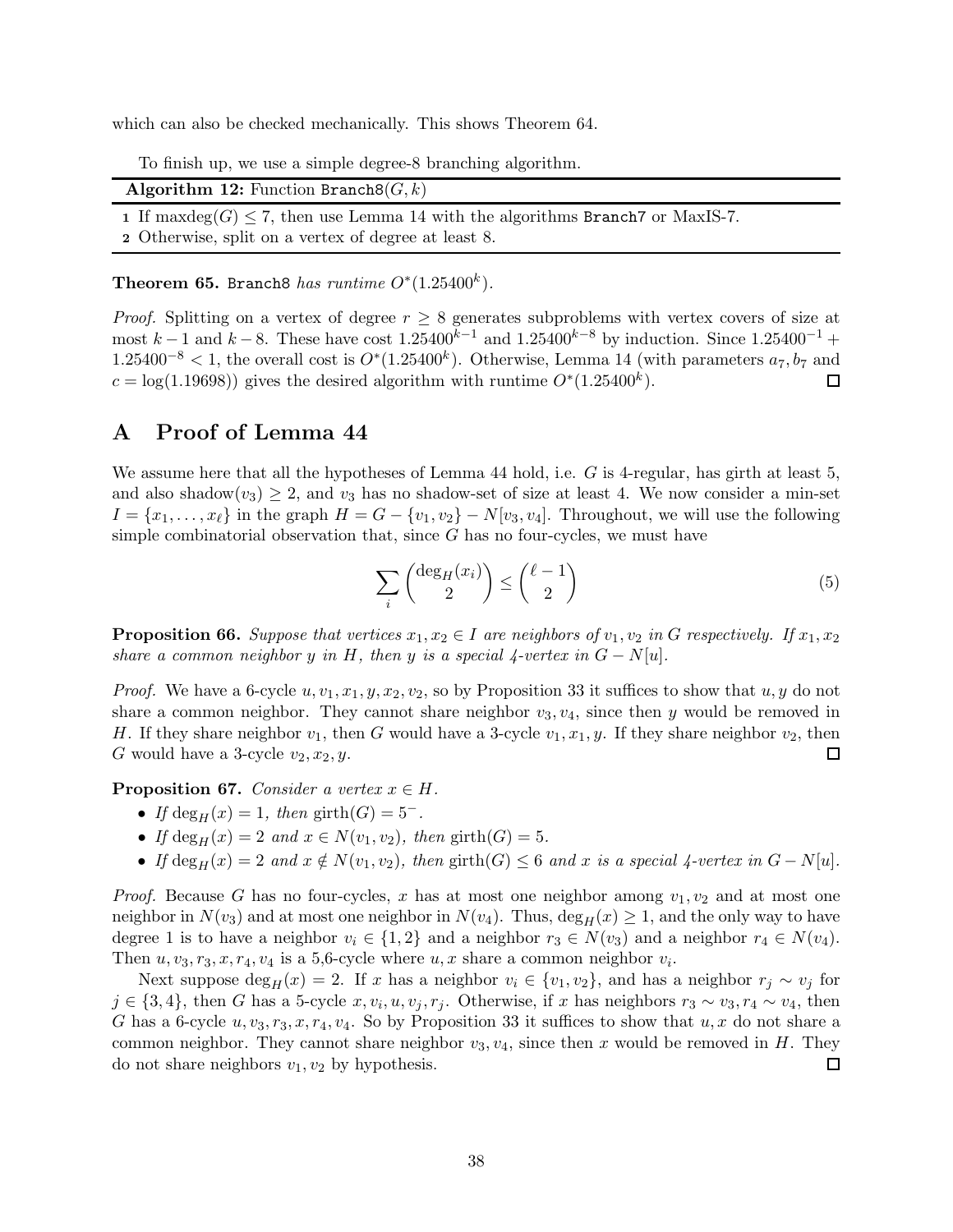which can also be checked mechanically. This shows Theorem [64.](#page-35-1)

|  |  |  |  |  |  |  |  |  | To finish up, we use a simple degree-8 branching algorithm. |
|--|--|--|--|--|--|--|--|--|-------------------------------------------------------------|
|--|--|--|--|--|--|--|--|--|-------------------------------------------------------------|

| <b>Algorithm 12:</b> Function Branch8 $(G, k)$                                      |  |
|-------------------------------------------------------------------------------------|--|
| 1 If maxdeg(G) $\leq$ 7, then use Lemma 14 with the algorithms Branch 7 or MaxIS-7. |  |
| 2 Otherwise, split on a vertex of degree at least 8.                                |  |

Theorem 65. Branch8 has runtime  $O^*(1.25400^k)$ .

*Proof.* Splitting on a vertex of degree  $r \geq 8$  generates subproblems with vertex covers of size at most k − 1 and k − 8. These have cost  $1.25400^{k-1}$  and  $1.25400^{k-8}$  by induction. Since  $1.25400^{-1}$  +  $1.25400^{-8}$  < 1, the overall cost is  $O^*(1.25400^k)$ . Otherwise, Lemma [14](#page-7-3) (with parameters  $a_7, b_7$  and  $c = \log(1.19698)$  gives the desired algorithm with runtime  $O^*(1.25400^k)$ . □

## <span id="page-37-0"></span>A Proof of Lemma [44](#page-20-1)

We assume here that all the hypotheses of Lemma [44](#page-20-1) hold, i.e. G is 4-regular, has girth at least 5, and also shadow $(v_3) \geq 2$ , and  $v_3$  has no shadow-set of size at least 4. We now consider a min-set  $I = \{x_1, \ldots, x_\ell\}$  in the graph  $H = G - \{v_1, v_2\} - N[v_3, v_4]$ . Throughout, we will use the following simple combinatorial observation that, since  $G$  has no four-cycles, we must have

<span id="page-37-3"></span>
$$
\sum_{i} \binom{\deg_H(x_i)}{2} \le \binom{\ell - 1}{2} \tag{5}
$$

<span id="page-37-2"></span>**Proposition 66.** Suppose that vertices  $x_1, x_2 \in I$  are neighbors of  $v_1, v_2$  in G respectively. If  $x_1, x_2$ share a common neighbor y in H, then y is a special  $\chi$ -vertex in  $G - N[u]$ .

*Proof.* We have a 6-cycle  $u, v_1, x_1, y, x_2, v_2$ , so by Proposition [33](#page-16-2) it suffices to show that  $u, y$  do not share a common neighbor. They cannot share neighbor  $v_3, v_4$ , since then y would be removed in H. If they share neighbor  $v_1$ , then G would have a 3-cycle  $v_1, x_1, y$ . If they share neighbor  $v_2$ , then G would have a 3-cycle  $v_2, x_2, y$ . 囗

<span id="page-37-1"></span>**Proposition 67.** Consider a vertex  $x \in H$ .

- If deg<sub>H</sub> $(x) = 1$ , then girth $(G) = 5^-$ .
- If deg<sub>H</sub> $(x) = 2$  and  $x \in N(v_1, v_2)$ , then girth $(G) = 5$ .
- If  $\deg_H(x) = 2$  and  $x \notin N(v_1, v_2)$ , then girth $(G) \leq 6$  and x is a special 4-vertex in  $G N[u]$ .

*Proof.* Because G has no four-cycles, x has at most one neighbor among  $v_1, v_2$  and at most one neighbor in  $N(v_3)$  and at most one neighbor in  $N(v_4)$ . Thus,  $\deg_H(x) \geq 1$ , and the only way to have degree 1 is to have a neighbor  $v_i \in \{1,2\}$  and a neighbor  $r_3 \in N(v_3)$  and a neighbor  $r_4 \in N(v_4)$ . Then  $u, v_3, r_3, x, r_4, v_4$  is a 5,6-cycle where  $u, x$  share a common neighbor  $v_i$ .

Next suppose deg<sub>H</sub>(x) = 2. If x has a neighbor  $v_i \in \{v_1, v_2\}$ , and has a neighbor  $r_j \sim v_j$  for  $j \in \{3,4\}$ , then G has a 5-cycle  $x, v_i, u, v_j, r_j$ . Otherwise, if x has neighbors  $r_3 \sim v_3, r_4 \sim v_4$ , then G has a 6-cycle  $u, v_3, r_3, x, r_4, v_4$ . So by Proposition [33](#page-16-2) it suffices to show that  $u, x$  do not share a common neighbor. They cannot share neighbor  $v_3, v_4$ , since then x would be removed in H. They do not share neighbors  $v_1, v_2$  by hypothesis.  $\Box$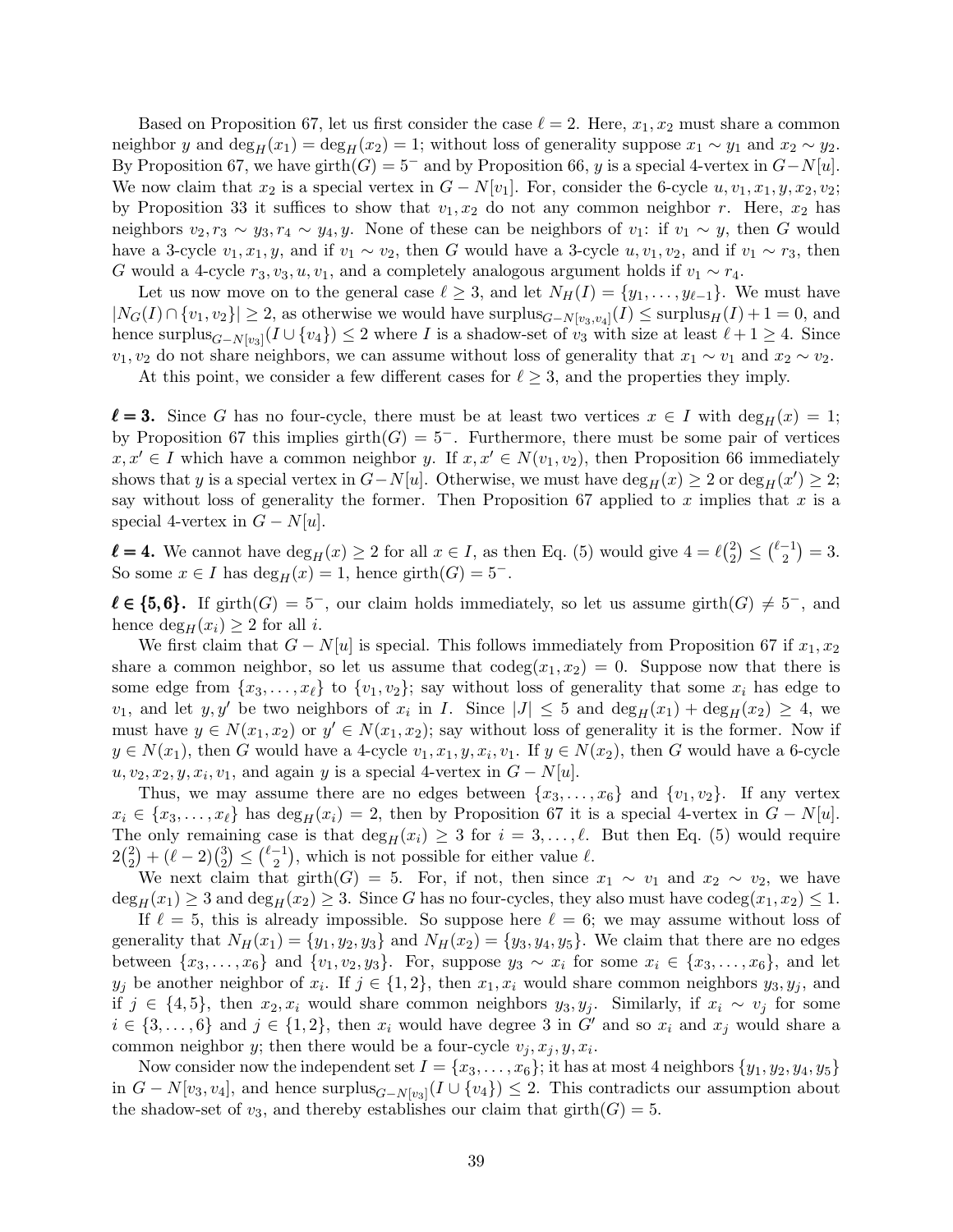Based on Proposition [67,](#page-37-1) let us first consider the case  $\ell = 2$ . Here,  $x_1, x_2$  must share a common neighbor y and deg<sub>H</sub>  $(x_1) = \deg_H(x_2) = 1$ ; without loss of generality suppose  $x_1 \sim y_1$  and  $x_2 \sim y_2$ . By Proposition [67,](#page-37-1) we have girth $(G) = 5^-$  and by Proposition [66,](#page-37-2) y is a special 4-vertex in  $G-N[u]$ . We now claim that  $x_2$  is a special vertex in  $G - N[v_1]$ . For, consider the 6-cycle  $u, v_1, x_1, y, x_2, v_2;$ by Proposition [33](#page-16-2) it suffices to show that  $v_1, x_2$  do not any common neighbor r. Here,  $x_2$  has neighbors  $v_2, r_3 \sim y_3, r_4 \sim y_4, y$ . None of these can be neighbors of  $v_1$ : if  $v_1 \sim y$ , then G would have a 3-cycle  $v_1, x_1, y$ , and if  $v_1 \sim v_2$ , then G would have a 3-cycle  $u, v_1, v_2$ , and if  $v_1 \sim r_3$ , then G would a 4-cycle  $r_3, v_3, u, v_1$ , and a completely analogous argument holds if  $v_1 \sim r_4$ .

Let us now move on to the general case  $\ell \geq 3$ , and let  $N_H(I) = \{y_1, \ldots, y_{\ell-1}\}.$  We must have  $|N_G(I) \cap \{v_1, v_2\}| \geq 2$ , as otherwise we would have surplus $_{G-N[v_3,v_4]}(I) \leq$  surplus $_H(I) + 1 = 0$ , and hence surplus $_{G-N[v_3]}(I \cup \{v_4\}) \leq 2$  where I is a shadow-set of  $v_3$  with size at least  $\ell + 1 \geq 4$ . Since  $v_1, v_2$  do not share neighbors, we can assume without loss of generality that  $x_1 \sim v_1$  and  $x_2 \sim v_2$ .

At this point, we consider a few different cases for  $\ell \geq 3$ , and the properties they imply.

 $\ell = 3$ . Since G has no four-cycle, there must be at least two vertices  $x \in I$  with  $\deg_H(x) = 1$ ; by Proposition [67](#page-37-1) this implies girth $(G) = 5^-$ . Furthermore, there must be some pair of vertices  $x, x' \in I$  which have a common neighbor y. If  $x, x' \in N(v_1, v_2)$ , then Proposition [66](#page-37-2) immediately shows that y is a special vertex in  $G-N[u]$ . Otherwise, we must have  $\deg_H(x) \geq 2$  or  $\deg_H(x') \geq 2$ ; say without loss of generality the former. Then Proposition [67](#page-37-1) applied to x implies that  $x$  is a special 4-vertex in  $G - N[u]$ .

 $\ell = 4$ . We cannot have  $\deg_H(x) \geq 2$  for all  $x \in I$ , as then Eq. [\(5\)](#page-37-3) would give  $4 = \ell \binom{2}{2}$  $\binom{2}{2} \leq \binom{\ell-1}{2}$  $\binom{-1}{2} = 3.$ So some  $x \in I$  has  $\deg_H(x) = 1$ , hence girth $(G) = 5^-$ .

 $\ell \in \{5,6\}.$  If girth $(G) = 5^-$ , our claim holds immediately, so let us assume girth $(G) \neq 5^-$ , and hence  $\deg_H(x_i) \geq 2$  for all *i*.

We first claim that  $G - N[u]$  is special. This follows immediately from Proposition [67](#page-37-1) if  $x_1, x_2$ share a common neighbor, so let us assume that  $\text{codeg}(x_1, x_2) = 0$ . Suppose now that there is some edge from  $\{x_3, \ldots, x_\ell\}$  to  $\{v_1, v_2\}$ ; say without loss of generality that some  $x_i$  has edge to  $v_1$ , and let  $y, y'$  be two neighbors of  $x_i$  in I. Since  $|J| \leq 5$  and  $\deg_H(x_1) + \deg_H(x_2) \geq 4$ , we must have  $y \in N(x_1, x_2)$  or  $y' \in N(x_1, x_2)$ ; say without loss of generality it is the former. Now if  $y \in N(x_1)$ , then G would have a 4-cycle  $v_1, x_1, y, x_i, v_1$ . If  $y \in N(x_2)$ , then G would have a 6-cycle  $u, v_2, x_2, y, x_i, v_1$ , and again y is a special 4-vertex in  $G - N[u]$ .

Thus, we may assume there are no edges between  $\{x_3, \ldots, x_6\}$  and  $\{v_1, v_2\}$ . If any vertex  $x_i \in \{x_3, \ldots, x_\ell\}$  has  $\deg_H(x_i) = 2$ , then by Proposition [67](#page-37-1) it is a special 4-vertex in  $G - N[u]$ . The only remaining case is that  $\deg_H(x_i) \geq 3$  for  $i = 3, \ldots, \ell$ . But then Eq. [\(5\)](#page-37-3) would require  $2\binom{2}{2}$  $\binom{2}{2} + (\ell - 2) \binom{3}{2}$  $_{2}^{3}) \leq {\ell - 1 \choose 2}$  $\binom{-1}{2}$ , which is not possible for either value  $\ell$ .

We next claim that girth(G) = 5. For, if not, then since  $x_1 \sim v_1$  and  $x_2 \sim v_2$ , we have  $\deg_H(x_1) \geq 3$  and  $\deg_H(x_2) \geq 3$ . Since G has no four-cycles, they also must have codeg $(x_1, x_2) \leq 1$ .

If  $\ell = 5$ , this is already impossible. So suppose here  $\ell = 6$ ; we may assume without loss of generality that  $N_H(x_1) = \{y_1, y_2, y_3\}$  and  $N_H(x_2) = \{y_3, y_4, y_5\}$ . We claim that there are no edges between  $\{x_3, \ldots, x_6\}$  and  $\{v_1, v_2, y_3\}$ . For, suppose  $y_3 \sim x_i$  for some  $x_i \in \{x_3, \ldots, x_6\}$ , and let  $y_j$  be another neighbor of  $x_i$ . If  $j \in \{1,2\}$ , then  $x_1, x_i$  would share common neighbors  $y_3, y_j$ , and if  $j \in \{4, 5\}$ , then  $x_2, x_i$  would share common neighbors  $y_3, y_j$ . Similarly, if  $x_i \sim v_j$  for some  $i \in \{3, \ldots, 6\}$  and  $j \in \{1, 2\}$ , then  $x_i$  would have degree 3 in G' and so  $x_i$  and  $x_j$  would share a common neighbor y; then there would be a four-cycle  $v_j, x_j, y, x_i$ .

Now consider now the independent set  $I = \{x_3, \ldots, x_6\}$ ; it has at most 4 neighbors  $\{y_1, y_2, y_4, y_5\}$ in  $G - N[v_3, v_4]$ , and hence surplus $_{G-N[v_3]}(I \cup \{v_4\}) \leq 2$ . This contradicts our assumption about the shadow-set of  $v_3$ , and thereby establishes our claim that  $girth(G) = 5$ .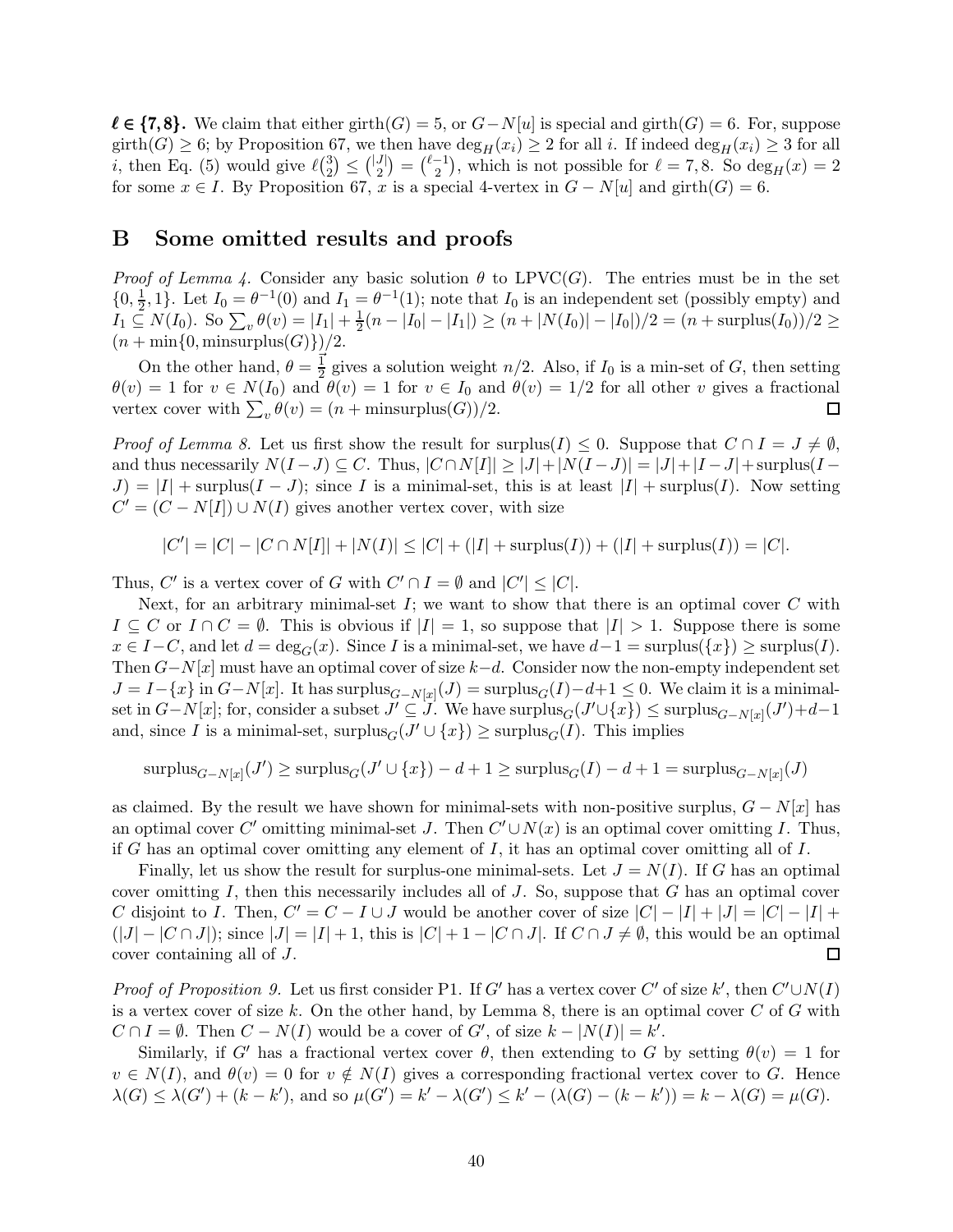$\ell \in \{7, 8\}.$  We claim that either girth(G) = 5, or  $G-N[u]$  is special and girth(G) = 6. For, suppose girth(G)  $\geq$  6; by Proposition [67,](#page-37-1) we then have  $\deg_H(x_i) \geq 2$  for all i. If indeed  $\deg_H(x_i) \geq 3$  for all *i*, then Eq. [\(5\)](#page-37-3) would give  $\ell \binom{3}{2}$  $\binom{3}{2} \leq \binom{|J|}{2}$  $\binom{J}{2} = \binom{\ell-1}{2}$  $\binom{-1}{2}$ , which is not possible for  $\ell = 7, 8$ . So  $\deg_H(x) = 2$ for some  $x \in I$ . By Proposition [67,](#page-37-1) x is a special 4-vertex in  $G - N[u]$  and girth $(G) = 6$ .

## <span id="page-39-0"></span>B Some omitted results and proofs

*Proof of Lemma [4.](#page-4-4)* Consider any basic solution  $\theta$  to LPVC(G). The entries must be in the set  $\{0, \frac{1}{2}$  $\frac{1}{2}$ , 1}. Let  $I_0 = \theta^{-1}(0)$  and  $I_1 = \theta^{-1}(1)$ ; note that  $I_0$  is an independent set (possibly empty) and  $I_1 \subseteq N(I_0)$ . So  $\sum_{v} \theta(v) = |I_1| + \frac{1}{2}$  $\frac{1}{2}(n - |I_0| - |I_1|) \ge (n + |N(I_0)| - |I_0|)/2 = (n + \text{surplus}(I_0))/2 \ge$  $(n + min{0, minusurplus(G)})/2.$ 

On the other hand,  $\theta = \frac{1}{2}$  gives a solution weight  $n/2$ . Also, if  $I_0$  is a min-set of G, then setting  $\theta(v) = 1$  for  $v \in N(I_0)$  and  $\theta(v) = 1$  for  $v \in I_0$  and  $\theta(v) = 1/2$  for all other v gives a fractional vertex cover with  $\sum_{v} \theta(v) = (n + \text{minsurplus}(G))/2.$  $\Box$ 

*Proof of Lemma [8.](#page-4-0)* Let us first show the result for surplus(I)  $\leq 0$ . Suppose that  $C \cap I = J \neq \emptyset$ , and thus necessarily  $N(I-J) \subseteq C$ . Thus,  $|C \cap N[I]| \ge |J|+|N(I-J)| = |J|+|I-J|+\text{surplus}(I-I)$  $J = |I| + \text{surplus}(I - J)$ ; since I is a minimal-set, this is at least  $|I| + \text{surplus}(I)$ . Now setting  $C' = (C - N[I]) \cup N(I)$  gives another vertex cover, with size

$$
|C'| = |C| - |C \cap N[I]| + |N(I)| \leq |C| + (|I| + \text{surplus}(I)) + (|I| + \text{surplus}(I)) = |C|.
$$

Thus, C' is a vertex cover of G with  $C' \cap I = \emptyset$  and  $|C'| \leq |C|$ .

Next, for an arbitrary minimal-set  $I$ ; we want to show that there is an optimal cover  $C$  with  $I \subseteq C$  or  $I \cap C = \emptyset$ . This is obvious if  $|I| = 1$ , so suppose that  $|I| > 1$ . Suppose there is some  $x \in I-C$ , and let  $d = \deg_G(x)$ . Since I is a minimal-set, we have  $d-1 = \text{surplus}(\{x\}) \geq \text{surplus}(I)$ . Then  $G-N[x]$  must have an optimal cover of size  $k-d$ . Consider now the non-empty independent set  $J = I - \{x\}$  in  $G - N[x]$ . It has surplus ${}_{G-N[x]}(J) = \text{surplus}_G(I) - d + 1 \leq 0$ . We claim it is a minimalset in  $G-N[x]$ ; for, consider a subset  $J' \subseteq J$ . We have  $\text{surplus}_G(J' \cup \{x\}) \leq \text{surplus}_{G-N[x]}(J') + d-1$ and, since I is a minimal-set,  $\text{surplus}_G(J' \cup \{x\}) \geq \text{surplus}_G(I)$ . This implies

$$
\text{surplus}_{G-N[x]}(J') \ge \text{surplus}_G(J' \cup \{x\}) - d + 1 \ge \text{surplus}_G(I) - d + 1 = \text{surplus}_{G-N[x]}(J)
$$

as claimed. By the result we have shown for minimal-sets with non-positive surplus,  $G - N[x]$  has an optimal cover C' omitting minimal-set J. Then  $C' \cup N(x)$  is an optimal cover omitting I. Thus, if G has an optimal cover omitting any element of  $I$ , it has an optimal cover omitting all of  $I$ .

Finally, let us show the result for surplus-one minimal-sets. Let  $J = N(I)$ . If G has an optimal cover omitting  $I$ , then this necessarily includes all of  $J$ . So, suppose that  $G$  has an optimal cover C disjoint to I. Then,  $C' = C - I \cup J$  would be another cover of size  $|C| - |I| + |J| = |C| - |I| +$  $(|J| - |C \cap J|)$ ; since  $|J| = |I| + 1$ , this is  $|C| + 1 - |C \cap J|$ . If  $C \cap J \neq \emptyset$ , this would be an optimal cover containing all of J.  $\Box$ 

*Proof of Proposition [9.](#page-5-0)* Let us first consider P1. If G' has a vertex cover C' of size k', then  $C' \cup N(I)$ is a vertex cover of size k. On the other hand, by Lemma [8,](#page-4-0) there is an optimal cover  $C$  of  $G$  with  $C \cap I = \emptyset$ . Then  $C - N(I)$  would be a cover of  $G'$ , of size  $k - |N(I)| = k'$ .

Similarly, if G' has a fractional vertex cover  $\theta$ , then extending to G by setting  $\theta(v) = 1$  for  $v \in N(I)$ , and  $\theta(v) = 0$  for  $v \notin N(I)$  gives a corresponding fractional vertex cover to G. Hence  $\lambda(G) \leq \lambda(G') + (k - k')$ , and so  $\mu(G') = k' - \lambda(G') \leq k' - (\lambda(G) - (k - k')) = k - \lambda(G) = \mu(G)$ .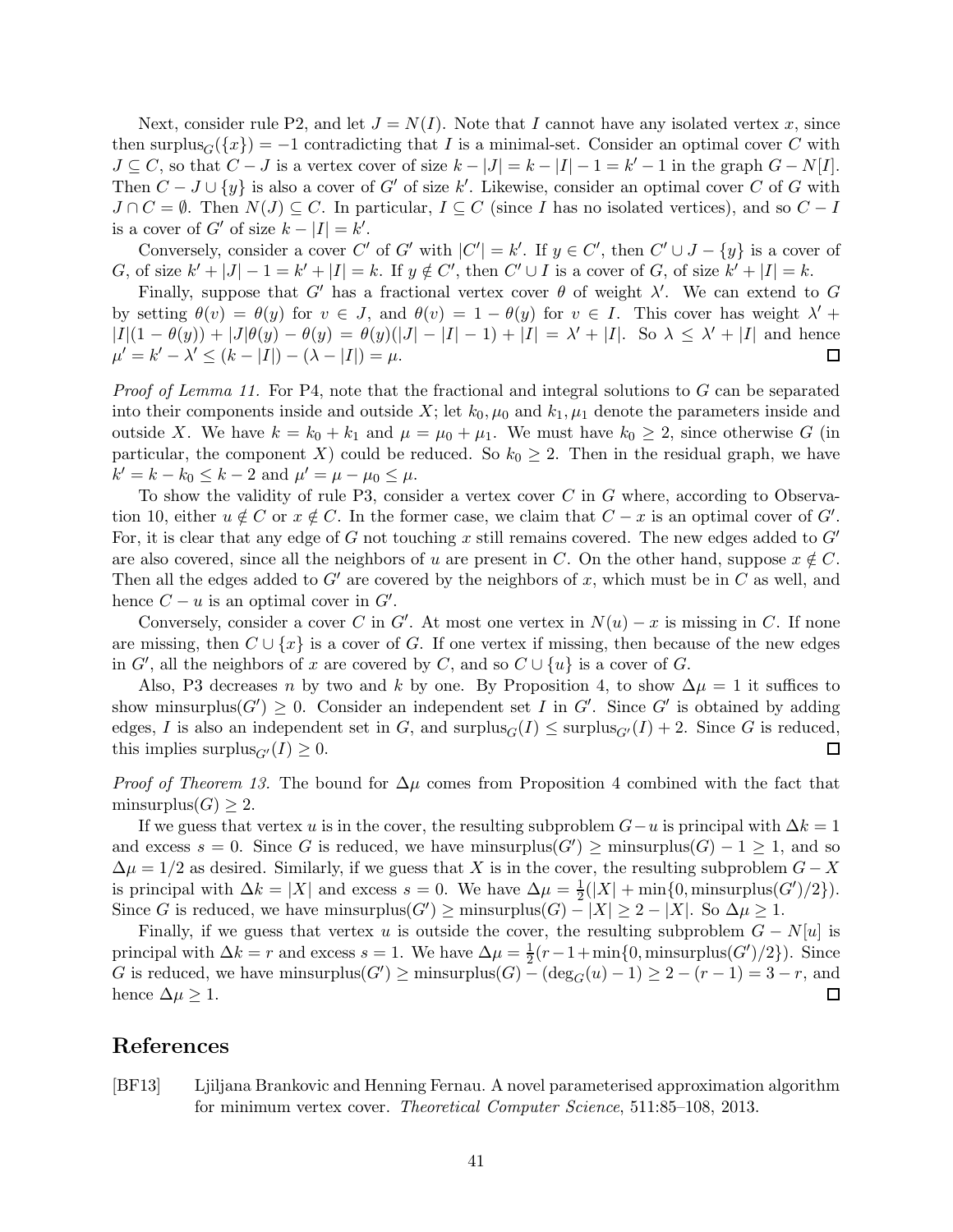Next, consider rule P2, and let  $J = N(I)$ . Note that I cannot have any isolated vertex x, since then surplus<sub>G</sub>( $\{x\}$ ) = -1 contradicting that I is a minimal-set. Consider an optimal cover C with  $J \subseteq C$ , so that  $C - J$  is a vertex cover of size  $k - |J| = k - |I| - 1 = k' - 1$  in the graph  $G - N[I]$ . Then  $C - J \cup \{y\}$  is also a cover of G' of size k'. Likewise, consider an optimal cover C of G with  $J \cap C = \emptyset$ . Then  $N(J) \subseteq C$ . In particular,  $I \subseteq C$  (since I has no isolated vertices), and so  $C - I$ is a cover of  $G'$  of size  $k - |I| = k'$ .

Conversely, consider a cover C' of G' with  $|C'| = k'$ . If  $y \in C'$ , then  $C' \cup J - \{y\}$  is a cover of G, of size  $k' + |J| - 1 = k' + |I| = k$ . If  $y \notin C'$ , then  $C' \cup I$  is a cover of G, of size  $k' + |I| = k$ .

Finally, suppose that G' has a fractional vertex cover  $\theta$  of weight  $\lambda'$ . We can extend to G by setting  $\theta(v) = \theta(y)$  for  $v \in J$ , and  $\theta(v) = 1 - \theta(y)$  for  $v \in I$ . This cover has weight  $\lambda'$  +  $|I|(1 - \theta(y)) + |J|\theta(y) - \theta(y) = \theta(y)(|J| - |I| - 1) + |I| = \lambda' + |I|$ . So  $\lambda \leq \lambda' + |I|$  and hence  $\mu' = k' - \lambda' \le (k - |I|) - (\lambda - |I|) = \mu.$ □

*Proof of Lemma [11.](#page-5-1)* For P4, note that the fractional and integral solutions to  $G$  can be separated into their components inside and outside X; let  $k_0, \mu_0$  and  $k_1, \mu_1$  denote the parameters inside and outside X. We have  $k = k_0 + k_1$  and  $\mu = \mu_0 + \mu_1$ . We must have  $k_0 \geq 2$ , since otherwise G (in particular, the component X) could be reduced. So  $k_0 \geq 2$ . Then in the residual graph, we have  $k' = k - k_0 \le k - 2$  and  $\mu' = \mu - \mu_0 \le \mu$ .

To show the validity of rule P3, consider a vertex cover  $C$  in  $G$  where, according to Observa-tion [10,](#page-5-2) either  $u \notin C$  or  $x \notin C$ . In the former case, we claim that  $C - x$  is an optimal cover of  $G'$ . For, it is clear that any edge of G not touching x still remains covered. The new edges added to  $G'$ are also covered, since all the neighbors of u are present in C. On the other hand, suppose  $x \notin C$ . Then all the edges added to  $G'$  are covered by the neighbors of x, which must be in C as well, and hence  $C - u$  is an optimal cover in  $G'$ .

Conversely, consider a cover C in G'. At most one vertex in  $N(u) - x$  is missing in C. If none are missing, then  $C \cup \{x\}$  is a cover of G. If one vertex if missing, then because of the new edges in  $G'$ , all the neighbors of x are covered by C, and so  $C \cup \{u\}$  is a cover of G.

Also, P3 decreases n by two and k by one. By Proposition [4,](#page-4-4) to show  $\Delta \mu = 1$  it suffices to show minsurplus $(G') \geq 0$ . Consider an independent set I in G'. Since G' is obtained by adding edges, I is also an independent set in G, and  $\text{surplus}_G(I) \leq \text{surplus}_{G'}(I) + 2$ . Since G is reduced, this implies surplus<sub> $G'(I) \geq 0$ .</sub> □

*Proof of Theorem [13.](#page-7-2)* The bound for  $\Delta \mu$  comes from Proposition [4](#page-4-4) combined with the fact that minsurplus $(G) \geq 2$ .

If we guess that vertex u is in the cover, the resulting subproblem  $G-u$  is principal with  $\Delta k=1$ and excess  $s = 0$ . Since G is reduced, we have minsurplus( $G'$ )  $\ge$  minsurplus( $G$ )  $-1 \ge 1$ , and so  $\Delta \mu = 1/2$  as desired. Similarly, if we guess that X is in the cover, the resulting subproblem  $G - X$ is principal with  $\Delta k = |X|$  and excess  $s = 0$ . We have  $\Delta \mu = \frac{1}{2}$  $\frac{1}{2}(|X| + \min\{0, \text{minsurplus}(G')/2\}).$ Since G is reduced, we have minsurplus $(G') \ge \text{minsurplus}(G) - |X| \ge 2 - |X|$ . So  $\Delta \mu \ge 1$ .

Finally, if we guess that vertex u is outside the cover, the resulting subproblem  $G - N[u]$  is principal with  $\Delta k = r$  and excess  $s = 1$ . We have  $\Delta \mu = \frac{1}{2}(r - 1 + \min\{0, \text{minsurplus}(G')/2\})$ . Since G is reduced, we have minsurplus( $G'$ )  $\geq$  minsurplus( $G$ )  $-(\deg_G(u)-1) \geq 2-(r-1)=3-r$ , and hence  $\Delta \mu \geq 1$ . 囗

## References

<span id="page-40-0"></span>[BF13] Ljiljana Brankovic and Henning Fernau. A novel parameterised approximation algorithm for minimum vertex cover. Theoretical Computer Science, 511:85–108, 2013.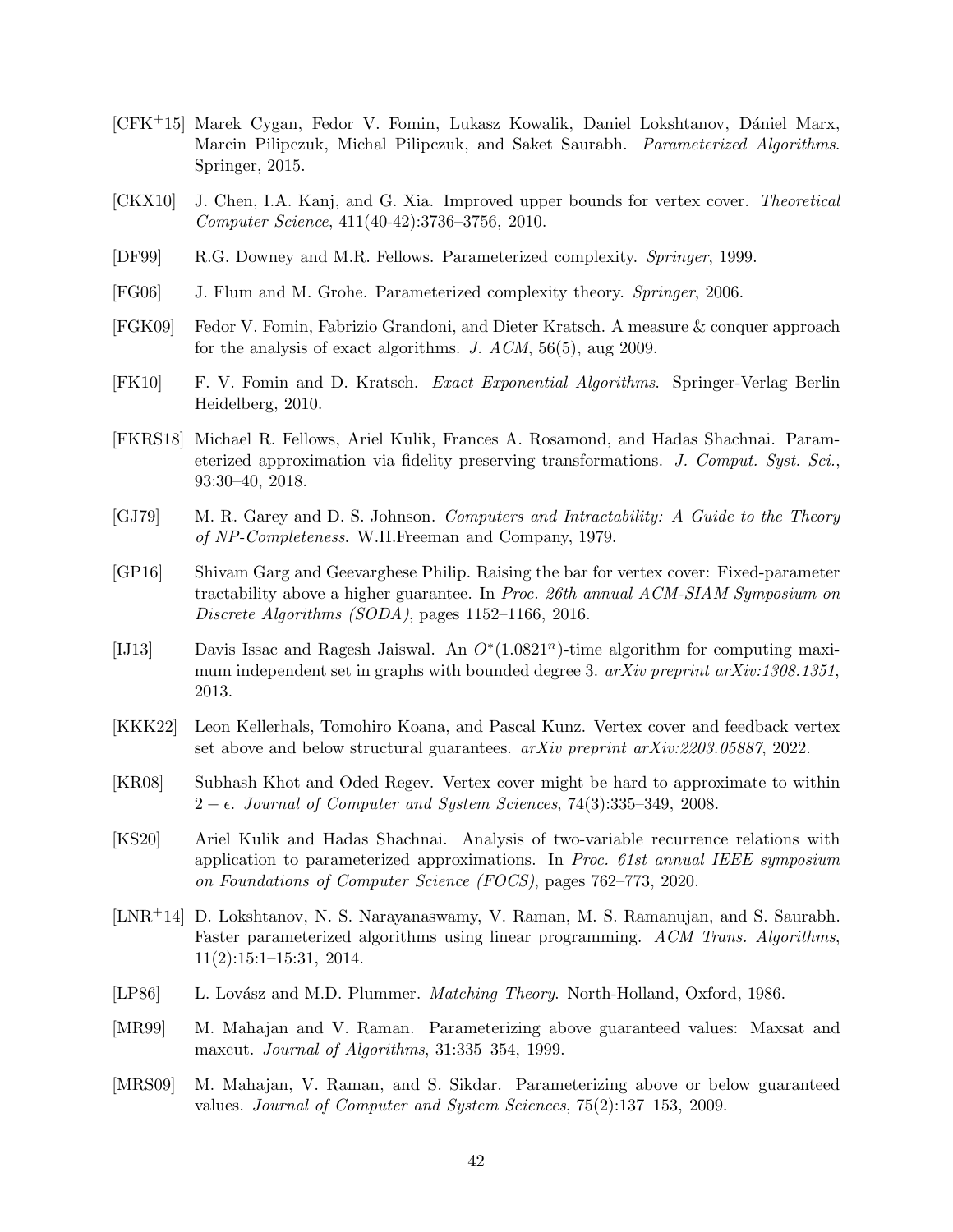- [CFK<sup>+</sup>15] Marek Cygan, Fedor V. Fomin, Lukasz Kowalik, Daniel Lokshtanov, Dániel Marx, Marcin Pilipczuk, Michal Pilipczuk, and Saket Saurabh. Parameterized Algorithms. Springer, 2015.
- <span id="page-41-5"></span>[CKX10] J. Chen, I.A. Kanj, and G. Xia. Improved upper bounds for vertex cover. Theoretical Computer Science, 411(40-42):3736–3756, 2010.
- <span id="page-41-3"></span>[DF99] R.G. Downey and M.R. Fellows. Parameterized complexity. Springer, 1999.
- <span id="page-41-2"></span>[FG06] J. Flum and M. Grohe. Parameterized complexity theory. Springer, 2006.
- <span id="page-41-6"></span>[FGK09] Fedor V. Fomin, Fabrizio Grandoni, and Dieter Kratsch. A measure & conquer approach for the analysis of exact algorithms. J. ACM, 56(5), aug 2009.
- <span id="page-41-4"></span>[FK10] F. V. Fomin and D. Kratsch. Exact Exponential Algorithms. Springer-Verlag Berlin Heidelberg, 2010.
- <span id="page-41-13"></span>[FKRS18] Michael R. Fellows, Ariel Kulik, Frances A. Rosamond, and Hadas Shachnai. Parameterized approximation via fidelity preserving transformations. J. Comput. Syst. Sci., 93:30–40, 2018.
- <span id="page-41-0"></span>[GJ79] M. R. Garey and D. S. Johnson. Computers and Intractability: A Guide to the Theory of NP-Completeness. W.H.Freeman and Company, 1979.
- <span id="page-41-9"></span>[GP16] Shivam Garg and Geevarghese Philip. Raising the bar for vertex cover: Fixed-parameter tractability above a higher guarantee. In Proc. 26th annual ACM-SIAM Symposium on Discrete Algorithms (SODA), pages 1152–1166, 2016.
- <span id="page-41-14"></span>[IJ13] Davis Issac and Ragesh Jaiswal. An  $O^*(1.0821^n)$ -time algorithm for computing maximum independent set in graphs with bounded degree 3.  $arXiv$  preprint  $arXiv:1308.1351$ , 2013.
- <span id="page-41-10"></span>[KKK22] Leon Kellerhals, Tomohiro Koana, and Pascal Kunz. Vertex cover and feedback vertex set above and below structural guarantees. arXiv preprint arXiv:2203.05887, 2022.
- <span id="page-41-11"></span>[KR08] Subhash Khot and Oded Regev. Vertex cover might be hard to approximate to within  $2 - \epsilon$ . Journal of Computer and System Sciences, 74(3):335–349, 2008.
- <span id="page-41-12"></span>[KS20] Ariel Kulik and Hadas Shachnai. Analysis of two-variable recurrence relations with application to parameterized approximations. In Proc. 61st annual IEEE symposium on Foundations of Computer Science (FOCS), pages 762–773, 2020.
- <span id="page-41-1"></span>[LNR+14] D. Lokshtanov, N. S. Narayanaswamy, V. Raman, M. S. Ramanujan, and S. Saurabh. Faster parameterized algorithms using linear programming. ACM Trans. Algorithms, 11(2):15:1–15:31, 2014.
- <span id="page-41-15"></span>[LP86] L. Lovász and M.D. Plummer. *Matching Theory*. North-Holland, Oxford, 1986.
- <span id="page-41-7"></span>[MR99] M. Mahajan and V. Raman. Parameterizing above guaranteed values: Maxsat and maxcut. Journal of Algorithms, 31:335–354, 1999.
- <span id="page-41-8"></span>[MRS09] M. Mahajan, V. Raman, and S. Sikdar. Parameterizing above or below guaranteed values. Journal of Computer and System Sciences, 75(2):137–153, 2009.